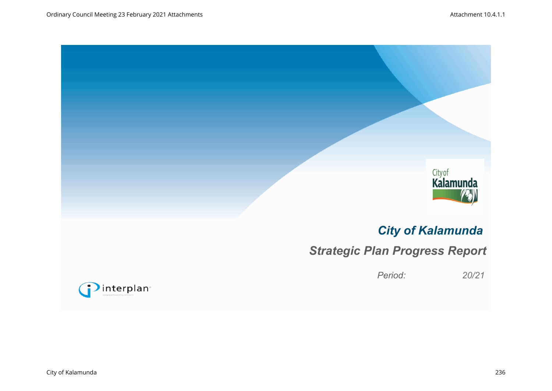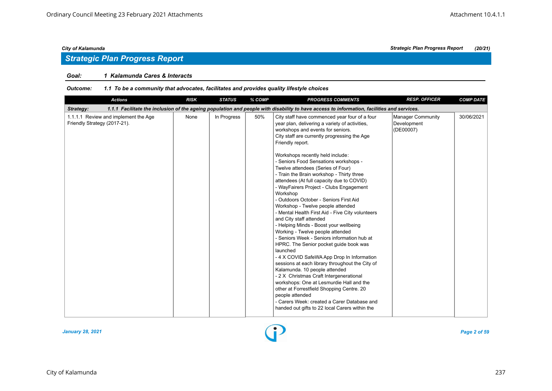## *Strategic Plan Progress Report*

#### *Goal: 1 Kalamunda Cares & Interacts*

| <b>Actions</b>                                                                                                                                          | <b>RISK</b> | <b>STATUS</b> | % COMP | <b>PROGRESS COMMENTS</b>                                                                                                                                                                                                                                                                                                                                                                                                                                                                                                                                                                                                                                                                                                                                                                                                                                                                                                                                                                                                                                                                                                                                                                                               | <b>RESP. OFFICER</b>                          | <b>COMP DATE</b> |  |  |  |  |
|---------------------------------------------------------------------------------------------------------------------------------------------------------|-------------|---------------|--------|------------------------------------------------------------------------------------------------------------------------------------------------------------------------------------------------------------------------------------------------------------------------------------------------------------------------------------------------------------------------------------------------------------------------------------------------------------------------------------------------------------------------------------------------------------------------------------------------------------------------------------------------------------------------------------------------------------------------------------------------------------------------------------------------------------------------------------------------------------------------------------------------------------------------------------------------------------------------------------------------------------------------------------------------------------------------------------------------------------------------------------------------------------------------------------------------------------------------|-----------------------------------------------|------------------|--|--|--|--|
| 1.1.1 Facilitate the inclusion of the ageing population and people with disability to have access to information, facilities and services.<br>Strategy: |             |               |        |                                                                                                                                                                                                                                                                                                                                                                                                                                                                                                                                                                                                                                                                                                                                                                                                                                                                                                                                                                                                                                                                                                                                                                                                                        |                                               |                  |  |  |  |  |
| 1.1.1.1 Review and implement the Age<br>Friendly Strategy (2017-21).                                                                                    | None        | In Progress   | 50%    | City staff have commenced year four of a four<br>year plan, delivering a variety of activities,<br>workshops and events for seniors.<br>City staff are currently progressing the Age<br>Friendly report.<br>Workshops recently held include:<br>- Seniors Food Sensations workshops -<br>Twelve attendees (Series of Four)<br>- Train the Brain workshop - Thirty three<br>attendees (At full capacity due to COVID)<br>- WayFairers Project - Clubs Engagement<br>Workshop<br>- Outdoors October - Seniors First Aid<br>Workshop - Twelve people attended<br>- Mental Health First Aid - Five City volunteers<br>and City staff attended<br>- Helping Minds - Boost your wellbeing<br>Working - Twelve people attended<br>- Seniors Week - Seniors information hub at<br>HPRC. The Senior pocket guide book was<br>launched<br>- 4 X COVID SafeWA App Drop In Information<br>sessions at each library throughout the City of<br>Kalamunda. 10 people attended<br>- 2 X Christmas Craft Intergenerational<br>workshops: One at Lesmurdie Hall and the<br>other at Forrestfield Shopping Centre. 20<br>people attended<br>- Carers Week: created a Carer Database and<br>handed out gifts to 22 local Carers within the | Manager Community<br>Development<br>(DE00007) | 30/06/2021       |  |  |  |  |

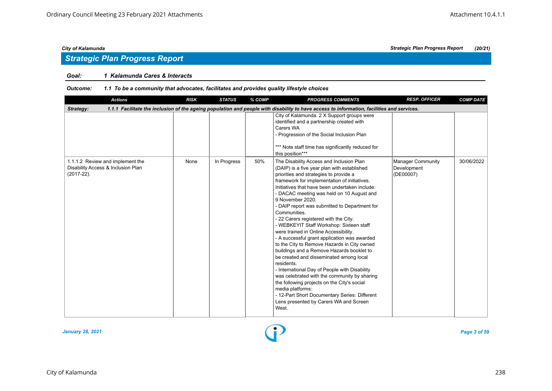## *Strategic Plan Progress Report*

### *Goal: 1 Kalamunda Cares & Interacts*

| <b>Actions</b>                                                                                                                                          | <b>RISK</b> | <b>STATUS</b> | % COMP | <b>PROGRESS COMMENTS</b>                                                                                                                                                                                                                                                                                                                                                                                                                                                                                                                                                                                                                                                                                                                                                                                                                                                                                                                                                         | <b>RESP. OFFICER</b>                                 | <b>COMP DATE</b> |  |  |  |  |
|---------------------------------------------------------------------------------------------------------------------------------------------------------|-------------|---------------|--------|----------------------------------------------------------------------------------------------------------------------------------------------------------------------------------------------------------------------------------------------------------------------------------------------------------------------------------------------------------------------------------------------------------------------------------------------------------------------------------------------------------------------------------------------------------------------------------------------------------------------------------------------------------------------------------------------------------------------------------------------------------------------------------------------------------------------------------------------------------------------------------------------------------------------------------------------------------------------------------|------------------------------------------------------|------------------|--|--|--|--|
| 1.1.1 Facilitate the inclusion of the ageing population and people with disability to have access to information, facilities and services.<br>Strategy: |             |               |        |                                                                                                                                                                                                                                                                                                                                                                                                                                                                                                                                                                                                                                                                                                                                                                                                                                                                                                                                                                                  |                                                      |                  |  |  |  |  |
|                                                                                                                                                         |             |               |        | City of Kalamunda. 2 X Support groups were<br>identified and a partnership created with<br>Carers WA<br>- Progression of the Social Inclusion Plan<br>*** Note staff time has significantly reduced for<br>this position***                                                                                                                                                                                                                                                                                                                                                                                                                                                                                                                                                                                                                                                                                                                                                      |                                                      |                  |  |  |  |  |
| 1.1.1.2 Review and implement the<br>Disability Access & Inclusion Plan<br>$(2017-22)$ .                                                                 | None        | In Progress   | 50%    | The Disability Access and Inclusion Plan<br>(DAIP) is a five year plan with established<br>priorities and strategies to provide a<br>framework for implementation of initiatives.<br>Initiatives that have been undertaken include:<br>- DACAC meeting was held on 10 August and<br>9 November 2020.<br>- DAIP report was submitted to Department for<br>Communities.<br>- 22 Carers registered with the City.<br>- WEBKEYIT Staff Workshop: Sixteen staff<br>were trained in Online Accessibility.<br>- A successful grant application was awarded<br>to the City to Remove Hazards in City owned<br>buildings and a Remove Hazards booklet to<br>be created and disseminated among local<br>residents.<br>- International Day of People with Disability<br>was celebrated with the community by sharing<br>the following projects on the City's social<br>media platforms:<br>- 12-Part Short Documentary Series: Different<br>Lens presented by Carers WA and Screen<br>West. | <b>Manager Community</b><br>Development<br>(DE00007) | 30/06/2022       |  |  |  |  |

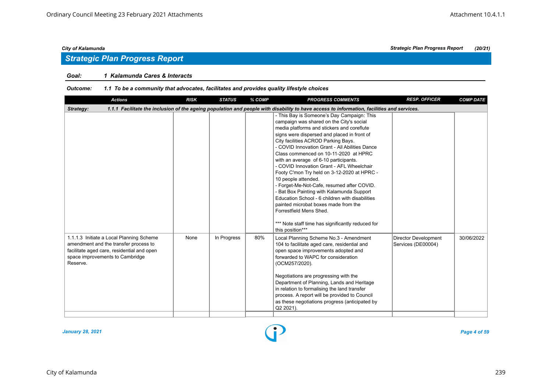## *Strategic Plan Progress Report*

### *Goal: 1 Kalamunda Cares & Interacts*

| <b>Actions</b>                                                                                                                                                                 | <b>RISK</b> | <b>STATUS</b> | % COMP | <b>PROGRESS COMMENTS</b>                                                                                                                                                                                                                                                                                                                                                                                                                                                                                                                                                                                                                                                                                                                                                    | <b>RESP. OFFICER</b>                              | <b>COMP DATE</b> |  |  |  |  |
|--------------------------------------------------------------------------------------------------------------------------------------------------------------------------------|-------------|---------------|--------|-----------------------------------------------------------------------------------------------------------------------------------------------------------------------------------------------------------------------------------------------------------------------------------------------------------------------------------------------------------------------------------------------------------------------------------------------------------------------------------------------------------------------------------------------------------------------------------------------------------------------------------------------------------------------------------------------------------------------------------------------------------------------------|---------------------------------------------------|------------------|--|--|--|--|
| 1.1.1 Facilitate the inclusion of the ageing population and people with disability to have access to information, facilities and services.<br>Strategy:                        |             |               |        |                                                                                                                                                                                                                                                                                                                                                                                                                                                                                                                                                                                                                                                                                                                                                                             |                                                   |                  |  |  |  |  |
|                                                                                                                                                                                |             |               |        | - This Bay is Someone's Day Campaign: This<br>campaign was shared on the City's social<br>media platforms and stickers and coreflute<br>signs were dispersed and placed in front of<br>City facilities ACROD Parking Bays.<br>- COVID Innovation Grant - All Abilities Dance<br>Class commenced on 10-11-2020 at HPRC<br>with an average of 6-10 participants.<br>- COVID Innovation Grant - AFL Wheelchair<br>Footy C'mon Try held on 3-12-2020 at HPRC -<br>10 people attended.<br>- Forget-Me-Not-Cafe, resumed after COVID.<br>- Bat Box Painting with Kalamunda Support<br>Education School - 6 children with disabilities<br>painted microbat boxes made from the<br>Forrestfield Mens Shed.<br>*** Note staff time has significantly reduced for<br>this position*** |                                                   |                  |  |  |  |  |
| 1.1.1.3 Initiate a Local Planning Scheme<br>amendment and the transfer process to<br>facilitate aged care, residential and open<br>space improvements to Cambridge<br>Reserve. | None        | In Progress   | 80%    | Local Planning Scheme No.3 - Amendment<br>104 to facilitate aged care, residential and<br>open space improvements adopted and<br>forwarded to WAPC for consideration<br>(OCM257/2020).<br>Negotiations are progressing with the<br>Department of Planning, Lands and Heritage<br>in relation to formalising the land transfer<br>process. A report will be provided to Council<br>as these negotiations progress (anticipated by<br>Q2 2021).                                                                                                                                                                                                                                                                                                                               | <b>Director Development</b><br>Services (DE00004) | 30/06/2022       |  |  |  |  |

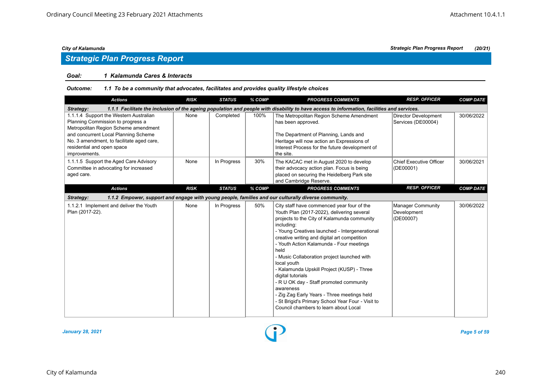## *Strategic Plan Progress Report*

#### *Goal: 1 Kalamunda Cares & Interacts*

| <b>Actions</b>                                                                                                                                                                                                                                          | <b>RISK</b> | <b>STATUS</b> | % COMP | <b>PROGRESS COMMENTS</b>                                                                                                                                                                                                                                                                                                                                                                                                                                                                                                                                                                                                                          | <b>RESP. OFFICER</b>                                 | <b>COMP DATE</b> |  |  |  |  |
|---------------------------------------------------------------------------------------------------------------------------------------------------------------------------------------------------------------------------------------------------------|-------------|---------------|--------|---------------------------------------------------------------------------------------------------------------------------------------------------------------------------------------------------------------------------------------------------------------------------------------------------------------------------------------------------------------------------------------------------------------------------------------------------------------------------------------------------------------------------------------------------------------------------------------------------------------------------------------------------|------------------------------------------------------|------------------|--|--|--|--|
| 1.1.1 Facilitate the inclusion of the ageing population and people with disability to have access to information, facilities and services.<br>Strategy:                                                                                                 |             |               |        |                                                                                                                                                                                                                                                                                                                                                                                                                                                                                                                                                                                                                                                   |                                                      |                  |  |  |  |  |
| 1.1.1.4 Support the Western Australian<br>Planning Commission to progress a<br>Metropolitan Region Scheme amendment<br>and concurrent Local Planning Scheme<br>No. 3 amendment, to facilitate aged care,<br>residential and open space<br>improvements. | None        | Completed     | 100%   | The Metropolitan Region Scheme Amendment<br>has been approved.<br>The Department of Planning, Lands and<br>Heritage will now action an Expressions of<br>Interest Process for the future development of<br>the site.                                                                                                                                                                                                                                                                                                                                                                                                                              | <b>Director Development</b><br>Services (DE00004)    | 30/06/2022       |  |  |  |  |
| 1.1.1.5 Support the Aged Care Advisory<br>Committee in advocating for increased<br>aged care.                                                                                                                                                           | None        | In Progress   | 30%    | The KACAC met in August 2020 to develop<br>their advocacy action plan. Focus is being<br>placed on securing the Heidelberg Park site<br>and Cambridge Reserve.                                                                                                                                                                                                                                                                                                                                                                                                                                                                                    | Chief Executive Officer<br>(DE00001)                 | 30/06/2021       |  |  |  |  |
| <b>Actions</b>                                                                                                                                                                                                                                          | <b>RISK</b> | <b>STATUS</b> | % COMP | <b>PROGRESS COMMENTS</b>                                                                                                                                                                                                                                                                                                                                                                                                                                                                                                                                                                                                                          | <b>RESP. OFFICER</b>                                 | <b>COMP DATE</b> |  |  |  |  |
| Strategy:                                                                                                                                                                                                                                               |             |               |        | 1.1.2 Empower, support and engage with young people, families and our culturally diverse community.                                                                                                                                                                                                                                                                                                                                                                                                                                                                                                                                               |                                                      |                  |  |  |  |  |
| 1.1.2.1 Implement and deliver the Youth<br>Plan (2017-22).                                                                                                                                                                                              | None        | In Progress   | 50%    | City staff have commenced year four of the<br>Youth Plan (2017-2022), delivering several<br>projects to the City of Kalamunda community<br>including:<br>- Young Creatives launched - Intergenerational<br>creative writing and digital art competition<br>- Youth Action Kalamunda - Four meetings<br>held<br>- Music Collaboration project launched with<br>local youth<br>- Kalamunda Upskill Project (KUSP) - Three<br>digital tutorials<br>- R U OK day - Staff promoted community<br>awareness<br>- Zig Zag Early Years - Three meetings held<br>- St Brigid's Primary School Year Four - Visit to<br>Council chambers to learn about Local | <b>Manager Community</b><br>Development<br>(DE00007) | 30/06/2022       |  |  |  |  |

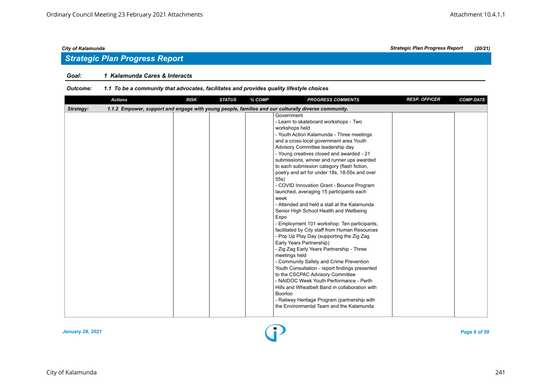## *Strategic Plan Progress Report*

#### *Goal: 1 Kalamunda Cares & Interacts*

| <b>Actions</b> | <b>RISK</b> | <b>STATUS</b> | % COMP | <b>PROGRESS COMMENTS</b>                                                                                                                                                                                                                                                                                                                                                                                                                                                                                                                                                                                                                                                                                                                                                                                                                                                                                                                                                                                                                                                                                                                                                                       | <b>RESP. OFFICER</b> | <b>COMP DATE</b> |
|----------------|-------------|---------------|--------|------------------------------------------------------------------------------------------------------------------------------------------------------------------------------------------------------------------------------------------------------------------------------------------------------------------------------------------------------------------------------------------------------------------------------------------------------------------------------------------------------------------------------------------------------------------------------------------------------------------------------------------------------------------------------------------------------------------------------------------------------------------------------------------------------------------------------------------------------------------------------------------------------------------------------------------------------------------------------------------------------------------------------------------------------------------------------------------------------------------------------------------------------------------------------------------------|----------------------|------------------|
| Strategy:      |             |               |        | 1.1.2 Empower, support and engage with young people, families and our culturally diverse community.                                                                                                                                                                                                                                                                                                                                                                                                                                                                                                                                                                                                                                                                                                                                                                                                                                                                                                                                                                                                                                                                                            |                      |                  |
|                |             |               |        | Government<br>- Learn to skateboard workshops - Two<br>workshops held<br>- Youth Action Kalamunda - Three meetings<br>and a cross-local government area Youth<br>Advisory Committee leadership day<br>- Young creatives closed and awarded - 21<br>submissions, winner and runner ups awarded<br>to each submission category (flash fiction,<br>poetry and art for under 18s, 18-55s and over<br>55s)<br>- COVID Innovation Grant - Bounce Program<br>launched, averaging 15 participants each<br>week<br>- Attended and held a stall at the Kalamunda<br>Senior High School Health and Wellbeing<br>Expo<br>- Employment 101 workshop: Ten participants,<br>facilitated by City staff from Human Resources<br>- Pop Up Play Day (supporting the Zig Zag<br>Early Years Partnership)<br>- Zig Zag Early Years Partnership - Three<br>meetings held<br>- Community Safety and Crime Prevention<br>Youth Consultation - report findings presented<br>to the CSCPAC Advisory Committee<br>- NAIDOC Week Youth Performance - Perth<br>Hills and Wheatbelt Band in collaboration with<br><b>Boorloo</b><br>- Railway Heritage Program (partnership with<br>the Environmental Team and the Kalamunda |                      |                  |

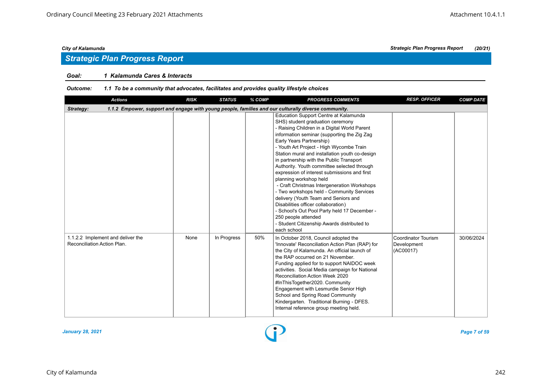## *Strategic Plan Progress Report*

#### *Goal: 1 Kalamunda Cares & Interacts*

| <b>Actions</b>                                                                                                   | <b>RISK</b> | <b>STATUS</b> | % COMP | <b>PROGRESS COMMENTS</b>                                                                                                                                                                                                                                                                                                                                                                                                                                                                                                                                                                                                                                                                                                                                                                | <b>RESP. OFFICER</b>                            | <b>COMP DATE</b> |  |  |  |
|------------------------------------------------------------------------------------------------------------------|-------------|---------------|--------|-----------------------------------------------------------------------------------------------------------------------------------------------------------------------------------------------------------------------------------------------------------------------------------------------------------------------------------------------------------------------------------------------------------------------------------------------------------------------------------------------------------------------------------------------------------------------------------------------------------------------------------------------------------------------------------------------------------------------------------------------------------------------------------------|-------------------------------------------------|------------------|--|--|--|
| 1.1.2 Empower, support and engage with young people, families and our culturally diverse community.<br>Strategy: |             |               |        |                                                                                                                                                                                                                                                                                                                                                                                                                                                                                                                                                                                                                                                                                                                                                                                         |                                                 |                  |  |  |  |
|                                                                                                                  |             |               |        | Education Support Centre at Kalamunda<br>SHS) student graduation ceremony<br>- Raising Children in a Digital World Parent<br>information seminar (supporting the Zig Zag<br>Early Years Partnership)<br>- Youth Art Project - High Wycombe Train<br>Station mural and installation youth co-design<br>in partnership with the Public Transport<br>Authority. Youth committee selected through<br>expression of interest submissions and first<br>planning workshop held<br>- Craft Christmas Intergeneration Workshops<br>- Two workshops held - Community Services<br>delivery (Youth Team and Seniors and<br>Disabilities officer collaboration)<br>- School's Out Pool Party held 17 December -<br>250 people attended<br>- Student Citizenship Awards distributed to<br>each school |                                                 |                  |  |  |  |
| 1.1.2.2 Implement and deliver the<br>Reconciliation Action Plan.                                                 | None        | In Progress   | 50%    | In October 2018, Council adopted the<br>'Innovate' Reconciliation Action Plan (RAP) for<br>the City of Kalamunda. An official launch of<br>the RAP occurred on 21 November.<br>Funding applied for to support NAIDOC week<br>activities. Social Media campaign for National<br>Reconciliation Action Week 2020<br>#InThisTogether2020. Community<br>Engagement with Lesmurdie Senior High<br>School and Spring Road Community<br>Kindergarten. Traditional Burning - DFES.<br>Internal reference group meeting held.                                                                                                                                                                                                                                                                    | Coordinator Tourism<br>Development<br>(AC00017) | 30/06/2024       |  |  |  |

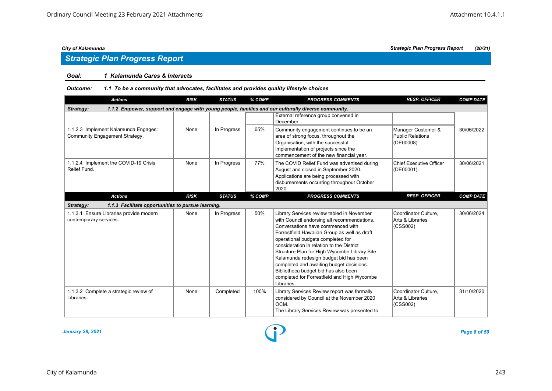# *Strategic Plan Progress Report*

#### *Goal: 1 Kalamunda Cares & Interacts*

#### *Outcome: 1.1 To be a community that advocates, facilitates and provides quality lifestyle choices*

| <b>Actions</b>                                                                                                   | <b>RISK</b> | <b>STATUS</b> | % COMP | <b>PROGRESS COMMENTS</b>                                                                                                                                                                                                                                                                                                                                                                                                                                                                                     | <b>RESP. OFFICER</b>                                       | <b>COMP DATE</b> |  |  |  |
|------------------------------------------------------------------------------------------------------------------|-------------|---------------|--------|--------------------------------------------------------------------------------------------------------------------------------------------------------------------------------------------------------------------------------------------------------------------------------------------------------------------------------------------------------------------------------------------------------------------------------------------------------------------------------------------------------------|------------------------------------------------------------|------------------|--|--|--|
| 1.1.2 Empower, support and engage with young people, families and our culturally diverse community.<br>Strategy: |             |               |        |                                                                                                                                                                                                                                                                                                                                                                                                                                                                                                              |                                                            |                  |  |  |  |
|                                                                                                                  |             |               |        | External reference group convened in<br>December.                                                                                                                                                                                                                                                                                                                                                                                                                                                            |                                                            |                  |  |  |  |
| 1.1.2.3 Implement Kalamunda Engages:<br>Community Engagement Strategy.                                           | None        | In Progress   | 65%    | Community engagement continues to be an<br>area of strong focus, throughout the<br>Organisation, with the successful<br>implementation of projects since the<br>commencement of the new financial year.                                                                                                                                                                                                                                                                                                      | Manager Customer &<br><b>Public Relations</b><br>(DE00008) | 30/06/2022       |  |  |  |
| 1.1.2.4 Implement the COVID-19 Crisis<br>Relief Fund.                                                            | None        | In Progress   | 77%    | The COVID Relief Fund was advertised during<br>August and closed in September 2020.<br>Applications are being processed with<br>disbursements occurring throughout October<br>2020.                                                                                                                                                                                                                                                                                                                          | <b>Chief Executive Officer</b><br>(DE00001)                | 30/06/2021       |  |  |  |
| <b>Actions</b>                                                                                                   | <b>RISK</b> | <b>STATUS</b> | % COMP | <b>PROGRESS COMMENTS</b>                                                                                                                                                                                                                                                                                                                                                                                                                                                                                     | <b>RESP. OFFICER</b>                                       | <b>COMP DATE</b> |  |  |  |
| 1.1.3 Facilitate opportunities to pursue learning.<br>Strategy:                                                  |             |               |        |                                                                                                                                                                                                                                                                                                                                                                                                                                                                                                              |                                                            |                  |  |  |  |
| 1.1.3.1 Ensure Libraries provide modern<br>contemporary services.                                                | None        | In Progress   | 50%    | Library Services review tabled in November<br>with Council endorsing all recommendations.<br>Conversations have commenced with<br>Forrestfield Hawaiian Group as well as draft<br>operational budgets completed for<br>consideration in relation to the District<br>Structure Plan for High Wycombe Library Site.<br>Kalamunda redesign budget bid has been<br>completed and awaiting budget decisions.<br>Bibliotheca budget bid has also been<br>completed for Forrestfield and High Wycombe<br>Libraries. | Coordinator Culture.<br>Arts & Libraries<br>(CSS002)       | 30/06/2024       |  |  |  |
| 1.1.3.2 Complete a strategic review of<br>Libraries.                                                             | None        | Completed     | 100%   | Library Services Review report was formally<br>considered by Council at the November 2020<br>OCM.<br>The Library Services Review was presented to                                                                                                                                                                                                                                                                                                                                                            | Coordinator Culture,<br>Arts & Libraries<br>(CSS002)       | 31/10/2020       |  |  |  |

*January 28, 2021 Page 8 of 59*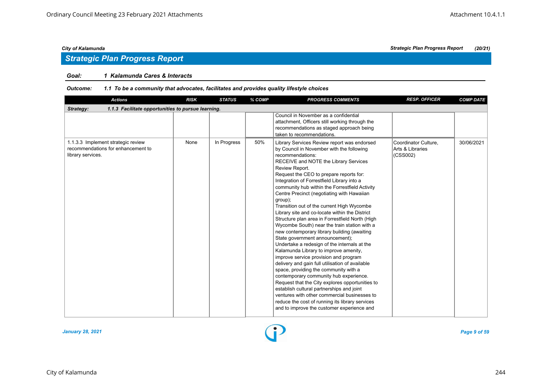## *Strategic Plan Progress Report*

### *Goal: 1 Kalamunda Cares & Interacts*

| <b>Actions</b>                                                                                | <b>RISK</b> | <b>STATUS</b> | % COMP | <b>PROGRESS COMMENTS</b>                                                                                                                                                                                                                                                                                                                                                                                                                                                                                                                                                                                                                                                                                                                                                                                                                                                                                                                                                                                                                                                                                                                                                                  | <b>RESP. OFFICER</b>                                 | <b>COMP DATE</b> |  |  |  |  |
|-----------------------------------------------------------------------------------------------|-------------|---------------|--------|-------------------------------------------------------------------------------------------------------------------------------------------------------------------------------------------------------------------------------------------------------------------------------------------------------------------------------------------------------------------------------------------------------------------------------------------------------------------------------------------------------------------------------------------------------------------------------------------------------------------------------------------------------------------------------------------------------------------------------------------------------------------------------------------------------------------------------------------------------------------------------------------------------------------------------------------------------------------------------------------------------------------------------------------------------------------------------------------------------------------------------------------------------------------------------------------|------------------------------------------------------|------------------|--|--|--|--|
| Strategy:<br>1.1.3 Facilitate opportunities to pursue learning.                               |             |               |        |                                                                                                                                                                                                                                                                                                                                                                                                                                                                                                                                                                                                                                                                                                                                                                                                                                                                                                                                                                                                                                                                                                                                                                                           |                                                      |                  |  |  |  |  |
|                                                                                               |             |               |        | Council in November as a confidential<br>attachment, Officers still working through the<br>recommendations as staged approach being<br>taken to recommendations.                                                                                                                                                                                                                                                                                                                                                                                                                                                                                                                                                                                                                                                                                                                                                                                                                                                                                                                                                                                                                          |                                                      |                  |  |  |  |  |
| 1.1.3.3 Implement strategic review<br>recommendations for enhancement to<br>library services. | None        | In Progress   | 50%    | Library Services Review report was endorsed<br>by Council in November with the following<br>recommendations:<br>RECEIVE and NOTE the Library Services<br>Review Report.<br>Request the CEO to prepare reports for:<br>Integration of Forrestfield Library into a<br>community hub within the Forrestfield Activity<br>Centre Precinct (negotiating with Hawaiian<br>group);<br>Transition out of the current High Wycombe<br>Library site and co-locate within the District<br>Structure plan area in Forrestfield North (High<br>Wycombe South) near the train station with a<br>new contemporary library building (awaiting<br>State government announcement);<br>Undertake a redesign of the internals at the<br>Kalamunda Library to improve amenity,<br>improve service provision and program<br>delivery and gain full utilisation of available<br>space, providing the community with a<br>contemporary community hub experience.<br>Request that the City explores opportunities to<br>establish cultural partnerships and joint<br>ventures with other commercial businesses to<br>reduce the cost of running its library services<br>and to improve the customer experience and | Coordinator Culture,<br>Arts & Libraries<br>(CSS002) | 30/06/2021       |  |  |  |  |

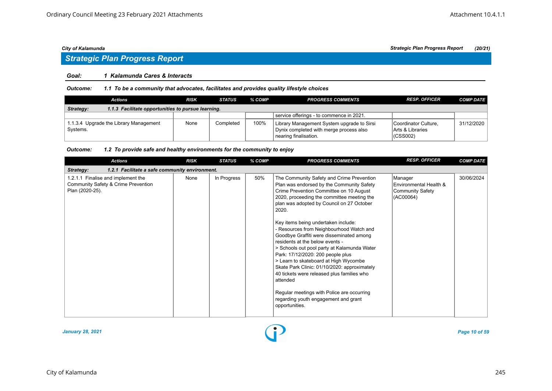# *Strategic Plan Progress Report*

#### *Goal: 1 Kalamunda Cares & Interacts*

*Outcome: 1.1 To be a community that advocates, facilitates and provides quality lifestyle choices*

| Actions                                                         | RISK | <b>STATUS</b> | % COMP | <b>PROGRESS COMMENTS</b>                                                                                       | <b>RESP. OFFICER</b>                                             | <b>COMP DATE</b> |  |  |  |
|-----------------------------------------------------------------|------|---------------|--------|----------------------------------------------------------------------------------------------------------------|------------------------------------------------------------------|------------------|--|--|--|
| 1.1.3 Facilitate opportunities to pursue learning.<br>Strategy: |      |               |        |                                                                                                                |                                                                  |                  |  |  |  |
|                                                                 |      |               |        | service offerings - to commence in 2021.                                                                       |                                                                  |                  |  |  |  |
| 1.1.3.4 Upgrade the Library Management<br>Systems.              | None | Completed     | 100%   | Library Management System upgrade to Sirsi<br>Dynix completed with merge process also<br>nearing finalisation. | Coordinator Culture.<br><b>IArts &amp; Libraries</b><br>(CSS002) | 31/12/2020       |  |  |  |

| <b>Actions</b>                                                                               | <b>RISK</b> | <b>STATUS</b> | % COMP | <b>PROGRESS COMMENTS</b>                                                                                                                                                                                                                                                                                                                                                                                                                                                                                                                                                                                                                                                                                                                               | <b>RESP. OFFICER</b>                                                      | <b>COMP DATE</b> |  |  |  |  |
|----------------------------------------------------------------------------------------------|-------------|---------------|--------|--------------------------------------------------------------------------------------------------------------------------------------------------------------------------------------------------------------------------------------------------------------------------------------------------------------------------------------------------------------------------------------------------------------------------------------------------------------------------------------------------------------------------------------------------------------------------------------------------------------------------------------------------------------------------------------------------------------------------------------------------------|---------------------------------------------------------------------------|------------------|--|--|--|--|
| 1.2.1 Facilitate a safe community environment.<br>Strategy:                                  |             |               |        |                                                                                                                                                                                                                                                                                                                                                                                                                                                                                                                                                                                                                                                                                                                                                        |                                                                           |                  |  |  |  |  |
| 1.2.1.1 Finalise and implement the<br>Community Safety & Crime Prevention<br>Plan (2020-25). | None        | In Progress   | 50%    | The Community Safety and Crime Prevention<br>Plan was endorsed by the Community Safety<br>Crime Prevention Committee on 10 August<br>2020, proceeding the committee meeting the<br>plan was adopted by Council on 27 October<br>2020.<br>Key items being undertaken include:<br>- Resources from Neighbourhood Watch and<br>Goodbye Graffiti were disseminated among<br>residents at the below events -<br>> Schools out pool party at Kalamunda Water<br>Park: 17/12/2020: 200 people plus<br>> Learn to skateboard at High Wycombe<br>Skate Park Clinic: 01/10/2020: approximately<br>40 tickets were released plus families who<br>attended<br>Regular meetings with Police are occurring<br>regarding youth engagement and grant<br>opportunities. | Manager<br>Environmental Health &<br><b>Community Safety</b><br>(AC00064) | 30/06/2024       |  |  |  |  |

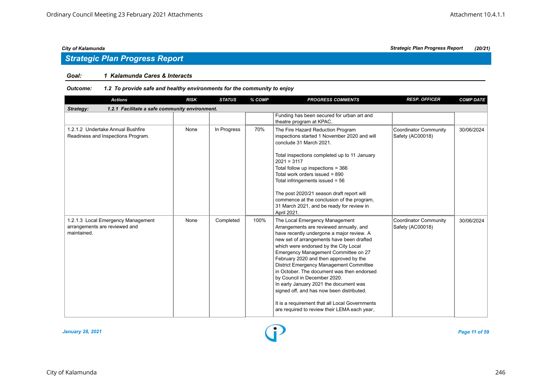## *Strategic Plan Progress Report*

#### *Goal: 1 Kalamunda Cares & Interacts*

| <b>Actions</b>                                                                     | <b>RISK</b> | <b>STATUS</b> | % COMP | <b>PROGRESS COMMENTS</b>                                                                                                                                                                                                                                                                                                                                                                                                                                                                                                                                                                                         | <b>RESP. OFFICER</b>                             | <b>COMP DATE</b> |  |  |  |
|------------------------------------------------------------------------------------|-------------|---------------|--------|------------------------------------------------------------------------------------------------------------------------------------------------------------------------------------------------------------------------------------------------------------------------------------------------------------------------------------------------------------------------------------------------------------------------------------------------------------------------------------------------------------------------------------------------------------------------------------------------------------------|--------------------------------------------------|------------------|--|--|--|
| 1.2.1 Facilitate a safe community environment.<br>Strategy:                        |             |               |        |                                                                                                                                                                                                                                                                                                                                                                                                                                                                                                                                                                                                                  |                                                  |                  |  |  |  |
|                                                                                    |             |               |        | Funding has been secured for urban art and<br>theatre program at KPAC.                                                                                                                                                                                                                                                                                                                                                                                                                                                                                                                                           |                                                  |                  |  |  |  |
| 1.2.1.2 Undertake Annual Bushfire<br>Readiness and Inspections Program.            | None        | In Progress   | 70%    | The Fire Hazard Reduction Program<br>inspections started 1 November 2020 and will<br>conclude 31 March 2021.<br>Total inspections completed up to 11 January<br>$2021 = 3117$<br>Total follow up inspections = 366<br>Total work orders issued = 890<br>Total infringements issued = $56$<br>The post 2020/21 season draft report will<br>commence at the conclusion of the program,<br>31 March 2021, and be ready for review in<br>April 2021.                                                                                                                                                                 | <b>Coordinator Community</b><br>Safety (AC00018) | 30/06/2024       |  |  |  |
| 1.2.1.3 Local Emergency Management<br>arrangements are reviewed and<br>maintained. | None        | Completed     | 100%   | The Local Emergency Management<br>Arrangements are reviewed annually, and<br>have recently undergone a major review. A<br>new set of arrangements have been drafted<br>which were endorsed by the City Local<br>Emergency Management Committee on 27<br>February 2020 and then approved by the<br>District Emergency Management Committee<br>in October. The document was then endorsed<br>by Council in December 2020.<br>In early January 2021 the document was<br>signed off, and has now been distributed.<br>It is a requirement that all Local Governments<br>are required to review their LEMA each year, | <b>Coordinator Community</b><br>Safety (AC00018) | 30/06/2024       |  |  |  |

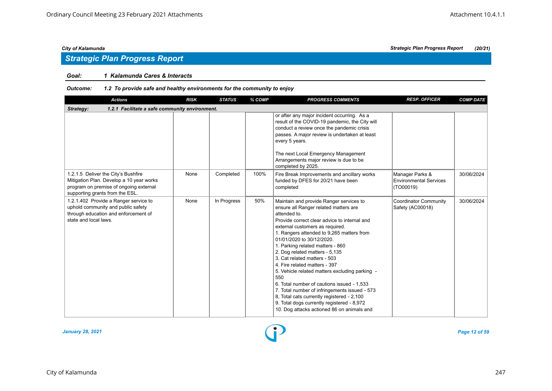## *Strategic Plan Progress Report*

#### *Goal: 1 Kalamunda Cares & Interacts*

| <b>Actions</b>                                                                                                                                               | <b>RISK</b> | <b>STATUS</b> | % COMP | <b>PROGRESS COMMENTS</b>                                                                                                                                                                                                                                                                                                                                                                                                                                                                                                                                                                                                                                                                               | <b>RESP. OFFICER</b>                                          | <b>COMP DATE</b> |  |  |  |  |
|--------------------------------------------------------------------------------------------------------------------------------------------------------------|-------------|---------------|--------|--------------------------------------------------------------------------------------------------------------------------------------------------------------------------------------------------------------------------------------------------------------------------------------------------------------------------------------------------------------------------------------------------------------------------------------------------------------------------------------------------------------------------------------------------------------------------------------------------------------------------------------------------------------------------------------------------------|---------------------------------------------------------------|------------------|--|--|--|--|
| 1.2.1 Facilitate a safe community environment.<br>Strategy:                                                                                                  |             |               |        |                                                                                                                                                                                                                                                                                                                                                                                                                                                                                                                                                                                                                                                                                                        |                                                               |                  |  |  |  |  |
|                                                                                                                                                              |             |               |        | or after any major incident occurring. As a<br>result of the COVID-19 pandemic, the City will<br>conduct a review once the pandemic crisis<br>passes. A major review is undertaken at least<br>every 5 years.<br>The next Local Emergency Management<br>Arrangements major review is due to be<br>completed by 2025.                                                                                                                                                                                                                                                                                                                                                                                   |                                                               |                  |  |  |  |  |
| 1.2.1.5 Deliver the City's Bushfire<br>Mitigation Plan. Develop a 10 year works<br>program on premise of ongoing external<br>supporting grants from the ESL. | None        | Completed     | 100%   | Fire Break Improvements and ancillary works<br>funded by DFES for 20/21 have been<br>completed                                                                                                                                                                                                                                                                                                                                                                                                                                                                                                                                                                                                         | Manager Parks &<br><b>Environmental Services</b><br>(TO00019) | 30/06/2024       |  |  |  |  |
| 1.2.1.402 Provide a Ranger service to<br>uphold community and public safety<br>through education and enforcement of<br>state and local laws.                 | None        | In Progress   | 50%    | Maintain and provide Ranger services to<br>ensure all Ranger related matters are<br>attended to.<br>Provide correct clear advice to internal and<br>external customers as required.<br>1. Rangers attended to 9,265 matters from<br>01/01/2020 to 30/12/2020.<br>1. Parking related matters - 860<br>2. Dog related matters - 5,135<br>3. Cat related matters - 503<br>4. Fire related matters - 397<br>5. Vehicle related matters excluding parking -<br>550<br>6. Total number of cautions issued - 1,533<br>7. Total number of infringements issued - 573<br>8, Total cats currently registered - 2,100<br>9. Total dogs currently registered - 8,972<br>10. Dog attacks actioned 86 on animals and | <b>Coordinator Community</b><br>Safety (AC00018)              | 30/06/2024       |  |  |  |  |

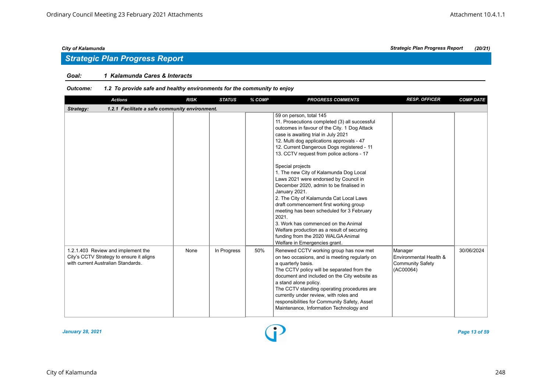## *Strategic Plan Progress Report*

#### *Goal: 1 Kalamunda Cares & Interacts*

| <b>Actions</b>                                                                                                       | <b>RISK</b> | <b>STATUS</b> | % COMP | <b>PROGRESS COMMENTS</b>                                                                                                                                                                                                                                                                                                                                                                                                                                                                                                                                                                                                                                                                                                                                                          | <b>RESP. OFFICER</b>                                                      | <b>COMP DATE</b> |  |  |  |  |
|----------------------------------------------------------------------------------------------------------------------|-------------|---------------|--------|-----------------------------------------------------------------------------------------------------------------------------------------------------------------------------------------------------------------------------------------------------------------------------------------------------------------------------------------------------------------------------------------------------------------------------------------------------------------------------------------------------------------------------------------------------------------------------------------------------------------------------------------------------------------------------------------------------------------------------------------------------------------------------------|---------------------------------------------------------------------------|------------------|--|--|--|--|
| Strategy:<br>1.2.1 Facilitate a safe community environment.                                                          |             |               |        |                                                                                                                                                                                                                                                                                                                                                                                                                                                                                                                                                                                                                                                                                                                                                                                   |                                                                           |                  |  |  |  |  |
|                                                                                                                      |             |               |        | 59 on person, total 145<br>11. Prosecutions completed (3) all successful<br>outcomes in favour of the City. 1 Dog Attack<br>case is awaiting trial in July 2021<br>12. Multi dog applications approvals - 47<br>12. Current Dangerous Dogs registered - 11<br>13. CCTV request from police actions - 17<br>Special projects<br>1. The new City of Kalamunda Dog Local<br>Laws 2021 were endorsed by Council in<br>December 2020, admin to be finalised in<br>January 2021.<br>2. The City of Kalamunda Cat Local Laws<br>draft commencement first working group<br>meeting has been scheduled for 3 February<br>2021.<br>3. Work has commenced on the Animal<br>Welfare production as a result of securing<br>funding from the 2020 WALGA Animal<br>Welfare in Emergencies grant. |                                                                           |                  |  |  |  |  |
| 1.2.1.403 Review and implement the<br>City's CCTV Strategy to ensure it aligns<br>with current Australian Standards. | None        | In Progress   | 50%    | Renewed CCTV working group has now met<br>on two occasions, and is meeting regularly on<br>a quarterly basis.<br>The CCTV policy will be separated from the<br>document and included on the City website as<br>a stand alone policy.<br>The CCTV standing operating procedures are<br>currently under review, with roles and<br>responsibilities for Community Safety, Asset<br>Maintenance, Information Technology and                                                                                                                                                                                                                                                                                                                                                           | Manager<br>Environmental Health &<br><b>Community Safety</b><br>(AC00064) | 30/06/2024       |  |  |  |  |

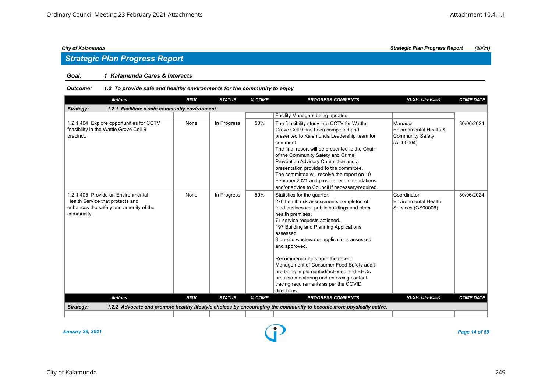#### *Goal: 1 Kalamunda Cares & Interacts*

#### *Outcome: 1.2 To provide safe and healthy environments for the community to enjoy*

| <b>Actions</b>                                                                                                                 | <b>RISK</b> | <b>STATUS</b> | % COMP | <b>PROGRESS COMMENTS</b>                                                                                                                                                                                                                                                                                                                                                                                                                                                                                                         | <b>RESP. OFFICER</b>                                                      | <b>COMP DATE</b> |  |  |  |
|--------------------------------------------------------------------------------------------------------------------------------|-------------|---------------|--------|----------------------------------------------------------------------------------------------------------------------------------------------------------------------------------------------------------------------------------------------------------------------------------------------------------------------------------------------------------------------------------------------------------------------------------------------------------------------------------------------------------------------------------|---------------------------------------------------------------------------|------------------|--|--|--|
| Strategy:<br>1.2.1 Facilitate a safe community environment.                                                                    |             |               |        |                                                                                                                                                                                                                                                                                                                                                                                                                                                                                                                                  |                                                                           |                  |  |  |  |
|                                                                                                                                |             |               |        | Facility Managers being updated.                                                                                                                                                                                                                                                                                                                                                                                                                                                                                                 |                                                                           |                  |  |  |  |
| 1.2.1.404 Explore opportunities for CCTV<br>feasibility in the Wattle Grove Cell 9<br>precinct.                                | None        | In Progress   | 50%    | The feasibility study into CCTV for Wattle<br>Grove Cell 9 has been completed and<br>presented to Kalamunda Leadership team for<br>comment.<br>The final report will be presented to the Chair<br>of the Community Safety and Crime<br>Prevention Advisory Committee and a<br>presentation provided to the committee.<br>The committee will receive the report on 10<br>February 2021 and provide recommendations<br>and/or advice to Council if necessary/required.                                                             | Manager<br>Environmental Health &<br><b>Community Safety</b><br>(AC00064) | 30/06/2024       |  |  |  |
| 1.2.1.405 Provide an Environmental<br>Health Service that protects and<br>enhances the safety and amenity of the<br>community. | None        | In Progress   | 50%    | Statistics for the quarter:<br>276 health risk assessments completed of<br>food businesses, public buildings and other<br>health premises.<br>71 service requests actioned.<br>197 Building and Planning Applications<br>assessed.<br>8 on-site wastewater applications assessed<br>and approved.<br>Recommendations from the recent<br>Management of Consumer Food Safety audit<br>are being implemented/actioned and EHOs<br>are also monitoring and enforcing contact<br>tracing requirements as per the COVID<br>directions. | Coordinator<br><b>Environmental Health</b><br>Services (CS00006)          | 30/06/2024       |  |  |  |
| <b>Actions</b>                                                                                                                 | <b>RISK</b> | <b>STATUS</b> | % COMP | <b>PROGRESS COMMENTS</b>                                                                                                                                                                                                                                                                                                                                                                                                                                                                                                         | <b>RESP. OFFICER</b>                                                      | <b>COMP DATE</b> |  |  |  |
| Strategy:                                                                                                                      |             |               |        | 1.2.2 Advocate and promote healthy lifestyle choices by encouraging the community to become more physically active.                                                                                                                                                                                                                                                                                                                                                                                                              |                                                                           |                  |  |  |  |
|                                                                                                                                |             |               |        |                                                                                                                                                                                                                                                                                                                                                                                                                                                                                                                                  |                                                                           |                  |  |  |  |

*January 28, 2021 Page 14 of 59*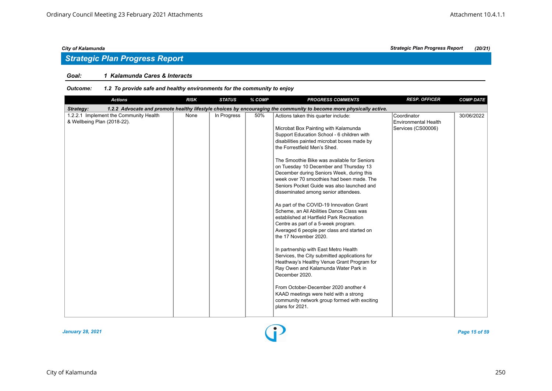## *Strategic Plan Progress Report*

#### *Goal: 1 Kalamunda Cares & Interacts*

| <b>Actions</b>                                                        | <b>RISK</b> | <b>STATUS</b> | % COMP | <b>PROGRESS COMMENTS</b>                                                                                                                                                                                                                                                                                                                                                                                                                                                                                                                                                                                                                                                                                                                                                                                                                                                                                                                                                                                                                                                                  | <b>RESP. OFFICER</b>                                             | <b>COMP DATE</b> |
|-----------------------------------------------------------------------|-------------|---------------|--------|-------------------------------------------------------------------------------------------------------------------------------------------------------------------------------------------------------------------------------------------------------------------------------------------------------------------------------------------------------------------------------------------------------------------------------------------------------------------------------------------------------------------------------------------------------------------------------------------------------------------------------------------------------------------------------------------------------------------------------------------------------------------------------------------------------------------------------------------------------------------------------------------------------------------------------------------------------------------------------------------------------------------------------------------------------------------------------------------|------------------------------------------------------------------|------------------|
| Strategy:                                                             |             |               |        | 1.2.2 Advocate and promote healthy lifestyle choices by encouraging the community to become more physically active.                                                                                                                                                                                                                                                                                                                                                                                                                                                                                                                                                                                                                                                                                                                                                                                                                                                                                                                                                                       |                                                                  |                  |
| 1.2.2.1 Implement the Community Health<br>& Wellbeing Plan (2018-22). | None        | In Progress   | 50%    | Actions taken this quarter include:<br>Microbat Box Painting with Kalamunda<br>Support Education School - 6 children with<br>disabilities painted microbat boxes made by<br>the Forrestfield Men's Shed.<br>The Smoothie Bike was available for Seniors<br>on Tuesday 10 December and Thursday 13<br>December during Seniors Week, during this<br>week over 70 smoothies had been made. The<br>Seniors Pocket Guide was also launched and<br>disseminated among senior attendees.<br>As part of the COVID-19 Innovation Grant<br>Scheme, an All Abilities Dance Class was<br>established at Hartfield Park Recreation<br>Centre as part of a 5-week program.<br>Averaged 6 people per class and started on<br>the 17 November 2020.<br>In partnership with East Metro Health<br>Services, the City submitted applications for<br>Heathway's Healthy Venue Grant Program for<br>Ray Owen and Kalamunda Water Park in<br>December 2020.<br>From October-December 2020 another 4<br>KAAD meetings were held with a strong<br>community network group formed with exciting<br>plans for 2021. | Coordinator<br><b>Environmental Health</b><br>Services (CS00006) | 30/06/2022       |

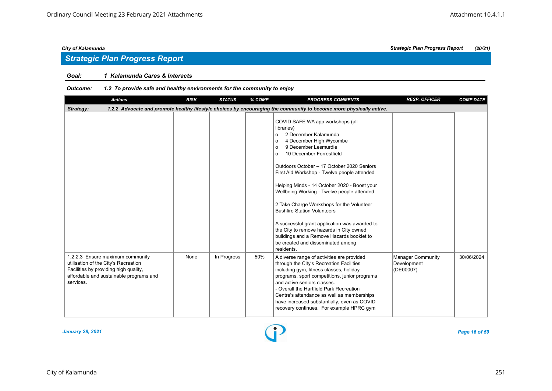## *Strategic Plan Progress Report*

### *Goal: 1 Kalamunda Cares & Interacts*

| <b>Actions</b>                                                                                                                                                            | <b>RISK</b> | <b>STATUS</b> | % COMP | <b>PROGRESS COMMENTS</b>                                                                                                                                                                                                                                                                                                                                                                                                                                                                                                                                                                                                                                                       | <b>RESP. OFFICER</b>                                 | <b>COMP DATE</b> |  |  |  |  |
|---------------------------------------------------------------------------------------------------------------------------------------------------------------------------|-------------|---------------|--------|--------------------------------------------------------------------------------------------------------------------------------------------------------------------------------------------------------------------------------------------------------------------------------------------------------------------------------------------------------------------------------------------------------------------------------------------------------------------------------------------------------------------------------------------------------------------------------------------------------------------------------------------------------------------------------|------------------------------------------------------|------------------|--|--|--|--|
| 1.2.2 Advocate and promote healthy lifestyle choices by encouraging the community to become more physically active.<br>Strategy:                                          |             |               |        |                                                                                                                                                                                                                                                                                                                                                                                                                                                                                                                                                                                                                                                                                |                                                      |                  |  |  |  |  |
|                                                                                                                                                                           |             |               |        | COVID SAFE WA app workshops (all<br>libraries)<br>2 December Kalamunda<br>$\circ$<br>4 December High Wycombe<br>$\Omega$<br>9 December Lesmurdie<br>$\Omega$<br>10 December Forrestfield<br>$\circ$<br>Outdoors October - 17 October 2020 Seniors<br>First Aid Workshop - Twelve people attended<br>Helping Minds - 14 October 2020 - Boost your<br>Wellbeing Working - Twelve people attended<br>2 Take Charge Workshops for the Volunteer<br><b>Bushfire Station Volunteers</b><br>A successful grant application was awarded to<br>the City to remove hazards in City owned<br>buildings and a Remove Hazards booklet to<br>be created and disseminated among<br>residents. |                                                      |                  |  |  |  |  |
| 1.2.2.3 Ensure maximum community<br>utilisation of the City's Recreation<br>Facilities by providing high quality,<br>affordable and sustainable programs and<br>services. | None        | In Progress   | 50%    | A diverse range of activities are provided<br>through the City's Recreation Facilities<br>including gym, fitness classes, holiday<br>programs, sport competitions, junior programs<br>and active seniors classes.<br>- Overall the Hartfield Park Recreation<br>Centre's attendance as well as memberships<br>have increased substantially, even as COVID<br>recovery continues. For example HPRC gym                                                                                                                                                                                                                                                                          | <b>Manager Community</b><br>Development<br>(DE00007) | 30/06/2024       |  |  |  |  |

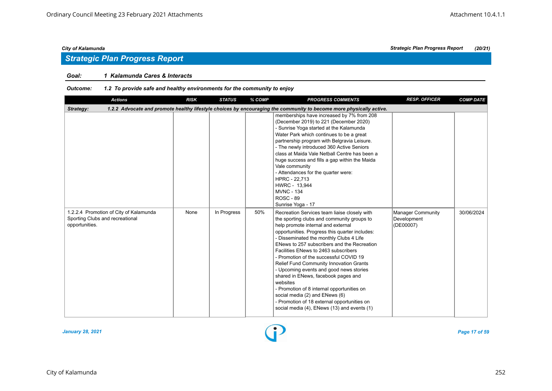## *Strategic Plan Progress Report*

#### *Goal: 1 Kalamunda Cares & Interacts*

| <b>Actions</b>                                                                              | <b>RISK</b>                                                                                                         | <b>STATUS</b> | % COMP | <b>PROGRESS COMMENTS</b>                                                                                                                                                                                                                                                                                                                                                                                                                                                                                                                                                                                                                                                              | <b>RESP. OFFICER</b>                          | <b>COMP DATE</b> |  |  |  |  |  |
|---------------------------------------------------------------------------------------------|---------------------------------------------------------------------------------------------------------------------|---------------|--------|---------------------------------------------------------------------------------------------------------------------------------------------------------------------------------------------------------------------------------------------------------------------------------------------------------------------------------------------------------------------------------------------------------------------------------------------------------------------------------------------------------------------------------------------------------------------------------------------------------------------------------------------------------------------------------------|-----------------------------------------------|------------------|--|--|--|--|--|
| Strategy:                                                                                   | 1.2.2 Advocate and promote healthy lifestyle choices by encouraging the community to become more physically active. |               |        |                                                                                                                                                                                                                                                                                                                                                                                                                                                                                                                                                                                                                                                                                       |                                               |                  |  |  |  |  |  |
|                                                                                             |                                                                                                                     |               |        | memberships have increased by 7% from 208<br>(December 2019) to 221 (December 2020)<br>- Sunrise Yoga started at the Kalamunda<br>Water Park which continues to be a great<br>partnership program with Belgravia Leisure.<br>- The newly introduced 360 Active Seniors<br>class at Maida Vale Netball Centre has been a<br>huge success and fills a gap within the Maida<br>Vale community<br>- Attendances for the quarter were:<br>HPRC - 22,713<br>HWRC - 13,944<br><b>MVNC - 134</b><br><b>ROSC - 89</b><br>Sunrise Yoga - 17                                                                                                                                                     |                                               |                  |  |  |  |  |  |
| 1.2.2.4 Promotion of City of Kalamunda<br>Sporting Clubs and recreational<br>opportunities. | None                                                                                                                | In Progress   | 50%    | Recreation Services team liaise closely with<br>the sporting clubs and community groups to<br>help promote internal and external<br>opportunities. Progress this quarter includes:<br>- Disseminated the monthly Clubs 4 Life<br>ENews to 257 subscribers and the Recreation<br>Facilities ENews to 2463 subscribers<br>- Promotion of the successful COVID 19<br>Relief Fund Community Innovation Grants<br>- Upcoming events and good news stories<br>shared in ENews, facebook pages and<br>websites<br>- Promotion of 8 internal opportunities on<br>social media (2) and ENews (6)<br>- Promotion of 18 external opportunities on<br>social media (4), ENews (13) and events (1) | Manager Community<br>Development<br>(DE00007) | 30/06/2024       |  |  |  |  |  |

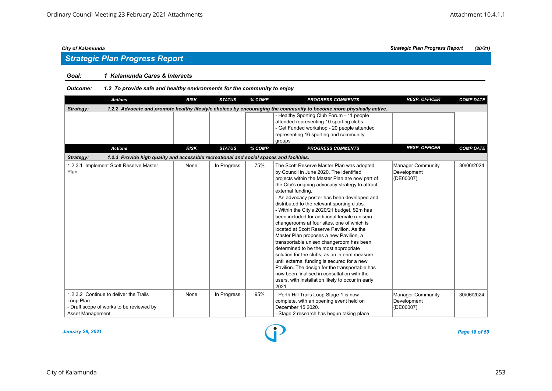### *Goal: 1 Kalamunda Cares & Interacts*

*Outcome: 1.2 To provide safe and healthy environments for the community to enjoy*

|                                | <b>Actions</b>                                                                                                      | <b>RISK</b> | <b>STATUS</b> | % COMP | <b>PROGRESS COMMENTS</b>                                                                                                                                                                                                                                                                                                                                                                                                                                                                                                                                                                                                                                                                                                                                                                                                                                                                               | <b>RESP. OFFICER</b>                                 | <b>COMP DATE</b> |  |  |  |  |
|--------------------------------|---------------------------------------------------------------------------------------------------------------------|-------------|---------------|--------|--------------------------------------------------------------------------------------------------------------------------------------------------------------------------------------------------------------------------------------------------------------------------------------------------------------------------------------------------------------------------------------------------------------------------------------------------------------------------------------------------------------------------------------------------------------------------------------------------------------------------------------------------------------------------------------------------------------------------------------------------------------------------------------------------------------------------------------------------------------------------------------------------------|------------------------------------------------------|------------------|--|--|--|--|
| Strategy:                      | 1.2.2 Advocate and promote healthy lifestyle choices by encouraging the community to become more physically active. |             |               |        |                                                                                                                                                                                                                                                                                                                                                                                                                                                                                                                                                                                                                                                                                                                                                                                                                                                                                                        |                                                      |                  |  |  |  |  |
|                                |                                                                                                                     |             |               |        | - Healthy Sporting Club Forum - 11 people<br>attended representing 10 sporting clubs<br>- Get Funded workshop - 20 people attended<br>representing 16 sporting and community<br>groups                                                                                                                                                                                                                                                                                                                                                                                                                                                                                                                                                                                                                                                                                                                 |                                                      |                  |  |  |  |  |
|                                | <b>Actions</b>                                                                                                      | <b>RISK</b> | <b>STATUS</b> | % COMP | <b>PROGRESS COMMENTS</b>                                                                                                                                                                                                                                                                                                                                                                                                                                                                                                                                                                                                                                                                                                                                                                                                                                                                               | <b>RESP. OFFICER</b>                                 | <b>COMP DATE</b> |  |  |  |  |
| Strategy:                      | 1.2.3 Provide high quality and accessible recreational and social spaces and facilities.                            |             |               |        |                                                                                                                                                                                                                                                                                                                                                                                                                                                                                                                                                                                                                                                                                                                                                                                                                                                                                                        |                                                      |                  |  |  |  |  |
| Plan.                          | 1.2.3.1 Implement Scott Reserve Master                                                                              | None        | In Progress   | 75%    | The Scott Reserve Master Plan was adopted<br>by Council in June 2020. The identified<br>projects within the Master Plan are now part of<br>the City's ongoing advocacy strategy to attract<br>external funding.<br>- An advocacy poster has been developed and<br>distributed to the relevant sporting clubs.<br>- Within the City's 2020/21 budget, \$2m has<br>been included for additional female (unisex)<br>changerooms at four sites, one of which is<br>located at Scott Reserve Pavilion. As the<br>Master Plan proposes a new Pavilion, a<br>transportable unisex changeroom has been<br>determined to be the most appropriate<br>solution for the clubs, as an interim measure<br>until external funding is secured for a new<br>Pavilion. The design for the transportable has<br>now been finalised in consultation with the<br>users, with installation likely to occur in early<br>2021. | <b>Manager Community</b><br>Development<br>(DE00007) | 30/06/2024       |  |  |  |  |
| Loop Plan.<br>Asset Management | 1.2.3.2 Continue to deliver the Trails<br>- Draft scope of works to be reviewed by                                  | None        | In Progress   | 95%    | - Perth Hill Trails Loop Stage 1 is now<br>complete, with an opening event held on<br>December 15 2020.<br>- Stage 2 research has begun taking place                                                                                                                                                                                                                                                                                                                                                                                                                                                                                                                                                                                                                                                                                                                                                   | <b>Manager Community</b><br>Development<br>(DE00007) | 30/06/2024       |  |  |  |  |

*January 28, 2021 Page 18 of 59*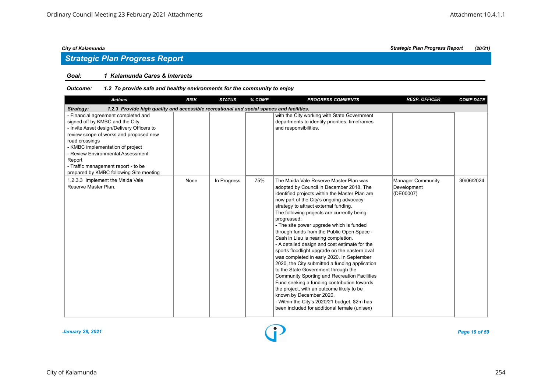## *Strategic Plan Progress Report*

#### *Goal: 1 Kalamunda Cares & Interacts*

| <b>Actions</b>                                                                                                                                                                                                                                                                                                                                        | <b>RISK</b> | <b>STATUS</b> | % COMP | <b>PROGRESS COMMENTS</b>                                                                                                                                                                                                                                                                                                                                                                                                                                                                                                                                                                                                                                                                                                                                                                                                                                                                                                                     | <b>RESP. OFFICER</b>                                 | <b>COMP DATE</b> |  |  |  |  |
|-------------------------------------------------------------------------------------------------------------------------------------------------------------------------------------------------------------------------------------------------------------------------------------------------------------------------------------------------------|-------------|---------------|--------|----------------------------------------------------------------------------------------------------------------------------------------------------------------------------------------------------------------------------------------------------------------------------------------------------------------------------------------------------------------------------------------------------------------------------------------------------------------------------------------------------------------------------------------------------------------------------------------------------------------------------------------------------------------------------------------------------------------------------------------------------------------------------------------------------------------------------------------------------------------------------------------------------------------------------------------------|------------------------------------------------------|------------------|--|--|--|--|
| 1.2.3 Provide high quality and accessible recreational and social spaces and facilities.<br>Strategy:                                                                                                                                                                                                                                                 |             |               |        |                                                                                                                                                                                                                                                                                                                                                                                                                                                                                                                                                                                                                                                                                                                                                                                                                                                                                                                                              |                                                      |                  |  |  |  |  |
| - Financial agreement completed and<br>signed off by KMBC and the City<br>- Invite Asset design/Delivery Officers to<br>review scope of works and proposed new<br>road crossings<br>- KMBC implementation of project<br>- Review Environmental Assessment<br>Report<br>- Traffic management report - to be<br>prepared by KMBC following Site meeting |             |               |        | with the City working with State Government<br>departments to identify priorities, timeframes<br>and responsibilities.                                                                                                                                                                                                                                                                                                                                                                                                                                                                                                                                                                                                                                                                                                                                                                                                                       |                                                      |                  |  |  |  |  |
| 1.2.3.3 Implement the Maida Vale<br>Reserve Master Plan.                                                                                                                                                                                                                                                                                              | None        | In Progress   | 75%    | The Maida Vale Reserve Master Plan was<br>adopted by Council in December 2018. The<br>identified projects within the Master Plan are<br>now part of the City's ongoing advocacy<br>strategy to attract external funding.<br>The following projects are currently being<br>progressed:<br>- The site power upgrade which is funded<br>through funds from the Public Open Space -<br>Cash in Lieu is nearing completion.<br>- A detailed design and cost estimate for the<br>sports floodlight upgrade on the eastern oval<br>was completed in early 2020. In September<br>2020, the City submitted a funding application<br>to the State Government through the<br><b>Community Sporting and Recreation Facilities</b><br>Fund seeking a funding contribution towards<br>the project, with an outcome likely to be<br>known by December 2020.<br>- Within the City's 2020/21 budget, \$2m has<br>been included for additional female (unisex) | <b>Manager Community</b><br>Development<br>(DE00007) | 30/06/2024       |  |  |  |  |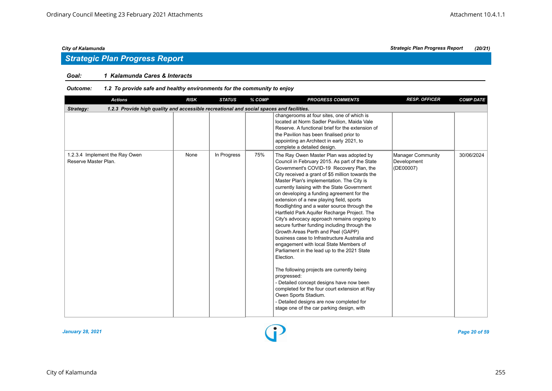## *Strategic Plan Progress Report*

#### *Goal: 1 Kalamunda Cares & Interacts*

| <b>Actions</b>                                                                                        | <b>RISK</b> | <b>STATUS</b> | % COMP | <b>PROGRESS COMMENTS</b>                                                                                                                                                                                                                                                                                                                                                                                                                                                                                                                                                                                                                                                                                                                                                                                                                                                                                                                                                                                                                               | <b>RESP. OFFICER</b>                          | <b>COMP DATE</b> |  |  |  |  |
|-------------------------------------------------------------------------------------------------------|-------------|---------------|--------|--------------------------------------------------------------------------------------------------------------------------------------------------------------------------------------------------------------------------------------------------------------------------------------------------------------------------------------------------------------------------------------------------------------------------------------------------------------------------------------------------------------------------------------------------------------------------------------------------------------------------------------------------------------------------------------------------------------------------------------------------------------------------------------------------------------------------------------------------------------------------------------------------------------------------------------------------------------------------------------------------------------------------------------------------------|-----------------------------------------------|------------------|--|--|--|--|
| 1.2.3 Provide high quality and accessible recreational and social spaces and facilities.<br>Strategy: |             |               |        |                                                                                                                                                                                                                                                                                                                                                                                                                                                                                                                                                                                                                                                                                                                                                                                                                                                                                                                                                                                                                                                        |                                               |                  |  |  |  |  |
|                                                                                                       |             |               |        | changerooms at four sites, one of which is<br>located at Norm Sadler Pavilion, Maida Vale<br>Reserve. A functional brief for the extension of<br>the Pavilion has been finalised prior to<br>appointing an Architect in early 2021, to<br>complete a detailed design.                                                                                                                                                                                                                                                                                                                                                                                                                                                                                                                                                                                                                                                                                                                                                                                  |                                               |                  |  |  |  |  |
| 1.2.3.4 Implement the Ray Owen<br>Reserve Master Plan.                                                | None        | In Progress   | 75%    | The Ray Owen Master Plan was adopted by<br>Council in February 2015. As part of the State<br>Government's COVID-19 Recovery Plan, the<br>City received a grant of \$5 million towards the<br>Master Plan's implementation. The City is<br>currently liaising with the State Government<br>on developing a funding agreement for the<br>extension of a new playing field, sports<br>floodlighting and a water source through the<br>Hartfield Park Aquifer Recharge Project. The<br>City's advocacy approach remains ongoing to<br>secure further funding including through the<br>Growth Areas Perth and Peel (GAPP)<br>business case to Infrastructure Australia and<br>engagement with local State Members of<br>Parliament in the lead up to the 2021 State<br>Election.<br>The following projects are currently being<br>progressed:<br>- Detailed concept designs have now been<br>completed for the four court extension at Ray<br>Owen Sports Stadium.<br>- Detailed designs are now completed for<br>stage one of the car parking design, with | Manager Community<br>Development<br>(DE00007) | 30/06/2024       |  |  |  |  |

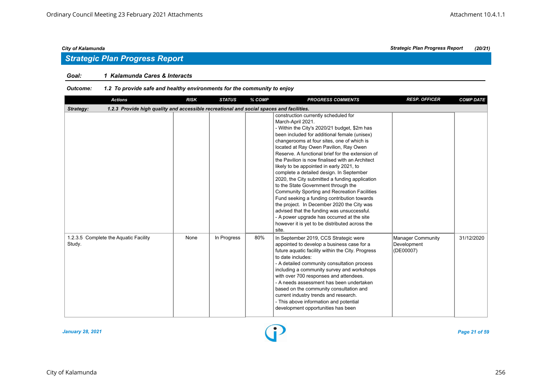## *Strategic Plan Progress Report*

#### *Goal: 1 Kalamunda Cares & Interacts*

| <b>Actions</b>                                                                                        | <b>RISK</b> | <b>STATUS</b> | % COMP | <b>PROGRESS COMMENTS</b>                                                                                                                                                                                                                                                                                                                                                                                                                                                                                                                                                                                                                                                                                                                                                                                                                      | <b>RESP. OFFICER</b>                          | <b>COMP DATE</b> |  |  |  |  |
|-------------------------------------------------------------------------------------------------------|-------------|---------------|--------|-----------------------------------------------------------------------------------------------------------------------------------------------------------------------------------------------------------------------------------------------------------------------------------------------------------------------------------------------------------------------------------------------------------------------------------------------------------------------------------------------------------------------------------------------------------------------------------------------------------------------------------------------------------------------------------------------------------------------------------------------------------------------------------------------------------------------------------------------|-----------------------------------------------|------------------|--|--|--|--|
| 1.2.3 Provide high quality and accessible recreational and social spaces and facilities.<br>Strategy: |             |               |        |                                                                                                                                                                                                                                                                                                                                                                                                                                                                                                                                                                                                                                                                                                                                                                                                                                               |                                               |                  |  |  |  |  |
|                                                                                                       |             |               |        | construction currently scheduled for<br>March-April 2021.<br>- Within the City's 2020/21 budget, \$2m has<br>been included for additional female (unisex)<br>changerooms at four sites, one of which is<br>located at Ray Owen Pavilion, Ray Owen<br>Reserve. A functional brief for the extension of<br>the Pavilion is now finalised with an Architect<br>likely to be appointed in early 2021, to<br>complete a detailed design. In September<br>2020, the City submitted a funding application<br>to the State Government through the<br>Community Sporting and Recreation Facilities<br>Fund seeking a funding contribution towards<br>the project. In December 2020 the City was<br>advised that the funding was unsuccessful.<br>- A power upgrade has occurred at the site<br>however it is yet to be distributed across the<br>site. |                                               |                  |  |  |  |  |
| 1.2.3.5 Complete the Aquatic Facility<br>Study.                                                       | None        | In Progress   | 80%    | In September 2019, CCS Strategic were<br>appointed to develop a business case for a<br>future aquatic facility within the City. Progress<br>to date includes:<br>- A detailed community consultation process<br>including a community survey and workshops<br>with over 700 responses and attendees.<br>- A needs assessment has been undertaken<br>based on the community consultation and<br>current industry trends and research.<br>- This above information and potential<br>development opportunities has been                                                                                                                                                                                                                                                                                                                          | Manager Community<br>Development<br>(DE00007) | 31/12/2020       |  |  |  |  |

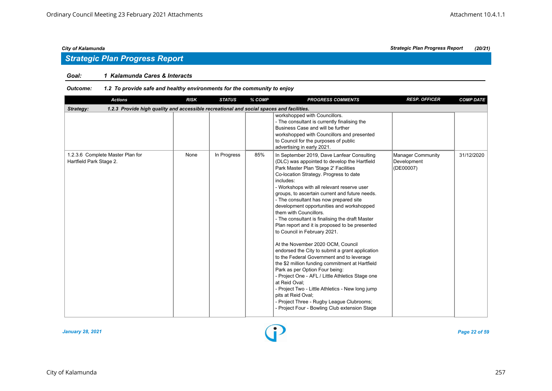## *Strategic Plan Progress Report*

#### *Goal: 1 Kalamunda Cares & Interacts*

| <b>Actions</b>                                                                                        | <b>RISK</b> | <b>STATUS</b> | % COMP | <b>PROGRESS COMMENTS</b>                                                                                                                                                                                                                                                                                                                                                                                                                                                                                                                                                                                                                                                                                                                                                                                                                                                                                                                                                                                                | <b>RESP. OFFICER</b>                          | <b>COMP DATE</b> |  |  |  |  |
|-------------------------------------------------------------------------------------------------------|-------------|---------------|--------|-------------------------------------------------------------------------------------------------------------------------------------------------------------------------------------------------------------------------------------------------------------------------------------------------------------------------------------------------------------------------------------------------------------------------------------------------------------------------------------------------------------------------------------------------------------------------------------------------------------------------------------------------------------------------------------------------------------------------------------------------------------------------------------------------------------------------------------------------------------------------------------------------------------------------------------------------------------------------------------------------------------------------|-----------------------------------------------|------------------|--|--|--|--|
| 1.2.3 Provide high quality and accessible recreational and social spaces and facilities.<br>Strategy: |             |               |        |                                                                                                                                                                                                                                                                                                                                                                                                                                                                                                                                                                                                                                                                                                                                                                                                                                                                                                                                                                                                                         |                                               |                  |  |  |  |  |
|                                                                                                       |             |               |        | workshopped with Councillors.<br>- The consultant is currently finalising the<br>Business Case and will be further<br>workshopped with Councillors and presented<br>to Council for the purposes of public<br>advertising in early 2021.                                                                                                                                                                                                                                                                                                                                                                                                                                                                                                                                                                                                                                                                                                                                                                                 |                                               |                  |  |  |  |  |
| 1.2.3.6 Complete Master Plan for<br>Hartfield Park Stage 2.                                           | None        | In Progress   | 85%    | In September 2019, Dave Lanfear Consulting<br>(DLC) was appointed to develop the Hartfield<br>Park Master Plan 'Stage 2' Facilities<br>Co-location Strategy. Progress to date<br>includes:<br>- Workshops with all relevant reserve user<br>groups, to ascertain current and future needs.<br>- The consultant has now prepared site<br>development opportunities and workshopped<br>them with Councillors.<br>- The consultant is finalising the draft Master<br>Plan report and it is proposed to be presented<br>to Council in February 2021.<br>At the November 2020 OCM, Council<br>endorsed the City to submit a grant application<br>to the Federal Government and to leverage<br>the \$2 million funding commitment at Hartfield<br>Park as per Option Four being:<br>- Project One - AFL / Little Athletics Stage one<br>at Reid Oval:<br>- Project Two - Little Athletics - New long jump<br>pits at Reid Oval:<br>- Project Three - Rugby League Clubrooms;<br>- Project Four - Bowling Club extension Stage | Manager Community<br>Development<br>(DE00007) | 31/12/2020       |  |  |  |  |

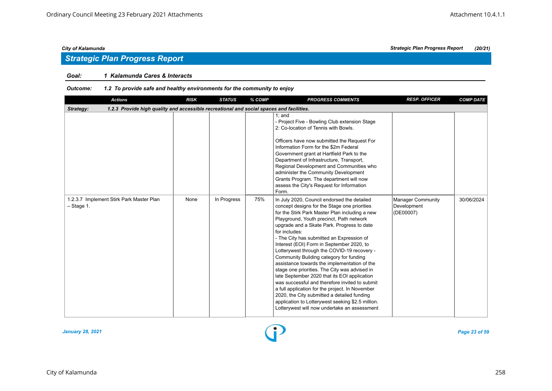## *Strategic Plan Progress Report*

### *Goal: 1 Kalamunda Cares & Interacts*

| <b>Actions</b>                                                                                        | <b>RISK</b> | <b>STATUS</b> | % COMP | <b>PROGRESS COMMENTS</b>                                                                                                                                                                                                                                                                                                                                                                                                                                                                                                                                                                                                                                                                                                                                                                                                                               | <b>RESP. OFFICER</b>                                 | <b>COMP DATE</b> |  |  |  |  |
|-------------------------------------------------------------------------------------------------------|-------------|---------------|--------|--------------------------------------------------------------------------------------------------------------------------------------------------------------------------------------------------------------------------------------------------------------------------------------------------------------------------------------------------------------------------------------------------------------------------------------------------------------------------------------------------------------------------------------------------------------------------------------------------------------------------------------------------------------------------------------------------------------------------------------------------------------------------------------------------------------------------------------------------------|------------------------------------------------------|------------------|--|--|--|--|
| 1.2.3 Provide high quality and accessible recreational and social spaces and facilities.<br>Strategy: |             |               |        |                                                                                                                                                                                                                                                                                                                                                                                                                                                                                                                                                                                                                                                                                                                                                                                                                                                        |                                                      |                  |  |  |  |  |
|                                                                                                       |             |               |        | $1:$ and<br>- Project Five - Bowling Club extension Stage<br>2: Co-location of Tennis with Bowls.<br>Officers have now submitted the Request For<br>Information Form for the \$2m Federal<br>Government grant at Hartfield Park to the<br>Department of Infrastructure, Transport,<br>Regional Development and Communities who<br>administer the Community Development<br>Grants Program. The department will now<br>assess the City's Request for Information<br>Form.                                                                                                                                                                                                                                                                                                                                                                                |                                                      |                  |  |  |  |  |
| 1.2.3.7 Implement Stirk Park Master Plan<br>$-$ Stage 1.                                              | None        | In Progress   | 75%    | In July 2020, Council endorsed the detailed<br>concept designs for the Stage one priorities<br>for the Stirk Park Master Plan including a new<br>Playground, Youth precinct, Path network<br>upgrade and a Skate Park. Progress to date<br>for includes:<br>- The City has submitted an Expression of<br>Interest (EOI) Form in September 2020, to<br>Lotterywest through the COVID-19 recovery -<br>Community Building category for funding<br>assistance towards the implementation of the<br>stage one priorities. The City was advised in<br>late September 2020 that its EOI application<br>was successful and therefore invited to submit<br>a full application for the project. In November<br>2020, the City submitted a detailed funding<br>application to Lotterywest seeking \$2.5 million.<br>Lotterywest will now undertake an assessment | <b>Manager Community</b><br>Development<br>(DE00007) | 30/06/2024       |  |  |  |  |

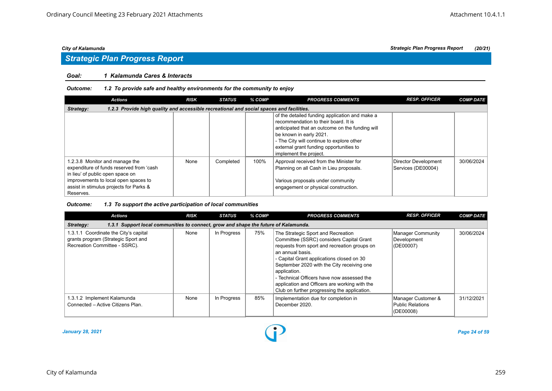# *Strategic Plan Progress Report*

### *Goal: 1 Kalamunda Cares & Interacts*

#### *Outcome: 1.2 To provide safe and healthy environments for the community to enjoy*

| Actions                                                                                                                                                                                                        | <b>RISK</b> | <b>STATUS</b> | % COMP | <b>PROGRESS COMMENTS</b>                                                                                                                                                                                                                                                               | <b>RESP. OFFICER</b>                       | <b>COMP DATE</b> |  |  |  |  |
|----------------------------------------------------------------------------------------------------------------------------------------------------------------------------------------------------------------|-------------|---------------|--------|----------------------------------------------------------------------------------------------------------------------------------------------------------------------------------------------------------------------------------------------------------------------------------------|--------------------------------------------|------------------|--|--|--|--|
| 1.2.3 Provide high quality and accessible recreational and social spaces and facilities.<br>Strategy:                                                                                                          |             |               |        |                                                                                                                                                                                                                                                                                        |                                            |                  |  |  |  |  |
|                                                                                                                                                                                                                |             |               |        | of the detailed funding application and make a<br>recommendation to their board. It is<br>anticipated that an outcome on the funding will<br>be known in early 2021.<br>- The City will continue to explore other<br>external grant funding opportunities to<br>implement the project. |                                            |                  |  |  |  |  |
| 1.2.3.8 Monitor and manage the<br>expenditure of funds reserved from 'cash<br>in lieu' of public open space on<br>improvements to local open spaces to<br>assist in stimulus projects for Parks &<br>Reserves. | None        | Completed     | 100%   | Approval received from the Minister for<br>Planning on all Cash in Lieu proposals.<br>Various proposals under community<br>engagement or physical construction.                                                                                                                        | Director Development<br>Services (DE00004) | 30/06/2024       |  |  |  |  |

| <b>Actions</b>                                                                                                | <b>RISK</b> | <b>STATUS</b> | % COMP | <b>PROGRESS COMMENTS</b>                                                                                                                                                                                                                                                                                                                                                                                     | <b>RESP. OFFICER</b>                                | <b>COMP DATE</b> |  |  |  |  |
|---------------------------------------------------------------------------------------------------------------|-------------|---------------|--------|--------------------------------------------------------------------------------------------------------------------------------------------------------------------------------------------------------------------------------------------------------------------------------------------------------------------------------------------------------------------------------------------------------------|-----------------------------------------------------|------------------|--|--|--|--|
| 1.3.1 Support local communities to connect, grow and shape the future of Kalamunda.<br>Strategy:              |             |               |        |                                                                                                                                                                                                                                                                                                                                                                                                              |                                                     |                  |  |  |  |  |
| 1.3.1.1 Coordinate the City's capital<br>grants program (Strategic Sport and<br>Recreation Committee - SSRC). | None        | In Progress   | 75%    | The Strategic Sport and Recreation<br>Committee (SSRC) considers Capital Grant<br>requests from sport and recreation groups on<br>an annual basis.<br>- Capital Grant applications closed on 30<br>September 2020 with the City receiving one<br>application.<br>- Technical Officers have now assessed the<br>application and Officers are working with the<br>Club on further progressing the application. | Manager Community<br>Development<br>(DE00007)       | 30/06/2024       |  |  |  |  |
| 1.3.1.2 Implement Kalamunda<br>Connected - Active Citizens Plan.                                              | None        | In Progress   | 85%    | Implementation due for completion in<br>December 2020.                                                                                                                                                                                                                                                                                                                                                       | Manager Customer &<br>Public Relations<br>(DE00008) | 31/12/2021       |  |  |  |  |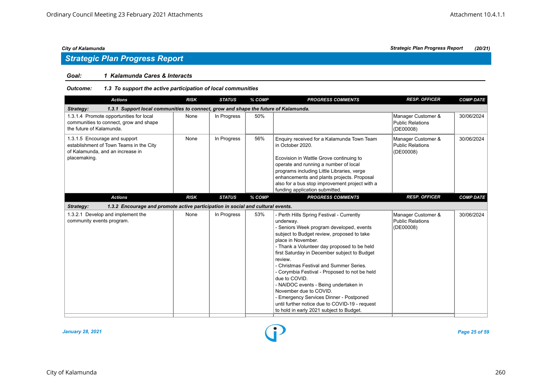## *Strategic Plan Progress Report*

#### *Goal: 1 Kalamunda Cares & Interacts*

| <b>Actions</b>                                                                                                               | <b>RISK</b> | <b>STATUS</b> | % COMP | <b>PROGRESS COMMENTS</b>                                                                                                                                                                                                                                                                                                                                                                                                                                                                                                                                                                                  | <b>RESP. OFFICER</b>                                       | <b>COMP DATE</b> |
|------------------------------------------------------------------------------------------------------------------------------|-------------|---------------|--------|-----------------------------------------------------------------------------------------------------------------------------------------------------------------------------------------------------------------------------------------------------------------------------------------------------------------------------------------------------------------------------------------------------------------------------------------------------------------------------------------------------------------------------------------------------------------------------------------------------------|------------------------------------------------------------|------------------|
| 1.3.1 Support local communities to connect, grow and shape the future of Kalamunda.<br>Strategy:                             |             |               |        |                                                                                                                                                                                                                                                                                                                                                                                                                                                                                                                                                                                                           |                                                            |                  |
| 1.3.1.4 Promote opportunities for local<br>communities to connect, grow and shape<br>the future of Kalamunda.                | None        | In Progress   | 50%    |                                                                                                                                                                                                                                                                                                                                                                                                                                                                                                                                                                                                           | Manager Customer &<br><b>Public Relations</b><br>(DE00008) | 30/06/2024       |
| 1.3.1.5 Encourage and support<br>establishment of Town Teams in the City<br>of Kalamunda, and an increase in<br>placemaking. | None        | In Progress   | 56%    | Enquiry received for a Kalamunda Town Team<br>in October 2020.<br>Ecovision in Wattle Grove continuing to<br>operate and running a number of local<br>programs including Little Libraries, verge<br>enhancements and plants projects. Proposal<br>also for a bus stop improvement project with a<br>funding application submitted.                                                                                                                                                                                                                                                                        | Manager Customer &<br><b>Public Relations</b><br>(DE00008) | 30/06/2024       |
| <b>Actions</b>                                                                                                               | <b>RISK</b> | <b>STATUS</b> | % COMP | <b>PROGRESS COMMENTS</b>                                                                                                                                                                                                                                                                                                                                                                                                                                                                                                                                                                                  | <b>RESP. OFFICER</b>                                       | <b>COMP DATE</b> |
| 1.3.2 Encourage and promote active participation in social and cultural events.<br>Strategy:                                 |             |               |        |                                                                                                                                                                                                                                                                                                                                                                                                                                                                                                                                                                                                           |                                                            |                  |
| 1.3.2.1 Develop and implement the<br>community events program.                                                               | None        | In Progress   | 53%    | - Perth Hills Spring Festival - Currently<br>underway.<br>- Seniors Week program developed, events<br>subject to Budget review, proposed to take<br>place in November.<br>- Thank a Volunteer day proposed to be held<br>first Saturday in December subject to Budget<br>review.<br>- Christmas Festival and Summer Series.<br>- Corymbia Festival - Proposed to not be held<br>due to COVID.<br>- NAIDOC events - Being undertaken in<br>November due to COVID.<br>- Emergency Services Dinner - Postponed<br>until further notice due to COVID-19 - request<br>to hold in early 2021 subject to Budget. | Manager Customer &<br><b>Public Relations</b><br>(DE00008) | 30/06/2024       |

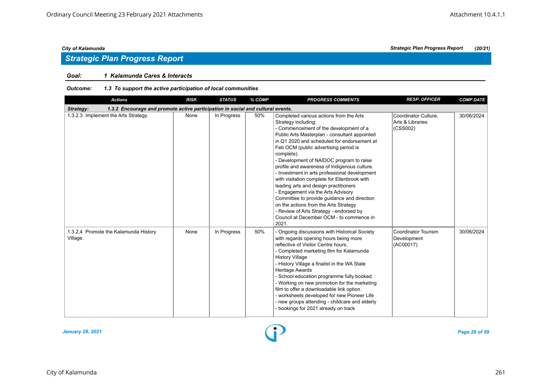## *Strategic Plan Progress Report*

### *Goal: 1 Kalamunda Cares & Interacts*

| <b>Actions</b>                                                                               | <b>RISK</b> | <b>STATUS</b> | % COMP | <b>PROGRESS COMMENTS</b>                                                                                                                                                                                                                                                                                                                                                                                                                                                                                                                                                                                                                                                                                                            | <b>RESP. OFFICER</b>                                 | <b>COMP DATE</b> |
|----------------------------------------------------------------------------------------------|-------------|---------------|--------|-------------------------------------------------------------------------------------------------------------------------------------------------------------------------------------------------------------------------------------------------------------------------------------------------------------------------------------------------------------------------------------------------------------------------------------------------------------------------------------------------------------------------------------------------------------------------------------------------------------------------------------------------------------------------------------------------------------------------------------|------------------------------------------------------|------------------|
| Strategy:<br>1.3.2 Encourage and promote active participation in social and cultural events. |             |               |        |                                                                                                                                                                                                                                                                                                                                                                                                                                                                                                                                                                                                                                                                                                                                     |                                                      |                  |
| 1.3.2.3 Implement the Arts Strategy.                                                         | None        | In Progress   | 50%    | Completed various actions from the Arts<br>Strategy including:<br>- Commencement of the development of a<br>Public Arts Masterplan - consultant appointed<br>in Q1 2020 and scheduled for endorsement at<br>Feb OCM (public advertising period is<br>complete).<br>- Development of NAIDOC program to raise<br>profile and awareness of Indigenous culture.<br>- Investment in arts professional development<br>with visitation complete for Ellenbrook with<br>leading arts and design practitioners<br>- Engagement via the Arts Advisory<br>Committee to provide guidance and direction<br>on the actions from the Arts Strategy<br>- Review of Arts Strategy - endorsed by<br>Council at December OCM - to commence in<br>2021. | Coordinator Culture,<br>Arts & Libraries<br>(CSS002) | 30/06/2024       |
| 1.3.2.4 Promote the Kalamunda History<br>Village.                                            | None        | In Progress   | 50%    | - Ongoing discussions with Historical Society<br>with regards opening hours being more<br>reflective of Visitor Centre hours.<br>- Completed marketing film for Kalamunda<br><b>History Village</b><br>- History Village a finalist in the WA State<br><b>Heritage Awards</b><br>- School education programme fully booked.<br>- Working on new promotion for the marketing<br>film to offer a downloadable link option.<br>- worksheets developed for new Pioneer Life<br>- new groups attending - childcare and elderly<br>- bookings for 2021 already on track                                                                                                                                                                   | Coordinator Tourism<br>Development<br>(AC00017)      | 30/06/2024       |

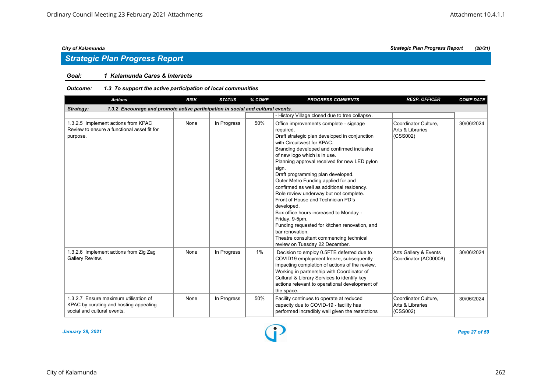### *Goal: 1 Kalamunda Cares & Interacts*

| <b>Actions</b>                                                                                                 | <b>RISK</b> | <b>STATUS</b> | % COMP | <b>PROGRESS COMMENTS</b>                                                                                                                                                                                                                                                                                                                                                                                                                                                                                                                                                                                                                                                                                       | <b>RESP. OFFICER</b>                                 | <b>COMP DATE</b> |
|----------------------------------------------------------------------------------------------------------------|-------------|---------------|--------|----------------------------------------------------------------------------------------------------------------------------------------------------------------------------------------------------------------------------------------------------------------------------------------------------------------------------------------------------------------------------------------------------------------------------------------------------------------------------------------------------------------------------------------------------------------------------------------------------------------------------------------------------------------------------------------------------------------|------------------------------------------------------|------------------|
| 1.3.2 Encourage and promote active participation in social and cultural events.<br>Strategy:                   |             |               |        |                                                                                                                                                                                                                                                                                                                                                                                                                                                                                                                                                                                                                                                                                                                |                                                      |                  |
|                                                                                                                |             |               |        | - History Village closed due to tree collapse.                                                                                                                                                                                                                                                                                                                                                                                                                                                                                                                                                                                                                                                                 |                                                      |                  |
| 1.3.2.5 Implement actions from KPAC<br>Review to ensure a functional asset fit for<br>purpose.                 | None        | In Progress   | 50%    | Office improvements complete - signage<br>required.<br>Draft strategic plan developed in conjunction<br>with Circuitwest for KPAC.<br>Branding developed and confirmed inclusive<br>of new logo which is in use.<br>Planning approval received for new LED pylon<br>sign.<br>Draft programming plan developed.<br>Outer Metro Funding applied for and<br>confirmed as well as additional residency.<br>Role review underway but not complete.<br>Front of House and Technician PD's<br>developed.<br>Box office hours increased to Monday -<br>Friday, 9-5pm.<br>Funding requested for kitchen renovation, and<br>bar renovation.<br>Theatre consultant commencing technical<br>review on Tuesday 22 December. | Coordinator Culture.<br>Arts & Libraries<br>(CSS002) | 30/06/2024       |
| 1.3.2.6 Implement actions from Zig Zag<br>Gallery Review.                                                      | None        | In Progress   | 1%     | Decision to employ 0.5FTE deferred due to<br>COVID19 employment freeze, subsequently<br>impacting completion of actions of the review.<br>Working in partnership with Coordinator of<br>Cultural & Library Services to identify key<br>actions relevant to operational development of<br>the space.                                                                                                                                                                                                                                                                                                                                                                                                            | Arts Gallery & Events<br>Coordinator (AC00008)       | 30/06/2024       |
| 1.3.2.7 Ensure maximum utilisation of<br>KPAC by curating and hosting appealing<br>social and cultural events. | None        | In Progress   | 50%    | Facility continues to operate at reduced<br>capacity due to COVID-19 - facility has<br>performed incredibly well given the restrictions                                                                                                                                                                                                                                                                                                                                                                                                                                                                                                                                                                        | Coordinator Culture,<br>Arts & Libraries<br>(CSS002) | 30/06/2024       |

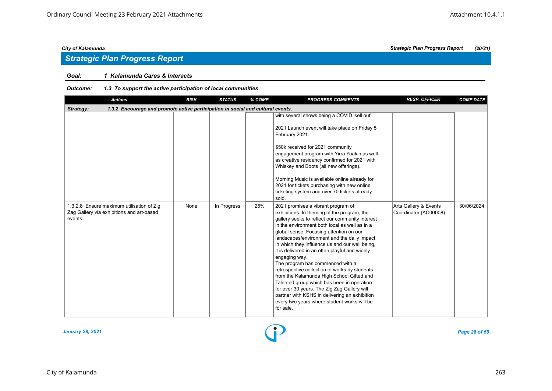## *Strategic Plan Progress Report*

### *Goal: 1 Kalamunda Cares & Interacts*

| <b>Actions</b>                                                                                    | <b>RISK</b> | <b>STATUS</b> | % COMP | <b>PROGRESS COMMENTS</b>                                                                                                                                                                                                                                                                                                                                                                                                                                                                                                                                                                                                                                                                                                                         | <b>RESP. OFFICER</b>                           | <b>COMP DATE</b> |
|---------------------------------------------------------------------------------------------------|-------------|---------------|--------|--------------------------------------------------------------------------------------------------------------------------------------------------------------------------------------------------------------------------------------------------------------------------------------------------------------------------------------------------------------------------------------------------------------------------------------------------------------------------------------------------------------------------------------------------------------------------------------------------------------------------------------------------------------------------------------------------------------------------------------------------|------------------------------------------------|------------------|
| 1.3.2 Encourage and promote active participation in social and cultural events.<br>Strategy:      |             |               |        |                                                                                                                                                                                                                                                                                                                                                                                                                                                                                                                                                                                                                                                                                                                                                  |                                                |                  |
|                                                                                                   |             |               |        | with several shows being a COVID 'sell out'.<br>2021 Launch event will take place on Friday 5<br>February 2021.<br>\$50k received for 2021 community<br>engagement program with Yirra Yaakin as well<br>as creative residency confirmed for 2021 with<br>Whiskey and Boots (all new offerings).<br>Morning Music is available online already for<br>2021 for tickets purchasing with new online<br>ticketing system and over 70 tickets already<br>sold.                                                                                                                                                                                                                                                                                         |                                                |                  |
| 1.3.2.8 Ensure maximum utilisation of Zig<br>Zag Gallery via exhibitions and art-based<br>events. | None        | In Progress   | 25%    | 2021 promises a vibrant program of<br>exhibitions. In theming of the program, the<br>gallery seeks to reflect our community interest<br>in the environment both local as well as in a<br>global sense. Focusing attention on our<br>landscapes/environment and the daily impact<br>in which they influence us and our well being,<br>it is delivered in an often playful and widely<br>engaging way.<br>The program has commenced with a<br>retrospective collection of works by students<br>from the Kalamunda High School Gifted and<br>Talented group which has been in operation<br>for over 30 years. The Zig Zag Gallery will<br>partner with KSHS in delivering an exhibition<br>every two years where student works will be<br>for sale. | Arts Gallery & Events<br>Coordinator (AC00008) | 30/06/2024       |

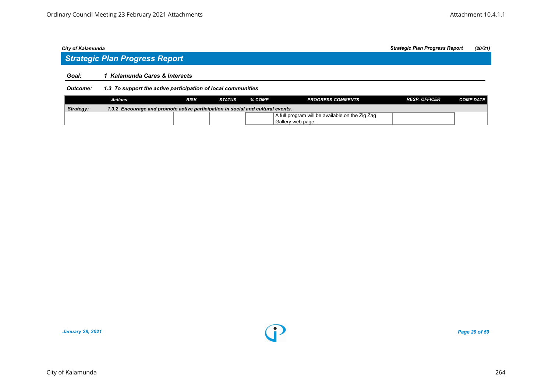## *Strategic Plan Progress Report*

#### *Goal: 1 Kalamunda Cares & Interacts*

#### *Outcome: 1.3 To support the active participation of local communities*

|           | Actions                                                                         | <b>RISK</b> | <b>STATUS</b> | % COMP | <b>PROGRESS COMMENTS</b>                        | <b>RESP. OFFICER</b> | <b>COMP DATE</b> |  |  |
|-----------|---------------------------------------------------------------------------------|-------------|---------------|--------|-------------------------------------------------|----------------------|------------------|--|--|
| Strategy: | 1.3.2 Encourage and promote active participation in social and cultural events. |             |               |        |                                                 |                      |                  |  |  |
|           |                                                                                 |             |               |        | A full program will be available on the Zig Zag |                      |                  |  |  |
|           |                                                                                 |             |               |        | Gallery web page.                               |                      |                  |  |  |

*January 28, 2021 Page 29 of 59*

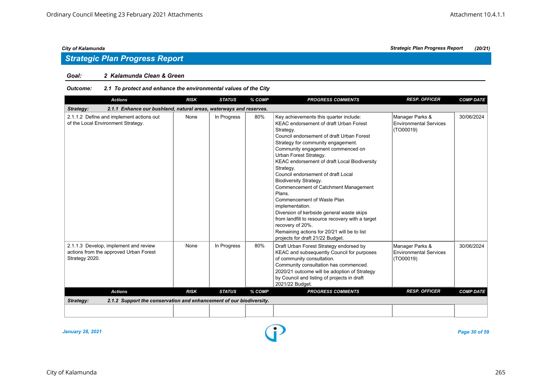#### *Goal: 2 Kalamunda Clean & Green*

#### *Outcome: 2.1 To protect and enhance the environmental values of the City*

| <b>Actions</b>                                                                                    | <b>RISK</b> | <b>STATUS</b> | % COMP | <b>PROGRESS COMMENTS</b>                                                                                                                                                                                                                                                                                                                                                                                                                                                                                                                                                                                                                                                                              | <b>RESP. OFFICER</b>                                          | <b>COMP DATE</b> |
|---------------------------------------------------------------------------------------------------|-------------|---------------|--------|-------------------------------------------------------------------------------------------------------------------------------------------------------------------------------------------------------------------------------------------------------------------------------------------------------------------------------------------------------------------------------------------------------------------------------------------------------------------------------------------------------------------------------------------------------------------------------------------------------------------------------------------------------------------------------------------------------|---------------------------------------------------------------|------------------|
| 2.1.1 Enhance our bushland, natural areas, waterways and reserves.<br>Strategy:                   |             |               |        |                                                                                                                                                                                                                                                                                                                                                                                                                                                                                                                                                                                                                                                                                                       |                                                               |                  |
| 2.1.1.2 Define and implement actions out<br>of the Local Environment Strategy.                    | None        | In Progress   | 80%    | Key achievements this quarter include:<br><b>KEAC endorsement of draft Urban Forest</b><br>Strategy.<br>Council endorsement of draft Urban Forest<br>Strategy for community engagement.<br>Community engagement commenced on<br>Urban Forest Strategy.<br>KEAC endorsement of draft Local Biodiversity<br>Strategy.<br>Council endorsement of draft Local<br><b>Biodiversity Strategy.</b><br>Commencement of Catchment Management<br>Plans.<br>Commencement of Waste Plan<br>implementation.<br>Diversion of kerbside general waste skips<br>from landfill to resource recovery with a target<br>recovery of 20%.<br>Remaining actions for 20/21 will be to list<br>projects for draft 21/22 Budget. | Manager Parks &<br><b>Environmental Services</b><br>(TO00019) | 30/06/2024       |
| 2.1.1.3 Develop, implement and review<br>actions from the approved Urban Forest<br>Strategy 2020. | None        | In Progress   | 80%    | Draft Urban Forest Strategy endorsed by<br>KEAC and subsequently Council for purposes<br>of community consultation.<br>Community consultation has commenced.<br>2020/21 outcome will be adoption of Strategy<br>by Council and listing of projects in draft<br>2021/22 Budget.                                                                                                                                                                                                                                                                                                                                                                                                                        | Manager Parks &<br><b>Environmental Services</b><br>(TO00019) | 30/06/2024       |
| <b>Actions</b>                                                                                    | <b>RISK</b> | <b>STATUS</b> | % COMP | <b>PROGRESS COMMENTS</b>                                                                                                                                                                                                                                                                                                                                                                                                                                                                                                                                                                                                                                                                              | <b>RESP. OFFICER</b>                                          | <b>COMP DATE</b> |
| 2.1.2 Support the conservation and enhancement of our biodiversity.<br>Strategy:                  |             |               |        |                                                                                                                                                                                                                                                                                                                                                                                                                                                                                                                                                                                                                                                                                                       |                                                               |                  |
|                                                                                                   |             |               |        |                                                                                                                                                                                                                                                                                                                                                                                                                                                                                                                                                                                                                                                                                                       |                                                               |                  |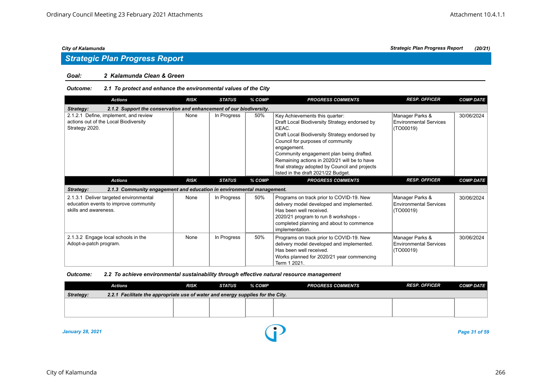### *Strategic Plan Progress Report*

#### *Goal: 2 Kalamunda Clean & Green*

#### *Outcome: 2.1 To protect and enhance the environmental values of the City*

| <b>Actions</b>                                                                                           | <b>RISK</b> | <b>STATUS</b> | % COMP | <b>PROGRESS COMMENTS</b>                                                                                                                                                                                                                                                                                                                                                           | <b>RESP. OFFICER</b>                                          | <b>COMP DATE</b> |
|----------------------------------------------------------------------------------------------------------|-------------|---------------|--------|------------------------------------------------------------------------------------------------------------------------------------------------------------------------------------------------------------------------------------------------------------------------------------------------------------------------------------------------------------------------------------|---------------------------------------------------------------|------------------|
| 2.1.2 Support the conservation and enhancement of our biodiversity.<br>Strategy:                         |             |               |        |                                                                                                                                                                                                                                                                                                                                                                                    |                                                               |                  |
| 2.1.2.1 Define, implement, and review<br>actions out of the Local Biodiversity<br>Strategy 2020.         | None        | In Progress   | 50%    | Key Achievements this quarter:<br>Draft Local Biodiversity Strategy endorsed by<br>KEAC.<br>Draft Local Biodiversity Strategy endorsed by<br>Council for purposes of community<br>engagement.<br>Community engagement plan being drafted.<br>Remaining actions in 2020/21 will be to have<br>final strategy adopted by Council and projects<br>listed in the draft 2021/22 Budget. | Manager Parks &<br><b>Environmental Services</b><br>(TO00019) | 30/06/2024       |
| <b>Actions</b>                                                                                           | <b>RISK</b> | <b>STATUS</b> | % COMP | <b>PROGRESS COMMENTS</b>                                                                                                                                                                                                                                                                                                                                                           | <b>RESP. OFFICER</b>                                          | <b>COMP DATE</b> |
| 2.1.3 Community engagement and education in environmental management.<br>Strategy:                       |             |               |        |                                                                                                                                                                                                                                                                                                                                                                                    |                                                               |                  |
| 2.1.3.1 Deliver targeted environmental<br>education events to improve community<br>skills and awareness. | None        | In Progress   | 50%    | Programs on track prior to COVID-19. New<br>delivery model developed and implemented.<br>Has been well received.<br>2020/21 program to run 8 workshops -<br>completed planning and about to commence<br>implementation.                                                                                                                                                            | Manager Parks &<br><b>Environmental Services</b><br>(TO00019) | 30/06/2024       |
| 2.1.3.2 Engage local schools in the<br>Adopt-a-patch program.                                            | None        | In Progress   | 50%    | Programs on track prior to COVID-19. New<br>delivery model developed and implemented.<br>Has been well received.<br>Works planned for 2020/21 year commencing<br>Term 1 2021.                                                                                                                                                                                                      | Manager Parks &<br><b>Environmental Services</b><br>(TO00019) | 30/06/2024       |

#### *Outcome: 2.2 To achieve environmental sustainability through effective natural resource management*

|                                                                                                     | <b>Actions</b> | <b>RISK</b> | STATUS | % COMP | <b>PROGRESS COMMENTS</b> | <b>RESP. OFFICER</b> | <b>COMP DATE</b> |  |  |  |
|-----------------------------------------------------------------------------------------------------|----------------|-------------|--------|--------|--------------------------|----------------------|------------------|--|--|--|
| <b>Strategy:</b><br>2.2.1 Facilitate the appropriate use of water and energy supplies for the City. |                |             |        |        |                          |                      |                  |  |  |  |
|                                                                                                     |                |             |        |        |                          |                      |                  |  |  |  |
|                                                                                                     |                |             |        |        |                          |                      |                  |  |  |  |
|                                                                                                     |                |             |        |        |                          |                      |                  |  |  |  |

*January 28, 2021 Page 31 of 59*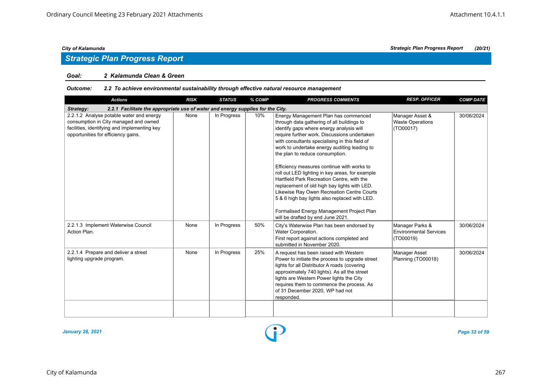## *Strategic Plan Progress Report*

#### *Goal: 2 Kalamunda Clean & Green*

#### *Outcome: 2.2 To achieve environmental sustainability through effective natural resource management*

| <b>Actions</b>                                                                                                                                                           | <b>RISK</b> | <b>STATUS</b> | % COMP | <b>PROGRESS COMMENTS</b>                                                                                                                                                                                                                                                                                                                                                                                                                                                                                                                                                                                                                                                                            | <b>RESP. OFFICER</b>                                          | <b>COMP DATE</b> |
|--------------------------------------------------------------------------------------------------------------------------------------------------------------------------|-------------|---------------|--------|-----------------------------------------------------------------------------------------------------------------------------------------------------------------------------------------------------------------------------------------------------------------------------------------------------------------------------------------------------------------------------------------------------------------------------------------------------------------------------------------------------------------------------------------------------------------------------------------------------------------------------------------------------------------------------------------------------|---------------------------------------------------------------|------------------|
| 2.2.1 Facilitate the appropriate use of water and energy supplies for the City.<br>Strategy:                                                                             |             |               |        |                                                                                                                                                                                                                                                                                                                                                                                                                                                                                                                                                                                                                                                                                                     |                                                               |                  |
| 2.2.1.2 Analyse potable water and energy<br>consumption in City managed and owned<br>facilities, identifying and implementing key<br>opportunities for efficiency gains. | None        | In Progress   | 10%    | Energy Management Plan has commenced<br>through data gathering of all buildings to<br>identify gaps where energy analysis will<br>require further work. Discussions undertaken<br>with consultants specialising in this field of<br>work to undertake energy auditing leading to<br>the plan to reduce consumption.<br>Efficiency measures continue with works to<br>roll out LED lighting in key areas, for example<br>Hartfield Park Recreation Centre, with the<br>replacement of old high bay lights with LED.<br>Likewise Ray Owen Recreation Centre Courts<br>5 & 6 high bay lights also replaced with LED.<br>Formalised Energy Management Project Plan<br>will be drafted by end June 2021. | Manager Asset &<br><b>Waste Operations</b><br>(TO00017)       | 30/06/2024       |
| 2.2.1.3 Implement Waterwise Council<br>Action Plan.                                                                                                                      | None        | In Progress   | 50%    | City's Waterwise Plan has been endorsed by<br>Water Corporation.<br>First report against actions completed and<br>submitted in November 2020.                                                                                                                                                                                                                                                                                                                                                                                                                                                                                                                                                       | Manager Parks &<br><b>Environmental Services</b><br>(TO00019) | 30/06/2024       |
| 2.2.1.4 Prepare and deliver a street<br>lighting upgrade program.                                                                                                        | None        | In Progress   | 25%    | A request has been raised with Western<br>Power to initiate the process to upgrade street<br>lights for all Distributor A roads (covering<br>approximately 740 lights). As all the street<br>lights are Western Power lights the City<br>requires them to commence the process. As<br>of 31 December 2020, WP had not<br>responded.                                                                                                                                                                                                                                                                                                                                                                 | Manager Asset<br>Planning (TO00018)                           | 30/06/2024       |

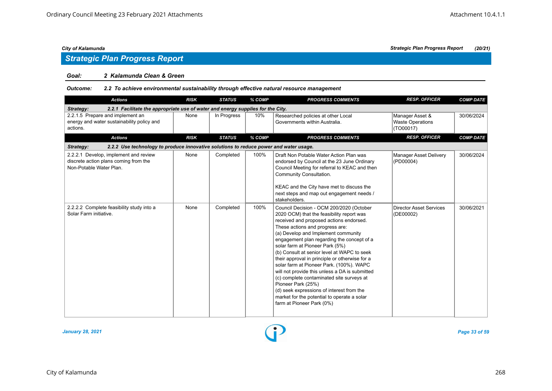## *Strategic Plan Progress Report*

#### *Goal: 2 Kalamunda Clean & Green*

#### *Outcome: 2.2 To achieve environmental sustainability through effective natural resource management*

| <b>Actions</b>                                                                                            | <b>RISK</b> | <b>STATUS</b> | % COMP | <b>PROGRESS COMMENTS</b>                                                                                                                                                                                                                                                                                                                                                                                                                                                                                                                                                                                                                                                               | <b>RESP. OFFICER</b>                                    | <b>COMP DATE</b> |
|-----------------------------------------------------------------------------------------------------------|-------------|---------------|--------|----------------------------------------------------------------------------------------------------------------------------------------------------------------------------------------------------------------------------------------------------------------------------------------------------------------------------------------------------------------------------------------------------------------------------------------------------------------------------------------------------------------------------------------------------------------------------------------------------------------------------------------------------------------------------------------|---------------------------------------------------------|------------------|
| 2.2.1 Facilitate the appropriate use of water and energy supplies for the City.<br>Strategy:              |             |               |        |                                                                                                                                                                                                                                                                                                                                                                                                                                                                                                                                                                                                                                                                                        |                                                         |                  |
| 2.2.1.5 Prepare and implement an<br>energy and water sustainability policy and<br>actions.                | None        | In Progress   | 10%    | Researched policies at other Local<br>Governments within Australia.                                                                                                                                                                                                                                                                                                                                                                                                                                                                                                                                                                                                                    | Manager Asset &<br><b>Waste Operations</b><br>(TO00017) | 30/06/2024       |
| <b>Actions</b>                                                                                            | <b>RISK</b> | <b>STATUS</b> | % COMP | <b>PROGRESS COMMENTS</b>                                                                                                                                                                                                                                                                                                                                                                                                                                                                                                                                                                                                                                                               | <b>RESP. OFFICER</b>                                    | <b>COMP DATE</b> |
| 2.2.2 Use technology to produce innovative solutions to reduce power and water usage.<br>Strategy:        |             |               |        |                                                                                                                                                                                                                                                                                                                                                                                                                                                                                                                                                                                                                                                                                        |                                                         |                  |
| 2.2.2.1 Develop, implement and review<br>discrete action plans coming from the<br>Non-Potable Water Plan. | None        | Completed     | 100%   | Draft Non Potable Water Action Plan was<br>endorsed by Council at the 23 June Ordinary<br>Council Meeting for referral to KEAC and then<br>Community Consultation.<br>KEAC and the City have met to discuss the<br>next steps and map out engagement needs /<br>stakeholders.                                                                                                                                                                                                                                                                                                                                                                                                          | <b>Manager Asset Delivery</b><br>(PD00004)              | 30/06/2024       |
| 2.2.2.2 Complete feasibility study into a<br>Solar Farm initiative.                                       | None        | Completed     | 100%   | Council Decision - OCM 200/2020 (October<br>2020 OCM) that the feasibility report was<br>received and proposed actions endorsed.<br>These actions and progress are:<br>(a) Develop and Implement community<br>engagement plan regarding the concept of a<br>solar farm at Pioneer Park (5%)<br>(b) Consult at senior level at WAPC to seek<br>their approval in principle or otherwise for a<br>solar farm at Pioneer Park. (100%). WAPC<br>will not provide this unless a DA is submitted<br>(c) complete contaminated site surveys at<br>Pioneer Park (25%)<br>(d) seek expressions of interest from the<br>market for the potential to operate a solar<br>farm at Pioneer Park (0%) | <b>Director Asset Services</b><br>(DE00002)             | 30/06/2021       |

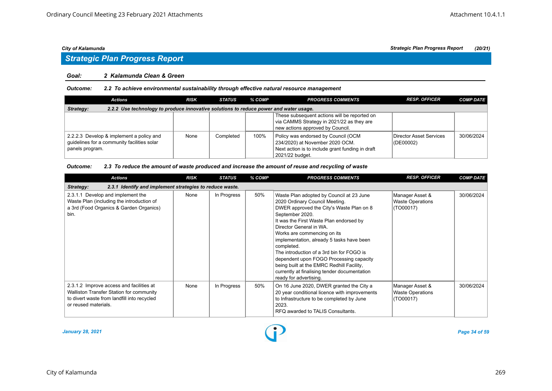# *Strategic Plan Progress Report*

#### *Goal: 2 Kalamunda Clean & Green*

#### *Outcome: 2.2 To achieve environmental sustainability through effective natural resource management*

| <b>Actions</b>                                                                                             | <b>RISK</b> | <b>STATUS</b> | % COMP | <b>PROGRESS COMMENTS</b>                                                                                                                      | <b>RESP. OFFICER</b>                     | <b>COMP DATE</b> |  |  |  |  |
|------------------------------------------------------------------------------------------------------------|-------------|---------------|--------|-----------------------------------------------------------------------------------------------------------------------------------------------|------------------------------------------|------------------|--|--|--|--|
| 2.2.2 Use technology to produce innovative solutions to reduce power and water usage.<br>Strategy:         |             |               |        |                                                                                                                                               |                                          |                  |  |  |  |  |
|                                                                                                            |             |               |        | These subsequent actions will be reported on<br>via CAMMS Strategy in 2021/22 as they are<br>new actions approved by Council.                 |                                          |                  |  |  |  |  |
| 2.2.2.3 Develop & implement a policy and<br>guidelines for a community facilities solar<br>panels program. | None        | Completed     | 100%   | Policy was endorsed by Council (OCM<br>234/2020) at November 2020 OCM.<br>Next action is to include grant funding in draft<br>2021/22 budaet. | Director Asset Services<br>$ $ (DE00002) | 30/06/2024       |  |  |  |  |

#### *Outcome: 2.3 To reduce the amount of waste produced and increase the amount of reuse and recycling of waste*

| <b>Actions</b>                                                                                                                                              | <b>RISK</b> | <b>STATUS</b> | % COMP | <b>PROGRESS COMMENTS</b>                                                                                                                                                                                                                                                                                                                                                                                                                                                                                                 | <b>RESP. OFFICER</b>                                    | <b>COMP DATE</b> |
|-------------------------------------------------------------------------------------------------------------------------------------------------------------|-------------|---------------|--------|--------------------------------------------------------------------------------------------------------------------------------------------------------------------------------------------------------------------------------------------------------------------------------------------------------------------------------------------------------------------------------------------------------------------------------------------------------------------------------------------------------------------------|---------------------------------------------------------|------------------|
| 2.3.1 Identify and implement strategies to reduce waste.<br>Strategy:                                                                                       |             |               |        |                                                                                                                                                                                                                                                                                                                                                                                                                                                                                                                          |                                                         |                  |
| 2.3.1.1 Develop and implement the<br>Waste Plan (including the introduction of<br>a 3rd (Food Organics & Garden Organics)<br>bin.                           | None        | In Progress   | 50%    | Waste Plan adopted by Council at 23 June<br>2020 Ordinary Council Meeting.<br>DWER approved the City's Waste Plan on 8<br>September 2020.<br>It was the First Waste Plan endorsed by<br>Director General in WA.<br>Works are commencing on its<br>implementation, already 5 tasks have been<br>completed.<br>The introduction of a 3rd bin for FOGO is<br>dependent upon FOGO Processing capacity<br>being built at the EMRC Redhill Facility,<br>currently at finalising tender documentation<br>ready for advertising. | Manager Asset &<br><b>Waste Operations</b><br>(TO00017) | 30/06/2024       |
| 2.3.1.2 Improve access and facilities at<br>Walliston Transfer Station for community<br>to divert waste from landfill into recycled<br>or reused materials. | None        | In Progress   | 50%    | On 16 June 2020, DWER granted the City a<br>20 year conditional licence with improvements<br>to Infrastructure to be completed by June<br>2023.<br>RFQ awarded to TALIS Consultants.                                                                                                                                                                                                                                                                                                                                     | Manager Asset &<br><b>Waste Operations</b><br>(TO00017) | 30/06/2024       |

*January 28, 2021 Page 34 of 59*

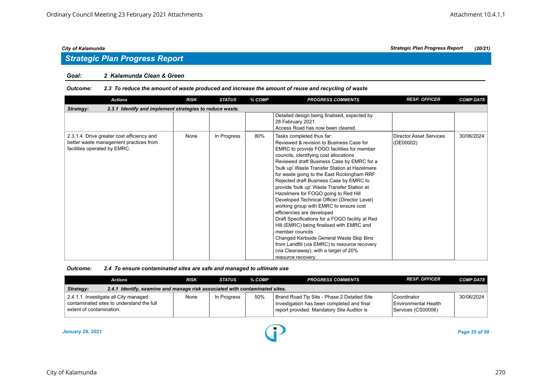## *Strategic Plan Progress Report*

#### *Goal: 2 Kalamunda Clean & Green*

#### *Outcome: 2.3 To reduce the amount of waste produced and increase the amount of reuse and recycling of waste*

| <b>Actions</b>                                                                                                      | <b>RISK</b> | <b>STATUS</b> | % COMP | <b>PROGRESS COMMENTS</b>                                                                                                                                                                                                                                                                                                                                                                                                                                                                                                                                                                                                                                                                                                                                                                                                                           | <b>RESP. OFFICER</b>                        | <b>COMP DATE</b> |
|---------------------------------------------------------------------------------------------------------------------|-------------|---------------|--------|----------------------------------------------------------------------------------------------------------------------------------------------------------------------------------------------------------------------------------------------------------------------------------------------------------------------------------------------------------------------------------------------------------------------------------------------------------------------------------------------------------------------------------------------------------------------------------------------------------------------------------------------------------------------------------------------------------------------------------------------------------------------------------------------------------------------------------------------------|---------------------------------------------|------------------|
| 2.3.1 Identify and implement strategies to reduce waste.<br>Strategy:                                               |             |               |        |                                                                                                                                                                                                                                                                                                                                                                                                                                                                                                                                                                                                                                                                                                                                                                                                                                                    |                                             |                  |
|                                                                                                                     |             |               |        | Detailed design being finalised, expected by<br>28 February 2021.<br>Access Road has now been cleared.                                                                                                                                                                                                                                                                                                                                                                                                                                                                                                                                                                                                                                                                                                                                             |                                             |                  |
| 2.3.1.4 Drive greater cost efficiency and<br>better waste management practices from<br>facilities operated by EMRC. | None        | In Progress   | 80%    | Tasks completed thus far:<br>Reviewed & revision to Business Case for<br>EMRC to provide FOGO facilities for member<br>councils, identifying cost allocations<br>Reviewed draft Business Case by EMRC for a<br>'bulk up' Waste Transfer Station at Hazelmere<br>for waste going to the East Rockingham RRF<br>Rejected draft Business Case by EMRC to<br>provide 'bulk up' Waste Transfer Station at<br>Hazelmere for FOGO going to Red Hill<br>Developed Technical Officer (Director Level)<br>working group with EMRC to ensure cost<br>efficiencies are developed<br>Draft Specifications for a FOGO facility at Red<br>Hill (EMRC) being finalised with EMRC and<br>member councils<br>Changed Kerbside General Waste Skip Bins<br>from Landfill (via EMRC) to resource recovery<br>(via Cleanaway), with a target of 20%<br>resource recovery | <b>Director Asset Services</b><br>(DE00002) | 30/06/2024       |

| <b>Outcome:</b> | 2.4 To ensure contaminated sites are safe and managed to ultimate use |
|-----------------|-----------------------------------------------------------------------|
|-----------------|-----------------------------------------------------------------------|

| Actions                                                                                                       | <b>RISK</b> | STATUS      | % COMP | <b>PROGRESS COMMENTS</b>                                                                                                                | <b>RESP. OFFICER</b>                                                | <b>COMP DATE</b> |  |  |
|---------------------------------------------------------------------------------------------------------------|-------------|-------------|--------|-----------------------------------------------------------------------------------------------------------------------------------------|---------------------------------------------------------------------|------------------|--|--|
| 2.4.1 Identify, examine and manage risk associated with contaminated sites.<br>Strategy:                      |             |             |        |                                                                                                                                         |                                                                     |                  |  |  |
| 2.4.1.1 Investigate all City managed<br>contaminated sites to understand the full<br>extent of contamination. | None        | In Progress | 50%    | Brand Road Tip Site - Phase 2 Detailed Site<br>Investigation has been completed and final<br>report provided. Mandatory Site Auditor is | l Coordinator<br><b>IEnvironmental Health</b><br>Services (CS00006) | 30/06/2024       |  |  |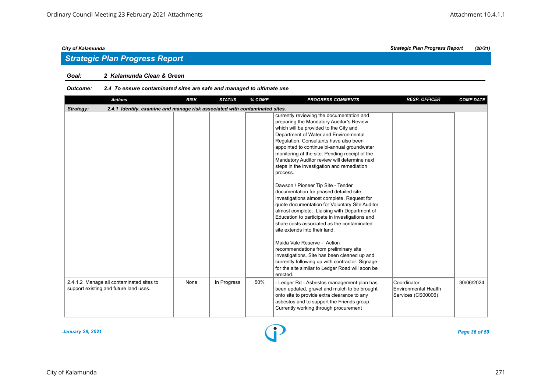## *Strategic Plan Progress Report*

#### *Goal: 2 Kalamunda Clean & Green*

### *Outcome: 2.4 To ensure contaminated sites are safe and managed to ultimate use*

| <b>Actions</b>                                                                           | <b>RISK</b> | <b>STATUS</b> | % COMP | <b>PROGRESS COMMENTS</b>                                                                                                                                                                                                                                                                                                                                                                                                                                                                                       | <b>RESP. OFFICER</b>                                      | <b>COMP DATE</b> |
|------------------------------------------------------------------------------------------|-------------|---------------|--------|----------------------------------------------------------------------------------------------------------------------------------------------------------------------------------------------------------------------------------------------------------------------------------------------------------------------------------------------------------------------------------------------------------------------------------------------------------------------------------------------------------------|-----------------------------------------------------------|------------------|
| 2.4.1 Identify, examine and manage risk associated with contaminated sites.<br>Strategy: |             |               |        |                                                                                                                                                                                                                                                                                                                                                                                                                                                                                                                |                                                           |                  |
|                                                                                          |             |               |        | currently reviewing the documentation and<br>preparing the Mandatory Auditor's Review,<br>which will be provided to the City and<br>Department of Water and Environmental<br>Regulation. Consultants have also been<br>appointed to continue bi-annual groundwater<br>monitoring at the site. Pending receipt of the<br>Mandatory Auditor review will determine next<br>steps in the investigation and remediation<br>process.<br>Dawson / Pioneer Tip Site - Tender<br>documentation for phased detailed site |                                                           |                  |
|                                                                                          |             |               |        | investigations almost complete. Request for<br>quote documentation for Voluntary Site Auditor<br>almost complete. Liaising with Department of<br>Education to participate in investigations and<br>share costs associated as the contaminated<br>site extends into their land.                                                                                                                                                                                                                                 |                                                           |                  |
|                                                                                          |             |               |        | Maida Vale Reserve - Action<br>recommendations from preliminary site<br>investigations. Site has been cleaned up and<br>currently following up with contractor. Signage<br>for the site similar to Ledger Road will soon be<br>erected.                                                                                                                                                                                                                                                                        |                                                           |                  |
| 2.4.1.2 Manage all contaminated sites to<br>support existing and future land uses.       | None        | In Progress   | 50%    | - Ledger Rd - Asbestos management plan has<br>been updated, gravel and mulch to be brought<br>onto site to provide extra clearance to any<br>asbestos and to support the Friends group.<br>Currently working through procurement                                                                                                                                                                                                                                                                               | Coordinator<br>Environmental Health<br>Services (CS00006) | 30/06/2024       |

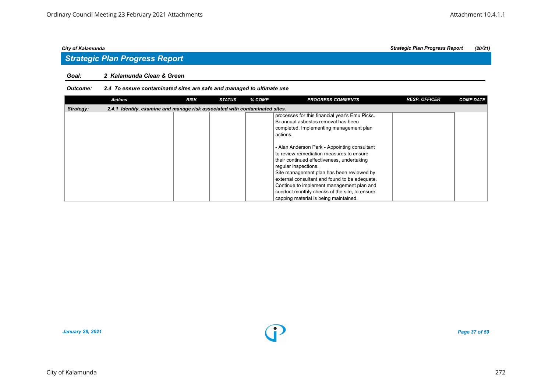## *Strategic Plan Progress Report*

#### *Goal: 2 Kalamunda Clean & Green*

### *Outcome: 2.4 To ensure contaminated sites are safe and managed to ultimate use*

|           | <b>Actions</b>                                                              | <b>RISK</b> | <b>STATUS</b> | % COMP | <b>PROGRESS COMMENTS</b>                                                                                                                                                                                                                                                                                                                                                                            | <b>RESP. OFFICER</b> | <b>COMP DATE</b> |
|-----------|-----------------------------------------------------------------------------|-------------|---------------|--------|-----------------------------------------------------------------------------------------------------------------------------------------------------------------------------------------------------------------------------------------------------------------------------------------------------------------------------------------------------------------------------------------------------|----------------------|------------------|
| Strategy: | 2.4.1 Identify, examine and manage risk associated with contaminated sites. |             |               |        |                                                                                                                                                                                                                                                                                                                                                                                                     |                      |                  |
|           |                                                                             |             |               |        | processes for this financial year's Emu Picks.<br>Bi-annual asbestos removal has been<br>completed. Implementing management plan<br>actions.                                                                                                                                                                                                                                                        |                      |                  |
|           |                                                                             |             |               |        | - Alan Anderson Park - Appointing consultant<br>to review remediation measures to ensure<br>their continued effectiveness, undertaking<br>regular inspections.<br>Site management plan has been reviewed by<br>external consultant and found to be adequate.<br>Continue to implement management plan and<br>conduct monthly checks of the site, to ensure<br>capping material is being maintained. |                      |                  |

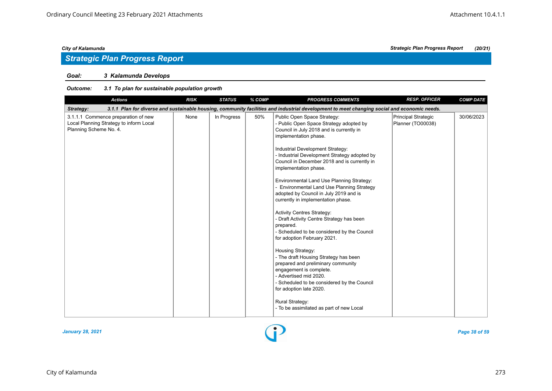## *Strategic Plan Progress Report*

### *Goal: 3 Kalamunda Develops*

| <b>Actions</b>                                                                                           | <b>RISK</b> | <b>STATUS</b> | % COMP | <b>PROGRESS COMMENTS</b>                                                                                                                                                                                                                                                                                                                                                                                                                                                                                                                                                                                                                                                                                                                                                                                                                                                                                                                                         | <b>RESP. OFFICER</b>                     | <b>COMP DATE</b> |
|----------------------------------------------------------------------------------------------------------|-------------|---------------|--------|------------------------------------------------------------------------------------------------------------------------------------------------------------------------------------------------------------------------------------------------------------------------------------------------------------------------------------------------------------------------------------------------------------------------------------------------------------------------------------------------------------------------------------------------------------------------------------------------------------------------------------------------------------------------------------------------------------------------------------------------------------------------------------------------------------------------------------------------------------------------------------------------------------------------------------------------------------------|------------------------------------------|------------------|
| Strategy:                                                                                                |             |               |        | 3.1.1 Plan for diverse and sustainable housing, community facilities and industrial development to meet changing social and economic needs.                                                                                                                                                                                                                                                                                                                                                                                                                                                                                                                                                                                                                                                                                                                                                                                                                      |                                          |                  |
| 3.1.1.1 Commence preparation of new<br>Local Planning Strategy to inform Local<br>Planning Scheme No. 4. | None        | In Progress   | 50%    | Public Open Space Strategy:<br>- Public Open Space Strategy adopted by<br>Council in July 2018 and is currently in<br>implementation phase.<br>Industrial Development Strategy:<br>- Industrial Development Strategy adopted by<br>Council in December 2018 and is currently in<br>implementation phase.<br>Environmental Land Use Planning Strategy:<br>Environmental Land Use Planning Strategy<br>adopted by Council in July 2019 and is<br>currently in implementation phase.<br><b>Activity Centres Strategy:</b><br>- Draft Activity Centre Strategy has been<br>prepared.<br>- Scheduled to be considered by the Council<br>for adoption February 2021.<br>Housing Strategy:<br>- The draft Housing Strategy has been<br>prepared and preliminary community<br>engagement is complete.<br>- Advertised mid 2020.<br>- Scheduled to be considered by the Council<br>for adoption late 2020.<br>Rural Strategy:<br>- To be assimilated as part of new Local | Principal Strategic<br>Planner (TO00038) | 30/06/2023       |

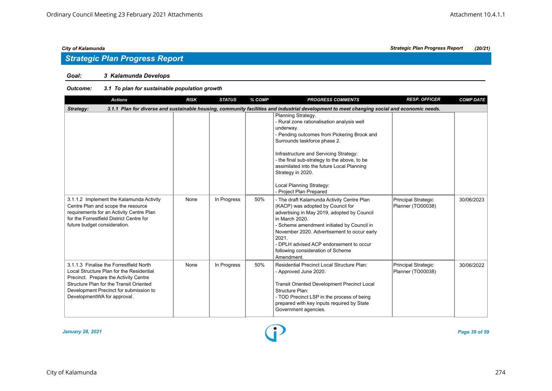## *Strategic Plan Progress Report*

### *Goal: 3 Kalamunda Develops*

| <b>Actions</b>                                                                                                                                                                                                                                   | <b>RISK</b> | <b>STATUS</b> | % COMP | <b>PROGRESS COMMENTS</b>                                                                                                                                                                                                                                                                                                                                                         | <b>RESP. OFFICER</b>                            | <b>COMP DATE</b> |
|--------------------------------------------------------------------------------------------------------------------------------------------------------------------------------------------------------------------------------------------------|-------------|---------------|--------|----------------------------------------------------------------------------------------------------------------------------------------------------------------------------------------------------------------------------------------------------------------------------------------------------------------------------------------------------------------------------------|-------------------------------------------------|------------------|
| Strategy:                                                                                                                                                                                                                                        |             |               |        | 3.1.1 Plan for diverse and sustainable housing, community facilities and industrial development to meet changing social and economic needs.                                                                                                                                                                                                                                      |                                                 |                  |
|                                                                                                                                                                                                                                                  |             |               |        | Planning Strategy.<br>- Rural zone rationalisation analysis well<br>underway.<br>- Pending outcomes from Pickering Brook and<br>Surrounds taskforce phase 2.<br>Infrastructure and Servicing Strategy:<br>- the final sub-strategy to the above, to be<br>assimilated into the future Local Planning<br>Strategy in 2020.<br>Local Planning Strategy:<br>- Project Plan Prepared |                                                 |                  |
| 3.1.1.2 Implement the Kalamunda Activity<br>Centre Plan and scope the resource<br>requirements for an Activity Centre Plan<br>for the Forrestfield District Centre for<br>future budget consideration.                                           | None        | In Progress   | 50%    | - The draft Kalamunda Activity Centre Plan<br>(KACP) was adopted by Council for<br>advertising in May 2019, adopted by Council<br>in March 2020.<br>- Scheme amendment initiated by Council in<br>November 2020. Advertisement to occur early<br>2021.<br>- DPLH advised ACP endorsement to occur<br>following consideration of Scheme<br>Amendment.                             | <b>Principal Strategic</b><br>Planner (TO00038) | 30/06/2023       |
| 3.1.1.3 Finalise the Forrestfield North<br>Local Structure Plan for the Residential<br>Precinct. Prepare the Activity Centre<br>Structure Plan for the Transit Oriented<br>Development Precinct for submission to<br>DevelopmentWA for approval. | None        | In Progress   | 50%    | Residential Precinct Local Structure Plan:<br>- Approved June 2020.<br><b>Transit Oriented Development Precinct Local</b><br>Structure Plan:<br>- TOD Precinct LSP in the process of being<br>prepared with key inputs required by State<br>Government agencies.                                                                                                                 | <b>Principal Strategic</b><br>Planner (TO00038) | 30/06/2022       |

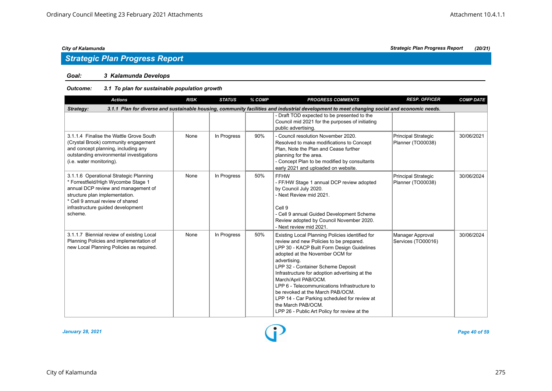## *Strategic Plan Progress Report*

### *Goal: 3 Kalamunda Develops*

| <b>Actions</b>                                                                                                                                                                                                                             | <b>RISK</b> | <b>STATUS</b> | % COMP | <b>PROGRESS COMMENTS</b>                                                                                                                                                                                                                                                                                                                                                                                                                                                                                             | <b>RESP. OFFICER</b>                            | <b>COMP DATE</b> |  |  |  |  |
|--------------------------------------------------------------------------------------------------------------------------------------------------------------------------------------------------------------------------------------------|-------------|---------------|--------|----------------------------------------------------------------------------------------------------------------------------------------------------------------------------------------------------------------------------------------------------------------------------------------------------------------------------------------------------------------------------------------------------------------------------------------------------------------------------------------------------------------------|-------------------------------------------------|------------------|--|--|--|--|
| 3.1.1 Plan for diverse and sustainable housing, community facilities and industrial development to meet changing social and economic needs.<br>Strategy:                                                                                   |             |               |        |                                                                                                                                                                                                                                                                                                                                                                                                                                                                                                                      |                                                 |                  |  |  |  |  |
|                                                                                                                                                                                                                                            |             |               |        | - Draft TOD expected to be presented to the<br>Council mid 2021 for the purposes of initiating<br>public advertising.                                                                                                                                                                                                                                                                                                                                                                                                |                                                 |                  |  |  |  |  |
| 3.1.1.4 Finalise the Wattle Grove South<br>(Crystal Brook) community engagement<br>and concept planning, including any<br>outstanding environmental investigations<br>(i.e. water monitoring).                                             | None        | In Progress   | 90%    | - Council resolution November 2020.<br>Resolved to make modifications to Concept<br>Plan. Note the Plan and Cease further<br>planning for the area.<br>- Concept Plan to be modified by consultants<br>early 2021 and uploaded on website.                                                                                                                                                                                                                                                                           | Principal Strategic<br>Planner (TO00038)        | 30/06/2021       |  |  |  |  |
| 3.1.1.6 Operational Strategic Planning<br>* Forrestfield/High Wycombe Stage 1<br>annual DCP review and management of<br>structure plan implementation.<br>* Cell 9 annual review of shared<br>infrastructure guided development<br>scheme. | None        | In Progress   | 50%    | <b>FFHW</b><br>- FF/HW Stage 1 annual DCP review adopted<br>by Council July 2020.<br>- Next Review mid 2021.<br>Cell 9<br>- Cell 9 annual Guided Development Scheme<br>Review adopted by Council November 2020.<br>- Next review mid 2021.                                                                                                                                                                                                                                                                           | <b>Principal Strategic</b><br>Planner (TO00038) | 30/06/2024       |  |  |  |  |
| 3.1.1.7 Biennial review of existing Local<br>Planning Policies and implementation of<br>new Local Planning Policies as required.                                                                                                           | None        | In Progress   | 50%    | Existing Local Planning Policies identified for<br>review and new Policies to be prepared.<br>LPP 30 - KACP Built Form Design Guidelines<br>adopted at the November OCM for<br>advertising.<br>LPP 32 - Container Scheme Deposit<br>Infrastructure for adoption advertising at the<br>March/April PAB/OCM.<br>LPP 6 - Telecommunications Infrastructure to<br>be revoked at the March PAB/OCM.<br>LPP 14 - Car Parking scheduled for review at<br>the March PAB/OCM.<br>LPP 26 - Public Art Policy for review at the | Manager Approval<br>Services (TO00016)          | 30/06/2024       |  |  |  |  |

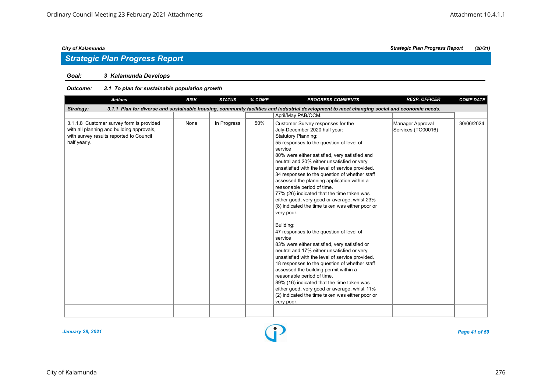### *Goal: 3 Kalamunda Develops*

#### *Outcome: 3.1 To plan for sustainable population growth*

| <b>Actions</b>                                                                                                                                   | <b>RISK</b> | <b>STATUS</b> | % COMP | <b>PROGRESS COMMENTS</b>                                                                                                                                                                                                                                                                                                                                                                                                                                                                                                                                                                                                                                                                                                                                                                                                                                                                                                                                                                                                                                                                                          | <b>RESP. OFFICER</b>                   | <b>COMP DATE</b> |
|--------------------------------------------------------------------------------------------------------------------------------------------------|-------------|---------------|--------|-------------------------------------------------------------------------------------------------------------------------------------------------------------------------------------------------------------------------------------------------------------------------------------------------------------------------------------------------------------------------------------------------------------------------------------------------------------------------------------------------------------------------------------------------------------------------------------------------------------------------------------------------------------------------------------------------------------------------------------------------------------------------------------------------------------------------------------------------------------------------------------------------------------------------------------------------------------------------------------------------------------------------------------------------------------------------------------------------------------------|----------------------------------------|------------------|
| Strategy:                                                                                                                                        |             |               |        | 3.1.1 Plan for diverse and sustainable housing, community facilities and industrial development to meet changing social and economic needs.                                                                                                                                                                                                                                                                                                                                                                                                                                                                                                                                                                                                                                                                                                                                                                                                                                                                                                                                                                       |                                        |                  |
|                                                                                                                                                  |             |               |        | April/May PAB/OCM.                                                                                                                                                                                                                                                                                                                                                                                                                                                                                                                                                                                                                                                                                                                                                                                                                                                                                                                                                                                                                                                                                                |                                        |                  |
| 3.1.1.8 Customer survey form is provided<br>with all planning and building approvals,<br>with survey results reported to Council<br>half yearly. | None        | In Progress   | 50%    | Customer Survey responses for the<br>July-December 2020 half year:<br><b>Statutory Planning:</b><br>55 responses to the question of level of<br>service<br>80% were either satisfied, very satisfied and<br>neutral and 20% either unsatisfied or very<br>unsatisfied with the level of service provided.<br>34 responses to the question of whether staff<br>assessed the planning application within a<br>reasonable period of time.<br>77% (26) indicated that the time taken was<br>either good, very good or average, whist 23%<br>(8) indicated the time taken was either poor or<br>very poor.<br>Building:<br>47 responses to the question of level of<br>service<br>83% were either satisfied, very satisfied or<br>neutral and 17% either unsatisfied or very<br>unsatisfied with the level of service provided.<br>18 responses to the question of whether staff<br>assessed the building permit within a<br>reasonable period of time.<br>89% (16) indicated that the time taken was<br>either good, very good or average, whist 11%<br>(2) indicated the time taken was either poor or<br>very poor. | Manager Approval<br>Services (TO00016) | 30/06/2024       |
|                                                                                                                                                  |             |               |        |                                                                                                                                                                                                                                                                                                                                                                                                                                                                                                                                                                                                                                                                                                                                                                                                                                                                                                                                                                                                                                                                                                                   |                                        |                  |



*City of Kalamunda Strategic Plan Progress Report (20/21)*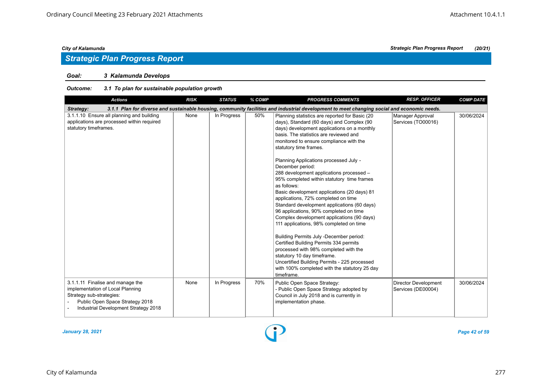## *Strategic Plan Progress Report*

### *Goal: 3 Kalamunda Develops*

| <b>Actions</b>                                                                                                                                                              | <b>RISK</b> | <b>STATUS</b> | % COMP | <b>PROGRESS COMMENTS</b>                                                                                                                                                                                                                                                                                                                                                                                                                                                                                                                                                                                                                                                                                                                                                                                                                                                                                                                                                             | <b>RESP. OFFICER</b>                              | <b>COMP DATE</b> |
|-----------------------------------------------------------------------------------------------------------------------------------------------------------------------------|-------------|---------------|--------|--------------------------------------------------------------------------------------------------------------------------------------------------------------------------------------------------------------------------------------------------------------------------------------------------------------------------------------------------------------------------------------------------------------------------------------------------------------------------------------------------------------------------------------------------------------------------------------------------------------------------------------------------------------------------------------------------------------------------------------------------------------------------------------------------------------------------------------------------------------------------------------------------------------------------------------------------------------------------------------|---------------------------------------------------|------------------|
| Strategy:                                                                                                                                                                   |             |               |        | 3.1.1 Plan for diverse and sustainable housing, community facilities and industrial development to meet changing social and economic needs.                                                                                                                                                                                                                                                                                                                                                                                                                                                                                                                                                                                                                                                                                                                                                                                                                                          |                                                   |                  |
| 3.1.1.10 Ensure all planning and building<br>applications are processed within required<br>statutory timeframes.                                                            | None        | In Progress   | 50%    | Planning statistics are reported for Basic (20<br>days), Standard (60 days) and Complex (90<br>days) development applications on a monthly<br>basis. The statistics are reviewed and<br>monitored to ensure compliance with the<br>statutory time frames.<br>Planning Applications processed July -<br>December period:<br>288 development applications processed -<br>95% completed within statutory time frames<br>as follows:<br>Basic development applications (20 days) 81<br>applications, 72% completed on time<br>Standard development applications (60 days)<br>96 applications, 90% completed on time<br>Complex development applications (90 days)<br>111 applications, 98% completed on time<br>Building Permits July -December period:<br>Certified Building Permits 334 permits<br>processed with 98% completed with the<br>statutory 10 day timeframe.<br>Uncertified Building Permits - 225 processed<br>with 100% completed with the statutory 25 day<br>timeframe. | Manager Approval<br>Services (TO00016)            | 30/06/2024       |
| 3.1.1.11 Finalise and manage the<br>implementation of Local Planning<br>Strategy sub-strategies:<br>Public Open Space Strategy 2018<br>Industrial Development Strategy 2018 | None        | In Progress   | 70%    | Public Open Space Strategy:<br>- Public Open Space Strategy adopted by<br>Council in July 2018 and is currently in<br>implementation phase.                                                                                                                                                                                                                                                                                                                                                                                                                                                                                                                                                                                                                                                                                                                                                                                                                                          | <b>Director Development</b><br>Services (DE00004) | 30/06/2024       |

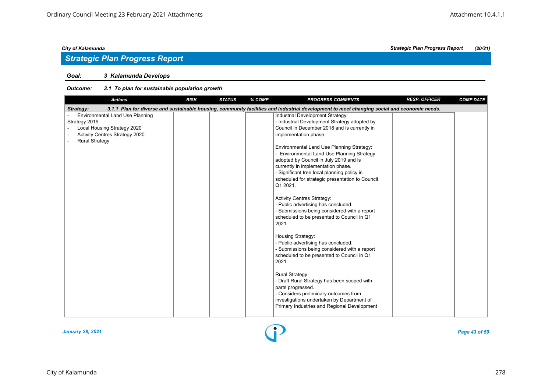## *Strategic Plan Progress Report*

### *Goal: 3 Kalamunda Develops*

| <b>Actions</b>                                                                                                                                    | <b>RISK</b> | <b>STATUS</b> | % COMP | <b>PROGRESS COMMENTS</b>                                                                                                                                                                                                                                                                                                                                                                                                                                                                                                                                                                                                                                                                                                                                                                                                                                                                                                                                                                                                              | <b>RESP. OFFICER</b> | <b>COMP DATE</b> |
|---------------------------------------------------------------------------------------------------------------------------------------------------|-------------|---------------|--------|---------------------------------------------------------------------------------------------------------------------------------------------------------------------------------------------------------------------------------------------------------------------------------------------------------------------------------------------------------------------------------------------------------------------------------------------------------------------------------------------------------------------------------------------------------------------------------------------------------------------------------------------------------------------------------------------------------------------------------------------------------------------------------------------------------------------------------------------------------------------------------------------------------------------------------------------------------------------------------------------------------------------------------------|----------------------|------------------|
| Strategy:                                                                                                                                         |             |               |        | 3.1.1 Plan for diverse and sustainable housing, community facilities and industrial development to meet changing social and economic needs.                                                                                                                                                                                                                                                                                                                                                                                                                                                                                                                                                                                                                                                                                                                                                                                                                                                                                           |                      |                  |
| <b>Environmental Land Use Planning</b><br>Strategy 2019<br>Local Housing Strategy 2020<br>Activity Centres Strategy 2020<br><b>Rural Strategy</b> |             |               |        | Industrial Development Strategy:<br>- Industrial Development Strategy adopted by<br>Council in December 2018 and is currently in<br>implementation phase.<br>Environmental Land Use Planning Strategy:<br>- Environmental Land Use Planning Strategy<br>adopted by Council in July 2019 and is<br>currently in implementation phase.<br>- Significant tree local planning policy is<br>scheduled for strategic presentation to Council<br>Q1 2021.<br><b>Activity Centres Strategy:</b><br>- Public advertising has concluded.<br>- Submissions being considered with a report<br>scheduled to be presented to Council in Q1<br>2021.<br>Housing Strategy:<br>- Public advertising has concluded.<br>- Submissions being considered with a report<br>scheduled to be presented to Council in Q1<br>2021.<br>Rural Strategy:<br>- Draft Rural Strategy has been scoped with<br>parts progressed.<br>- Considers preliminary outcomes from<br>investigations undertaken by Department of<br>Primary Industries and Regional Development |                      |                  |
|                                                                                                                                                   |             |               |        |                                                                                                                                                                                                                                                                                                                                                                                                                                                                                                                                                                                                                                                                                                                                                                                                                                                                                                                                                                                                                                       |                      |                  |

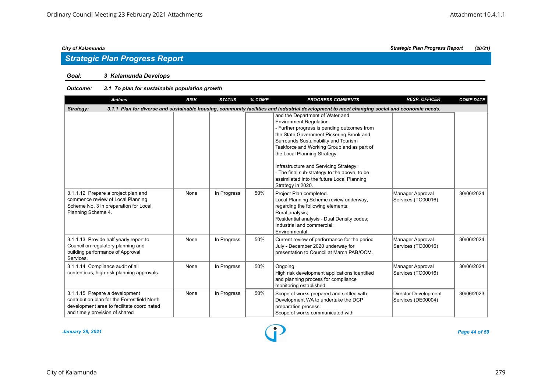### *Goal: 3 Kalamunda Develops*

| <b>Actions</b>                                                                                                                                                 | <b>RISK</b> | <b>STATUS</b> | % COMP | <b>PROGRESS COMMENTS</b>                                                                                                                                                                                                                                                                                                                                                                                                                 | <b>RESP. OFFICER</b>                              | <b>COMP DATE</b> |  |  |  |
|----------------------------------------------------------------------------------------------------------------------------------------------------------------|-------------|---------------|--------|------------------------------------------------------------------------------------------------------------------------------------------------------------------------------------------------------------------------------------------------------------------------------------------------------------------------------------------------------------------------------------------------------------------------------------------|---------------------------------------------------|------------------|--|--|--|
| 3.1.1 Plan for diverse and sustainable housing, community facilities and industrial development to meet changing social and economic needs.<br>Strategy:       |             |               |        |                                                                                                                                                                                                                                                                                                                                                                                                                                          |                                                   |                  |  |  |  |
|                                                                                                                                                                |             |               |        | and the Department of Water and<br>Environment Regulation.<br>- Further progress is pending outcomes from<br>the State Government Pickering Brook and<br>Surrounds Sustainability and Tourism<br>Taskforce and Working Group and as part of<br>the Local Planning Strategy.<br>Infrastructure and Servicing Strategy:<br>- The final sub-strategy to the above, to be<br>assimilated into the future Local Planning<br>Strategy in 2020. |                                                   |                  |  |  |  |
| 3.1.1.12 Prepare a project plan and<br>commence review of Local Planning<br>Scheme No. 3 in preparation for Local<br>Planning Scheme 4.                        | None        | In Progress   | 50%    | Project Plan completed.<br>Local Planning Scheme review underway,<br>regarding the following elements:<br>Rural analysis;<br>Residential analysis - Dual Density codes;<br>Industrial and commercial:<br>Environmental.                                                                                                                                                                                                                  | Manager Approval<br>Services (TO00016)            | 30/06/2024       |  |  |  |
| 3.1.1.13 Provide half yearly report to<br>Council on regulatory planning and<br>building performance of Approval<br>Services.                                  | None        | In Progress   | 50%    | Current review of performance for the period<br>July - December 2020 underway for<br>presentation to Council at March PAB/OCM.                                                                                                                                                                                                                                                                                                           | Manager Approval<br>Services (TO00016)            | 30/06/2024       |  |  |  |
| 3.1.1.14 Compliance audit of all<br>contentious, high-risk planning approvals.                                                                                 | None        | In Progress   | 50%    | Ongoing.<br>High risk development applications identified<br>and planning process for compliance<br>monitoring established.                                                                                                                                                                                                                                                                                                              | Manager Approval<br>Services (TO00016)            | 30/06/2024       |  |  |  |
| 3.1.1.15 Prepare a development<br>contribution plan for the Forrestfield North<br>development area to facilitate coordinated<br>and timely provision of shared | None        | In Progress   | 50%    | Scope of works prepared and settled with<br>Development WA to undertake the DCP<br>preparation process.<br>Scope of works communicated with                                                                                                                                                                                                                                                                                              | <b>Director Development</b><br>Services (DE00004) | 30/06/2023       |  |  |  |

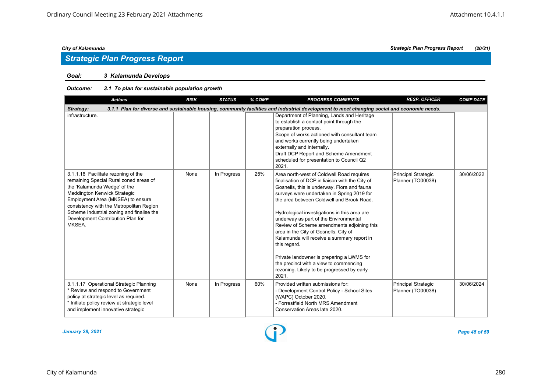### *Goal: 3 Kalamunda Develops*

| <b>Actions</b>                                                                                                                                                                                                                                                                                                             | <b>RISK</b> | <b>STATUS</b> | % COMP | <b>PROGRESS COMMENTS</b>                                                                                                                                                                                                                                                                                                                                                                                                                                                                                                                                                                                                           | <b>RESP. OFFICER</b>                     | <b>COMP DATE</b> |  |  |  |
|----------------------------------------------------------------------------------------------------------------------------------------------------------------------------------------------------------------------------------------------------------------------------------------------------------------------------|-------------|---------------|--------|------------------------------------------------------------------------------------------------------------------------------------------------------------------------------------------------------------------------------------------------------------------------------------------------------------------------------------------------------------------------------------------------------------------------------------------------------------------------------------------------------------------------------------------------------------------------------------------------------------------------------------|------------------------------------------|------------------|--|--|--|
| 3.1.1 Plan for diverse and sustainable housing, community facilities and industrial development to meet changing social and economic needs.<br>Strategy:                                                                                                                                                                   |             |               |        |                                                                                                                                                                                                                                                                                                                                                                                                                                                                                                                                                                                                                                    |                                          |                  |  |  |  |
| infrastructure.                                                                                                                                                                                                                                                                                                            |             |               |        | Department of Planning, Lands and Heritage<br>to establish a contact point through the<br>preparation process.<br>Scope of works actioned with consultant team<br>and works currently being undertaken<br>externally and internally.<br>Draft DCP Report and Scheme Amendment<br>scheduled for presentation to Council Q2<br>2021.                                                                                                                                                                                                                                                                                                 |                                          |                  |  |  |  |
| 3.1.1.16 Facilitate rezoning of the<br>remaining Special Rural zoned areas of<br>the 'Kalamunda Wedge' of the<br>Maddington Kenwick Strategic<br>Employment Area (MKSEA) to ensure<br>consistency with the Metropolitan Region<br>Scheme Industrial zoning and finalise the<br>Development Contribution Plan for<br>MKSEA. | None        | In Progress   | 25%    | Area north-west of Coldwell Road requires<br>finalisation of DCP in liaison with the City of<br>Gosnells, this is underway. Flora and fauna<br>surveys were undertaken in Spring 2019 for<br>the area between Coldwell and Brook Road.<br>Hydrological investigations in this area are<br>underway as part of the Environmental<br>Review of Scheme amendments adjoining this<br>area in the City of Gosnells. City of<br>Kalamunda will receive a summary report in<br>this regard.<br>Private landowner is preparing a LWMS for<br>the precinct with a view to commencing<br>rezoning. Likely to be progressed by early<br>2021. | Principal Strategic<br>Planner (TO00038) | 30/06/2022       |  |  |  |
| 3.1.1.17 Operational Strategic Planning<br>* Review and respond to Government<br>policy at strategic level as required.<br>* Initiate policy review at strategic level<br>and implement innovative strategic                                                                                                               | None        | In Progress   | 60%    | Provided written submissions for:<br>- Development Control Policy - School Sites<br>(WAPC) October 2020.<br>- Forrestfield North MRS Amendment<br>Conservation Areas late 2020.                                                                                                                                                                                                                                                                                                                                                                                                                                                    | Principal Strategic<br>Planner (TO00038) | 30/06/2024       |  |  |  |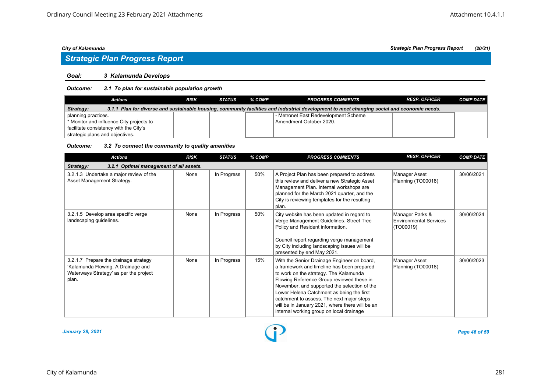# *Strategic Plan Progress Report*

#### *Goal: 3 Kalamunda Develops*

#### *Outcome: 3.1 To plan for sustainable population growth*

| Actions                                                                                                                                                  | <b>RISK</b> | STATUS | % COMP | <b>PROGRESS COMMENTS</b>             | <b>RESP. OFFICER</b> | <b>COMP DATE</b> |  |  |
|----------------------------------------------------------------------------------------------------------------------------------------------------------|-------------|--------|--------|--------------------------------------|----------------------|------------------|--|--|
| 3.1.1 Plan for diverse and sustainable housing, community facilities and industrial development to meet changing social and economic needs.<br>Strategy: |             |        |        |                                      |                      |                  |  |  |
| planning practices.                                                                                                                                      |             |        |        | - Metronet East Redevelopment Scheme |                      |                  |  |  |
| * Monitor and influence City projects to                                                                                                                 |             |        |        | Amendment October 2020.              |                      |                  |  |  |
| facilitate consistency with the City's                                                                                                                   |             |        |        |                                      |                      |                  |  |  |
| strategic plans and objectives.                                                                                                                          |             |        |        |                                      |                      |                  |  |  |

#### *Outcome: 3.2 To connect the community to quality amenities*

| <b>Actions</b>                                                                                                                 | <b>RISK</b> | <b>STATUS</b> | % COMP | <b>PROGRESS COMMENTS</b>                                                                                                                                                                                                                                                                                                                                                                                                  | <b>RESP. OFFICER</b>                                          | <b>COMP DATE</b> |
|--------------------------------------------------------------------------------------------------------------------------------|-------------|---------------|--------|---------------------------------------------------------------------------------------------------------------------------------------------------------------------------------------------------------------------------------------------------------------------------------------------------------------------------------------------------------------------------------------------------------------------------|---------------------------------------------------------------|------------------|
| 3.2.1 Optimal management of all assets.<br>Strategy:                                                                           |             |               |        |                                                                                                                                                                                                                                                                                                                                                                                                                           |                                                               |                  |
| 3.2.1.3 Undertake a major review of the<br>Asset Management Strategy.                                                          | None        | In Progress   | 50%    | A Project Plan has been prepared to address<br>this review and deliver a new Strategic Asset<br>Management Plan. Internal workshops are<br>planned for the March 2021 quarter, and the<br>City is reviewing templates for the resulting<br>plan.                                                                                                                                                                          | Manager Asset<br>Planning (TO00018)                           | 30/06/2021       |
| 3.2.1.5 Develop area specific verge<br>landscaping guidelines.                                                                 | None        | In Progress   | 50%    | City website has been updated in regard to<br>Verge Management Guidelines, Street Tree<br>Policy and Resident information.<br>Council report regarding verge management<br>by City including landscaping issues will be<br>presented by end May 2021.                                                                                                                                                                     | Manager Parks &<br><b>Environmental Services</b><br>(TO00019) | 30/06/2024       |
| 3.2.1.7 Prepare the drainage strategy<br>'Kalamunda Flowing, A Drainage and<br>Waterways Strategy' as per the project<br>plan. | None        | In Progress   | 15%    | With the Senior Drainage Engineer on board,<br>a framework and timeline has been prepared<br>to work on the strategy. The Kalamunda<br>Flowing Reference Group reviewed these in<br>November, and supported the selection of the<br>Lower Helena Catchment as being the first<br>catchment to assess. The next major steps<br>will be in January 2021, where there will be an<br>internal working group on local drainage | Manager Asset<br>Planning (TO00018)                           | 30/06/2023       |

*January 28, 2021 Page 46 of 59*

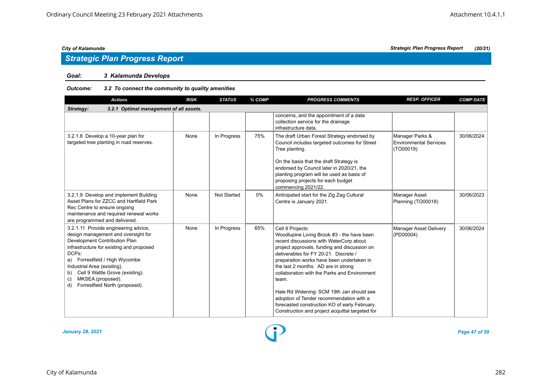### *Goal: 3 Kalamunda Develops*

#### *Outcome: 3.2 To connect the community to quality amenities*

| <b>Actions</b>                                                                                                                                                                                                                                                                                                                                 | <b>RISK</b>                             | <b>STATUS</b> | % COMP | <b>PROGRESS COMMENTS</b>                                                                                                                                                                                                                                                                                                                                                                                                                                                                                                                     | <b>RESP. OFFICER</b>                                          | <b>COMP DATE</b> |  |  |  |  |  |
|------------------------------------------------------------------------------------------------------------------------------------------------------------------------------------------------------------------------------------------------------------------------------------------------------------------------------------------------|-----------------------------------------|---------------|--------|----------------------------------------------------------------------------------------------------------------------------------------------------------------------------------------------------------------------------------------------------------------------------------------------------------------------------------------------------------------------------------------------------------------------------------------------------------------------------------------------------------------------------------------------|---------------------------------------------------------------|------------------|--|--|--|--|--|
| Strategy:                                                                                                                                                                                                                                                                                                                                      | 3.2.1 Optimal management of all assets. |               |        |                                                                                                                                                                                                                                                                                                                                                                                                                                                                                                                                              |                                                               |                  |  |  |  |  |  |
|                                                                                                                                                                                                                                                                                                                                                |                                         |               |        | concerns, and the appointment of a data<br>collection service for the drainage<br>infrastructure data.                                                                                                                                                                                                                                                                                                                                                                                                                                       |                                                               |                  |  |  |  |  |  |
| 3.2.1.8 Develop a 10-year plan for<br>targeted tree planting in road reserves.                                                                                                                                                                                                                                                                 | None                                    | In Progress   | 75%    | The draft Urban Forest Strategy endorsed by<br>Council includes targeted outcomes for Street<br>Tree planting.<br>On the basis that the draft Strategy is<br>endorsed by Council later in 2020/21, the<br>planting program will be used as basis of<br>proposing projects for each budget<br>commencing 2021/22.                                                                                                                                                                                                                             | Manager Parks &<br><b>Environmental Services</b><br>(TO00019) | 30/06/2024       |  |  |  |  |  |
| 3.2.1.9 Develop and implement Building<br>Asset Plans for ZZCC and Hartfield Park<br>Rec Centre to ensure ongoing<br>maintenance and required renewal works<br>are programmed and delivered.                                                                                                                                                   | None                                    | Not Started   | $0\%$  | Anticipated start for the Zig Zag Cultural<br>Centre is January 2021.                                                                                                                                                                                                                                                                                                                                                                                                                                                                        | <b>Manager Asset</b><br>Planning (TO00018)                    | 30/06/2023       |  |  |  |  |  |
| 3.2.1.11 Provide engineering advice,<br>design management and oversight for<br>Development Contribution Plan<br>infrastructure for existing and proposed<br>DCPs:<br>a) Forrestfield / High Wycombe<br>Industrial Area (existing).<br>Cell 9 Wattle Grove (existing).<br>b)<br>MKSEA (proposed).<br>C)<br>Forrestfield North (proposed).<br>d) | None                                    | In Progress   | 65%    | Cell 9 Projects:<br>Woodlupine Living Brook #3 - the have been<br>recent discussions with WaterCorp about<br>project approvals, funding and discussion on<br>deliverables for FY 20-21. Discrete /<br>preparation works have been undertaken in<br>the last 2 months. AD are in strong<br>collaboration with the Parks and Environment<br>team.<br>Hale Rd Widening: SCM 19th Jan should see<br>adoption of Tender recommendation with a<br>forecasted construction KO of early February.<br>Construction and project acquittal targeted for | <b>Manager Asset Delivery</b><br>(PD00004)                    | 30/06/2024       |  |  |  |  |  |

*January 28, 2021 Page 47 of 59*

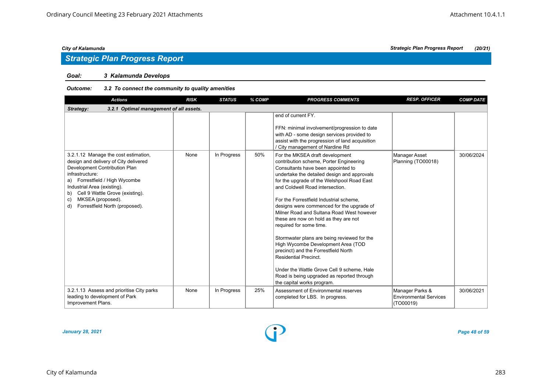## *Strategic Plan Progress Report*

#### *Goal: 3 Kalamunda Develops*

#### *Outcome: 3.2 To connect the community to quality amenities*

| <b>Actions</b>                                                                                                                                                                                                                                                                                                 | <b>RISK</b> | <b>STATUS</b> | % COMP | <b>PROGRESS COMMENTS</b>                                                                                                                                                                                                                                                                                                                                                                                                                                                                                                                                                                                                                                                                                                                         | <b>RESP. OFFICER</b>                                          | <b>COMP DATE</b> |
|----------------------------------------------------------------------------------------------------------------------------------------------------------------------------------------------------------------------------------------------------------------------------------------------------------------|-------------|---------------|--------|--------------------------------------------------------------------------------------------------------------------------------------------------------------------------------------------------------------------------------------------------------------------------------------------------------------------------------------------------------------------------------------------------------------------------------------------------------------------------------------------------------------------------------------------------------------------------------------------------------------------------------------------------------------------------------------------------------------------------------------------------|---------------------------------------------------------------|------------------|
| 3.2.1 Optimal management of all assets.<br>Strategy:                                                                                                                                                                                                                                                           |             |               |        |                                                                                                                                                                                                                                                                                                                                                                                                                                                                                                                                                                                                                                                                                                                                                  |                                                               |                  |
|                                                                                                                                                                                                                                                                                                                |             |               |        | end of current FY.<br>FFN: minimal involvement/progression to date<br>with AD - some design services provided to<br>assist with the progression of land acquisition<br>/ City management of Nardine Rd                                                                                                                                                                                                                                                                                                                                                                                                                                                                                                                                           |                                                               |                  |
| 3.2.1.12 Manage the cost estimation,<br>design and delivery of City delivered<br>Development Contribution Plan<br>infrastructure:<br>a) Forrestfield / High Wycombe<br>Industrial Area (existing).<br>Cell 9 Wattle Grove (existing).<br>b)<br>MKSEA (proposed).<br>c)<br>Forrestfield North (proposed).<br>d) | None        | In Progress   | 50%    | For the MKSEA draft development<br>contribution scheme, Porter Engineering<br>Consultants have been appointed to<br>undertake the detailed design and approvals<br>for the upgrade of the Welshpool Road East<br>and Coldwell Road intersection.<br>For the Forrestfield Industrial scheme,<br>designs were commenced for the upgrade of<br>Milner Road and Sultana Road West however<br>these are now on hold as they are not<br>required for some time.<br>Stormwater plans are being reviewed for the<br>High Wycombe Development Area (TOD<br>precinct) and the Forrestfield North<br><b>Residential Precinct.</b><br>Under the Wattle Grove Cell 9 scheme. Hale<br>Road is being upgraded as reported through<br>the capital works program. | Manager Asset<br>Planning (TO00018)                           | 30/06/2024       |
| 3.2.1.13 Assess and prioritise City parks<br>leading to development of Park<br>Improvement Plans.                                                                                                                                                                                                              | None        | In Progress   | 25%    | Assessment of Environmental reserves<br>completed for LBS. In progress.                                                                                                                                                                                                                                                                                                                                                                                                                                                                                                                                                                                                                                                                          | Manager Parks &<br><b>Environmental Services</b><br>(TO00019) | 30/06/2021       |

*January 28, 2021 Page 48 of 59*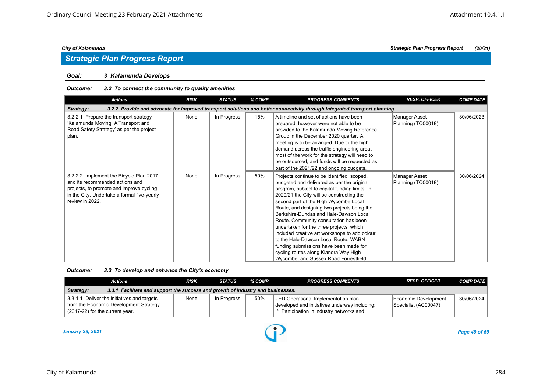# *Strategic Plan Progress Report*

#### *Goal: 3 Kalamunda Develops*

#### *Outcome: 3.2 To connect the community to quality amenities*

| <b>Actions</b>                                                                                                                                                                           | <b>RISK</b> | <b>STATUS</b> | % COMP | <b>PROGRESS COMMENTS</b>                                                                                                                                                                                                                                                                                                                                                                                                                                                                                                                                                                                                               | <b>RESP. OFFICER</b>                | <b>COMP DATE</b> |  |  |  |
|------------------------------------------------------------------------------------------------------------------------------------------------------------------------------------------|-------------|---------------|--------|----------------------------------------------------------------------------------------------------------------------------------------------------------------------------------------------------------------------------------------------------------------------------------------------------------------------------------------------------------------------------------------------------------------------------------------------------------------------------------------------------------------------------------------------------------------------------------------------------------------------------------------|-------------------------------------|------------------|--|--|--|
| 3.2.2 Provide and advocate for improved transport solutions and better connectivity through integrated transport planning.<br>Strategy:                                                  |             |               |        |                                                                                                                                                                                                                                                                                                                                                                                                                                                                                                                                                                                                                                        |                                     |                  |  |  |  |
| 3.2.2.1 Prepare the transport strategy<br>'Kalamunda Moving, A Transport and<br>Road Safety Strategy' as per the project<br>plan.                                                        | None        | In Progress   | 15%    | A timeline and set of actions have been<br>prepared, however were not able to be<br>provided to the Kalamunda Moving Reference<br>Group in the December 2020 quarter. A<br>meeting is to be arranged. Due to the high<br>demand across the traffic engineering area,<br>most of the work for the strategy will need to<br>be outsourced, and funds will be requested as<br>part of the 2021/22 and ongoing budgets.                                                                                                                                                                                                                    | Manager Asset<br>Planning (TO00018) | 30/06/2023       |  |  |  |
| 3.2.2.2 Implement the Bicycle Plan 2017<br>and its recommended actions and<br>projects, to promote and improve cycling<br>in the City. Undertake a formal five-yearly<br>review in 2022. | None        | In Progress   | 50%    | Projects continue to be identified, scoped,<br>budgeted and delivered as per the original<br>program, subject to capital funding limits. In<br>2020/21 the City will be constructing the<br>second part of the High Wycombe Local<br>Route, and designing two projects being the<br>Berkshire-Dundas and Hale-Dawson Local<br>Route. Community consultation has been<br>undertaken for the three projects, which<br>included creative art workshops to add colour<br>to the Hale-Dawson Local Route, WABN<br>funding submissions have been made for<br>cycling routes along Kiandra Way High<br>Wycombe, and Sussex Road Forrestfield. | Manager Asset<br>Planning (TO00018) | 30/06/2024       |  |  |  |

| Outcome: | 3.3 To develop and enhance the City's economy |  |
|----------|-----------------------------------------------|--|
|----------|-----------------------------------------------|--|

| Actions                                                                                                                  | <b>RISK</b> | <b>STATUS</b> | % COMP | <b>PROGRESS COMMENTS</b>                                                                                                          | <b>RESP. OFFICER</b>                         | <b>COMP DATE</b> |  |  |
|--------------------------------------------------------------------------------------------------------------------------|-------------|---------------|--------|-----------------------------------------------------------------------------------------------------------------------------------|----------------------------------------------|------------------|--|--|
| 3.3.1 Facilitate and support the success and growth of industry and businesses.<br>Strategy:                             |             |               |        |                                                                                                                                   |                                              |                  |  |  |
| 3.3.1.1 Deliver the initiatives and targets<br>from the Economic Development Strategy<br>(2017-22) for the current year. | None        | In Progress   | 50%    | - ED Operational Implementation plan<br>developed and initiatives underway including:<br>* Participation in industry networks and | Economic Development<br>Specialist (AC00047) | 30/06/2024       |  |  |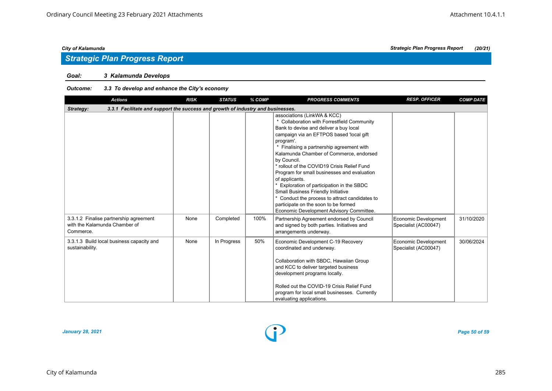### *Goal: 3 Kalamunda Develops*

#### *Outcome: 3.3 To develop and enhance the City's economy*

| <b>Actions</b>                                                                               | <b>RISK</b> | <b>STATUS</b> | % COMP | <b>PROGRESS COMMENTS</b>                                                                                                                                                                                                                                                                                                                                                                                                                                                                                                                                                                                                            | <b>RESP. OFFICER</b>                         | <b>COMP DATE</b> |
|----------------------------------------------------------------------------------------------|-------------|---------------|--------|-------------------------------------------------------------------------------------------------------------------------------------------------------------------------------------------------------------------------------------------------------------------------------------------------------------------------------------------------------------------------------------------------------------------------------------------------------------------------------------------------------------------------------------------------------------------------------------------------------------------------------------|----------------------------------------------|------------------|
| 3.3.1 Facilitate and support the success and growth of industry and businesses.<br>Strategy: |             |               |        |                                                                                                                                                                                                                                                                                                                                                                                                                                                                                                                                                                                                                                     |                                              |                  |
|                                                                                              |             |               |        | associations (LinkWA & KCC)<br>* Collaboration with Forrestfield Community<br>Bank to devise and deliver a buy local<br>campaign via an EFTPOS based 'local gift<br>program'.<br>Finalising a partnership agreement with<br>Kalamunda Chamber of Commerce, endorsed<br>by Council.<br>* rollout of the COVID19 Crisis Relief Fund<br>Program for small businesses and evaluation<br>of applicants.<br>* Exploration of participation in the SBDC<br><b>Small Business Friendly Initiative</b><br>* Conduct the process to attract candidates to<br>participate on the soon to be formed<br>Economic Development Advisory Committee. |                                              |                  |
| 3.3.1.2 Finalise partnership agreement<br>with the Kalamunda Chamber of<br>Commerce.         | None        | Completed     | 100%   | Partnership Agreement endorsed by Council<br>and signed by both parties. Initiatives and<br>arrangements underway.                                                                                                                                                                                                                                                                                                                                                                                                                                                                                                                  | Economic Development<br>Specialist (AC00047) | 31/10/2020       |
| 3.3.1.3 Build local business capacity and<br>sustainability.                                 | None        | In Progress   | 50%    | Economic Development C-19 Recovery<br>coordinated and underway.<br>Collaboration with SBDC, Hawaiian Group<br>and KCC to deliver targeted business<br>development programs locally.<br>Rolled out the COVID-19 Crisis Relief Fund<br>program for local small businesses. Currently<br>evaluating applications.                                                                                                                                                                                                                                                                                                                      | Economic Development<br>Specialist (AC00047) | 30/06/2024       |

*January 28, 2021 Page 50 of 59*

*City of Kalamunda Strategic Plan Progress Report (20/21)*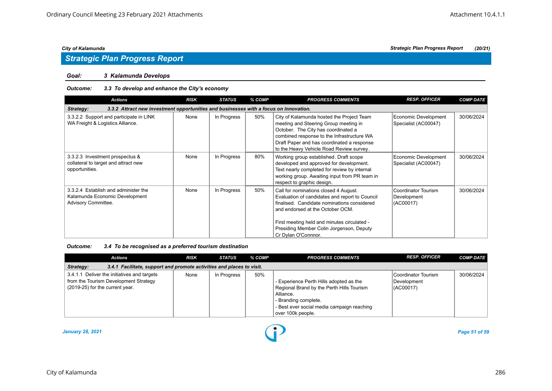#### *Goal: 3 Kalamunda Develops*

### *Outcome: 3.3 To develop and enhance the City's economy*

| <b>Actions</b>                                                                                     | <b>RISK</b> | <b>STATUS</b> | % COMP | <b>PROGRESS COMMENTS</b>                                                                                                                                                                                                                                                                     | <b>RESP. OFFICER</b>                            | <b>COMP DATE</b> |
|----------------------------------------------------------------------------------------------------|-------------|---------------|--------|----------------------------------------------------------------------------------------------------------------------------------------------------------------------------------------------------------------------------------------------------------------------------------------------|-------------------------------------------------|------------------|
| 3.3.2 Attract new investment opportunities and businesses with a focus on innovation.<br>Strategy: |             |               |        |                                                                                                                                                                                                                                                                                              |                                                 |                  |
| 3.3.2.2 Support and participate in LINK<br>WA Freight & Logistics Alliance.                        | None        | In Progress   | 50%    | City of Kalamunda hosted the Project Team<br>meeting and Steering Group meeting in<br>October. The City has coordinated a<br>combined response to the Infrastructure WA<br>Draft Paper and has coordinated a response<br>to the Heavy Vehicle Road Review survey.                            | Economic Development<br>Specialist (AC00047)    | 30/06/2024       |
| 3.3.2.3 Investment prospectus &<br>collateral to target and attract new<br>opportunities.          | None        | In Progress   | 80%    | Working group established. Draft scope<br>developed and approved for development.<br>Text nearly completed for review by internal<br>working group. Awaiting input from PR team in<br>respect to graphic design.                                                                             | Economic Development<br>Specialist (AC00047)    | 30/06/2024       |
| 3.3.2.4 Establish and administer the<br>Kalamunda Economic Development<br>Advisory Committee.      | None        | In Progress   | 50%    | Call for nominations closed 4 August.<br>Evaluation of candidates and report to Council<br>finalised. Candidate nominations considered<br>and endorsed at the October OCM.<br>First meeting held and minutes circulated -<br>Presiding Member Colin Jorgenson, Deputy<br>Cr Dylan O'Connnor. | Coordinator Tourism<br>Development<br>(AC00017) | 30/06/2024       |

*Outcome: 3.4 To be recognised as a preferred tourism destination*

| Actions                                                                                                                 | <b>RISK</b> | <b>STATUS</b> | % COMP | <b>PROGRESS COMMENTS</b>                                                                                                                                                                     | <b>RESP. OFFICER</b>                            | <b>COMP DATE</b> |  |  |  |
|-------------------------------------------------------------------------------------------------------------------------|-------------|---------------|--------|----------------------------------------------------------------------------------------------------------------------------------------------------------------------------------------------|-------------------------------------------------|------------------|--|--|--|
| 3.4.1 Facilitate, support and promote activities and places to visit.<br>Strategy:                                      |             |               |        |                                                                                                                                                                                              |                                                 |                  |  |  |  |
| 3.4.1.1 Deliver the initiatives and targets<br>from the Tourism Development Strategy<br>(2019-25) for the current year. | None        | In Progress   | 50%    | - Experience Perth Hills adopted as the<br>Regional Brand by the Perth Hills Tourism<br>Alliance.<br>- Branding complete.<br>- Best ever social media campaign reaching<br>over 100k people. | Coordinator Tourism<br>Development<br>(ACO0017) | 30/06/2024       |  |  |  |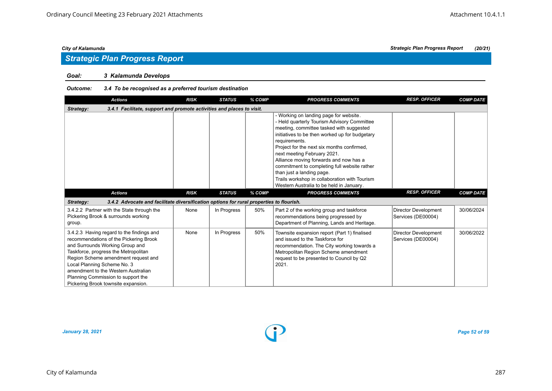#### *Goal: 3 Kalamunda Develops*

#### *Outcome: 3.4 To be recognised as a preferred tourism destination*

| <b>Actions</b>                                                                                                                                                                                                                                                                                                                                           | <b>RISK</b> | <b>STATUS</b> | % COMP | <b>PROGRESS COMMENTS</b>                                                                                                                                                                                                                                                                                                                                                                                                                                                                              | <b>RESP. OFFICER</b>                              | <b>COMP DATE</b> |
|----------------------------------------------------------------------------------------------------------------------------------------------------------------------------------------------------------------------------------------------------------------------------------------------------------------------------------------------------------|-------------|---------------|--------|-------------------------------------------------------------------------------------------------------------------------------------------------------------------------------------------------------------------------------------------------------------------------------------------------------------------------------------------------------------------------------------------------------------------------------------------------------------------------------------------------------|---------------------------------------------------|------------------|
| 3.4.1 Facilitate, support and promote activities and places to visit.<br>Strategy:                                                                                                                                                                                                                                                                       |             |               |        |                                                                                                                                                                                                                                                                                                                                                                                                                                                                                                       |                                                   |                  |
|                                                                                                                                                                                                                                                                                                                                                          |             |               |        | - Working on landing page for website.<br>- Held quarterly Tourism Advisory Committee<br>meeting, committee tasked with suggested<br>initiatives to be then worked up for budgetary<br>requirements.<br>Project for the next six months confirmed,<br>next meeting February 2021.<br>Alliance moving forwards and now has a<br>commitment to completing full website rather<br>than just a landing page.<br>Trails workshop in collaboration with Tourism<br>Western Australia to be held in January. |                                                   |                  |
| <b>Actions</b>                                                                                                                                                                                                                                                                                                                                           | <b>RISK</b> | <b>STATUS</b> | % COMP | <b>PROGRESS COMMENTS</b>                                                                                                                                                                                                                                                                                                                                                                                                                                                                              | <b>RESP. OFFICER</b>                              | <b>COMP DATE</b> |
| 3.4.2 Advocate and facilitate diversification options for rural properties to flourish.<br>Strategy:                                                                                                                                                                                                                                                     |             |               |        |                                                                                                                                                                                                                                                                                                                                                                                                                                                                                                       |                                                   |                  |
| 3.4.2.2 Partner with the State through the<br>Pickering Brook & surrounds working<br>group.                                                                                                                                                                                                                                                              | None        | In Progress   | 50%    | Part 2 of the working group and taskforce<br>recommendations being progressed by<br>Department of Planning, Lands and Heritage.                                                                                                                                                                                                                                                                                                                                                                       | <b>Director Development</b><br>Services (DE00004) | 30/06/2024       |
| 3.4.2.3 Having regard to the findings and<br>recommendations of the Pickering Brook<br>and Surrounds Working Group and<br>Taskforce, progress the Metropolitan<br>Region Scheme amendment request and<br>Local Planning Scheme No. 3<br>amendment to the Western Australian<br>Planning Commission to support the<br>Pickering Brook townsite expansion. | None        | In Progress   | 50%    | Townsite expansion report (Part 1) finalised<br>and issued to the Taskforce for<br>recommendation. The City working towards a<br>Metropolitan Region Scheme amendment<br>request to be presented to Council by Q2<br>2021.                                                                                                                                                                                                                                                                            | <b>Director Development</b><br>Services (DE00004) | 30/06/2022       |

*January 28, 2021 Page 52 of 59*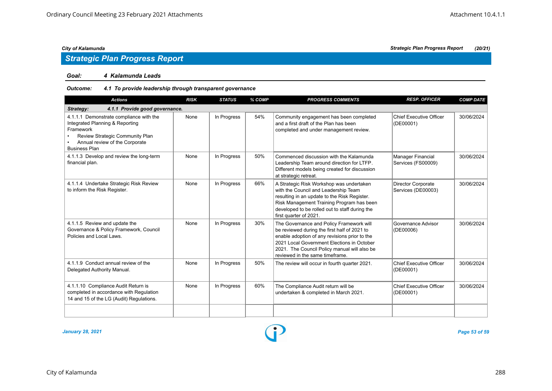#### *Goal: 4 Kalamunda Leads*

#### *Outcome: 4.1 To provide leadership through transparent governance*

| <b>Actions</b>                                                                                                                                                                       | <b>RISK</b> | <b>STATUS</b> | % COMP | <b>PROGRESS COMMENTS</b>                                                                                                                                                                                                                                                   | <b>RESP. OFFICER</b>                        | <b>COMP DATE</b> |  |  |  |  |
|--------------------------------------------------------------------------------------------------------------------------------------------------------------------------------------|-------------|---------------|--------|----------------------------------------------------------------------------------------------------------------------------------------------------------------------------------------------------------------------------------------------------------------------------|---------------------------------------------|------------------|--|--|--|--|
| 4.1.1 Provide good governance.<br>Strategy:                                                                                                                                          |             |               |        |                                                                                                                                                                                                                                                                            |                                             |                  |  |  |  |  |
| 4.1.1.1 Demonstrate compliance with the<br>Integrated Planning & Reporting<br>Framework<br>Review Strategic Community Plan<br>Annual review of the Corporate<br><b>Business Plan</b> | None        | In Progress   | 54%    | Community engagement has been completed<br>and a first draft of the Plan has been<br>completed and under management review.                                                                                                                                                | Chief Executive Officer<br>(DE00001)        | 30/06/2024       |  |  |  |  |
| 4.1.1.3 Develop and review the long-term<br>financial plan.                                                                                                                          | None        | In Progress   | 50%    | Commenced discussion with the Kalamunda<br>Leadership Team around direction for LTFP.<br>Different models being created for discussion<br>at strategic retreat.                                                                                                            | Manager Financial<br>Services (FS00009)     | 30/06/2024       |  |  |  |  |
| 4.1.1.4 Undertake Strategic Risk Review<br>to inform the Risk Register.                                                                                                              | None        | In Progress   | 66%    | A Strategic Risk Workshop was undertaken<br>with the Council and Leadership Team<br>resulting in an update to the Risk Register.<br>Risk Management Training Program has been<br>developed to be rolled out to staff during the<br>first quarter of 2021.                  | Director Corporate<br>Services (DE00003)    | 30/06/2024       |  |  |  |  |
| 4.1.1.5 Review and update the<br>Governance & Policy Framework, Council<br>Policies and Local Laws.                                                                                  | None        | In Progress   | 30%    | The Governance and Policy Framework will<br>be reviewed during the first half of 2021 to<br>enable adoption of any revisions prior to the<br>2021 Local Government Elections in October<br>2021. The Council Policy manual will also be<br>reviewed in the same timeframe. | Governance Advisor<br>(DE00006)             | 30/06/2024       |  |  |  |  |
| 4.1.1.9 Conduct annual review of the<br>Delegated Authority Manual.                                                                                                                  | None        | In Progress   | 50%    | The review will occur in fourth quarter 2021.                                                                                                                                                                                                                              | Chief Executive Officer<br>(DE00001)        | 30/06/2024       |  |  |  |  |
| 4.1.1.10 Compliance Audit Return is<br>completed in accordance with Regulation<br>14 and 15 of the LG (Audit) Regulations.                                                           | None        | In Progress   | 60%    | The Compliance Audit return will be<br>undertaken & completed in March 2021.                                                                                                                                                                                               | <b>Chief Executive Officer</b><br>(DE00001) | 30/06/2024       |  |  |  |  |
|                                                                                                                                                                                      |             |               |        |                                                                                                                                                                                                                                                                            |                                             |                  |  |  |  |  |

*January 28, 2021 Page 53 of 59*

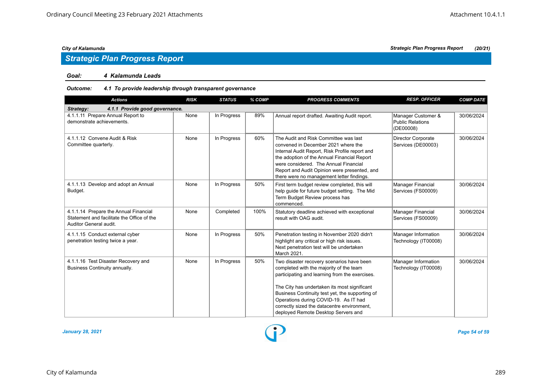## *Strategic Plan Progress Report*

#### *Goal: 4 Kalamunda Leads*

#### *Outcome: 4.1 To provide leadership through transparent governance*

| <b>Actions</b>                                                                                                | <b>RISK</b> | <b>STATUS</b> | % COMP | <b>PROGRESS COMMENTS</b>                                                                                                                                                                                                                                                                                            | <b>RESP. OFFICER</b>                                       | <b>COMP DATE</b> |
|---------------------------------------------------------------------------------------------------------------|-------------|---------------|--------|---------------------------------------------------------------------------------------------------------------------------------------------------------------------------------------------------------------------------------------------------------------------------------------------------------------------|------------------------------------------------------------|------------------|
| 4.1.1 Provide good governance.<br>Strategy:                                                                   |             |               |        |                                                                                                                                                                                                                                                                                                                     |                                                            |                  |
| 4.1.1.11 Prepare Annual Report to<br>demonstrate achievements.                                                | None        | In Progress   | 89%    | Annual report drafted. Awaiting Audit report.                                                                                                                                                                                                                                                                       | Manager Customer &<br><b>Public Relations</b><br>(DE00008) | 30/06/2024       |
| 4.1.1.12 Convene Audit & Risk<br>Committee quarterly.                                                         | None        | In Progress   | 60%    | The Audit and Risk Committee was last<br>convened in December 2021 where the<br>Internal Audit Report, Risk Profile report and<br>the adoption of the Annual Financial Report<br>were considered. The Annual Financial<br>Report and Audit Opinion were presented, and<br>there were no management letter findings. | <b>Director Corporate</b><br>Services (DE00003)            | 30/06/2024       |
| 4.1.1.13 Develop and adopt an Annual<br>Budget.                                                               | None        | In Progress   | 50%    | First term budget review completed, this will<br>help quide for future budget setting. The Mid<br>Term Budget Review process has<br>commenced.                                                                                                                                                                      | Manager Financial<br>Services (FS00009)                    | 30/06/2024       |
| 4.1.1.14 Prepare the Annual Financial<br>Statement and facilitate the Office of the<br>Auditor General audit. | None        | Completed     | 100%   | Statutory deadline achieved with exceptional<br>result with OAG audit.                                                                                                                                                                                                                                              | <b>Manager Financial</b><br>Services (FS00009)             | 30/06/2024       |
| 4.1.1.15 Conduct external cyber<br>penetration testing twice a year.                                          | None        | In Progress   | 50%    | Penetration testing in November 2020 didn't<br>highlight any critical or high risk issues.<br>Next penetration test will be undertaken<br>March 2021.                                                                                                                                                               | Manager Information<br>Technology (IT00008)                | 30/06/2024       |
| 4.1.1.16 Test Disaster Recovery and<br>Business Continuity annually.                                          | None        | In Progress   | 50%    | Two disaster recovery scenarios have been<br>completed with the majority of the team<br>participating and learning from the exercises.                                                                                                                                                                              | Manager Information<br>Technology (IT00008)                | 30/06/2024       |
|                                                                                                               |             |               |        | The City has undertaken its most significant<br>Business Continuity test yet, the supporting of<br>Operations during COVID-19. As IT had<br>correctly sized the datacentre environment,<br>deployed Remote Desktop Servers and                                                                                      |                                                            |                  |

*January 28, 2021 Page 54 of 59*

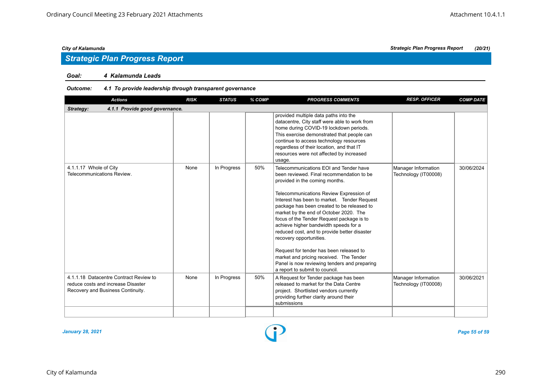#### *Goal: 4 Kalamunda Leads*

#### *Outcome: 4.1 To provide leadership through transparent governance*

| <b>RISK</b>                    | <b>STATUS</b> | % COMP | <b>PROGRESS COMMENTS</b>                                                                                                                                                                                                                                                                                                                                                                                                                                                                                                                                                                                                                         | <b>RESP. OFFICER</b>                        | <b>COMP DATE</b> |
|--------------------------------|---------------|--------|--------------------------------------------------------------------------------------------------------------------------------------------------------------------------------------------------------------------------------------------------------------------------------------------------------------------------------------------------------------------------------------------------------------------------------------------------------------------------------------------------------------------------------------------------------------------------------------------------------------------------------------------------|---------------------------------------------|------------------|
| 4.1.1 Provide good governance. |               |        |                                                                                                                                                                                                                                                                                                                                                                                                                                                                                                                                                                                                                                                  |                                             |                  |
|                                |               |        | provided multiple data paths into the<br>datacentre, City staff were able to work from<br>home during COVID-19 lockdown periods.<br>This exercise demonstrated that people can<br>continue to access technology resources<br>regardless of their location, and that IT<br>resources were not affected by increased<br>usage.                                                                                                                                                                                                                                                                                                                     |                                             |                  |
| None                           | In Progress   | 50%    | Telecommunications EOI and Tender have<br>been reviewed. Final recommendation to be<br>provided in the coming months.<br>Telecommunications Review Expression of<br>Interest has been to market. Tender Request<br>package has been created to be released to<br>market by the end of October 2020. The<br>focus of the Tender Request package is to<br>achieve higher bandwidth speeds for a<br>reduced cost, and to provide better disaster<br>recovery opportunities.<br>Request for tender has been released to<br>market and pricing received. The Tender<br>Panel is now reviewing tenders and preparing<br>a report to submit to council. | Manager Information<br>Technology (IT00008) | 30/06/2024       |
| None                           | In Progress   | 50%    | A Request for Tender package has been<br>released to market for the Data Centre<br>project. Shortlisted vendors currently<br>providing further clarity around their<br>submissions                                                                                                                                                                                                                                                                                                                                                                                                                                                               | Manager Information<br>Technology (IT00008) | 30/06/2021       |
|                                |               |        |                                                                                                                                                                                                                                                                                                                                                                                                                                                                                                                                                                                                                                                  |                                             |                  |

*January 28, 2021 Page 55 of 59*



*City of Kalamunda Strategic Plan Progress Report (20/21)*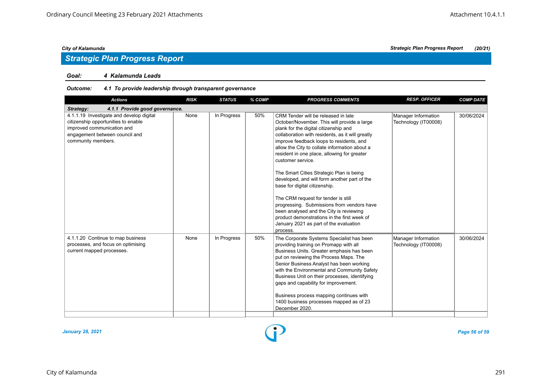## *Strategic Plan Progress Report*

#### *Goal: 4 Kalamunda Leads*

#### *Outcome: 4.1 To provide leadership through transparent governance*

| <b>Actions</b>                                                                                                                                                        | <b>RISK</b> | <b>STATUS</b> | % COMP | <b>PROGRESS COMMENTS</b>                                                                                                                                                                                                                                                                                                                                                                                                                                                                                                                                                                                                                                                                                           | <b>RESP. OFFICER</b>                        | <b>COMP DATE</b> |
|-----------------------------------------------------------------------------------------------------------------------------------------------------------------------|-------------|---------------|--------|--------------------------------------------------------------------------------------------------------------------------------------------------------------------------------------------------------------------------------------------------------------------------------------------------------------------------------------------------------------------------------------------------------------------------------------------------------------------------------------------------------------------------------------------------------------------------------------------------------------------------------------------------------------------------------------------------------------------|---------------------------------------------|------------------|
| 4.1.1 Provide good governance.<br>Strategy:                                                                                                                           |             |               |        |                                                                                                                                                                                                                                                                                                                                                                                                                                                                                                                                                                                                                                                                                                                    |                                             |                  |
| 4.1.1.19 Investigate and develop digital<br>citizenship opportunities to enable<br>improved communication and<br>engagement between council and<br>community members. | None        | In Progress   | 50%    | CRM Tender will be released in late<br>October/November. This will provide a large<br>plank for the digital citizenship and<br>collaboration with residents, as it will greatly<br>improve feedback loops to residents, and<br>allow the City to collate information about a<br>resident in one place, allowing for greater<br>customer service.<br>The Smart Cities Strategic Plan is being<br>developed, and will form another part of the<br>base for digital citizenship.<br>The CRM request for tender is still<br>progressing. Submissions from vendors have<br>been analysed and the City is reviewing<br>product demonstrations in the first week of<br>January 2021 as part of the evaluation<br>process. | Manager Information<br>Technology (IT00008) | 30/06/2024       |
| 4.1.1.20 Continue to map business<br>processes, and focus on optimising<br>current mapped processes.                                                                  | None        | In Progress   | 50%    | The Corporate Systems Specialist has been<br>providing training on Promapp with all<br>Business Units. Greater emphasis has been<br>put on reviewing the Process Maps. The<br>Senior Business Analyst has been working<br>with the Environmental and Community Safety<br>Business Unit on their processes, identifying<br>gaps and capability for improvement.<br>Business process mapping continues with<br>1400 business processes mapped as of 23<br>December 2020.                                                                                                                                                                                                                                             | Manager Information<br>Technology (IT00008) | 30/06/2024       |



### City of Kalamunda 291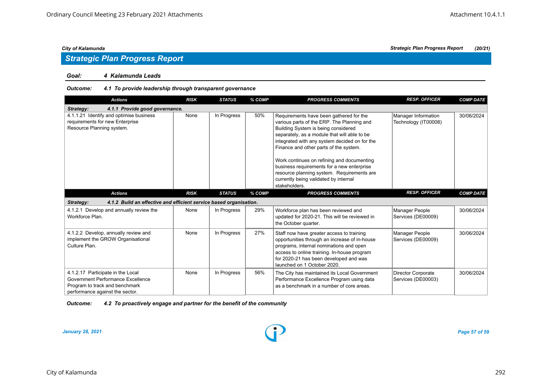#### *Goal: 4 Kalamunda Leads*

#### *Outcome: 4.1 To provide leadership through transparent governance*

| <b>Actions</b>                                                                                                                              | <b>RISK</b> | <b>STATUS</b> | % COMP | <b>PROGRESS COMMENTS</b>                                                                                                                                                                                                                                                                                                                                                                                                                                                    | <b>RESP. OFFICER</b>                            | <b>COMP DATE</b> |
|---------------------------------------------------------------------------------------------------------------------------------------------|-------------|---------------|--------|-----------------------------------------------------------------------------------------------------------------------------------------------------------------------------------------------------------------------------------------------------------------------------------------------------------------------------------------------------------------------------------------------------------------------------------------------------------------------------|-------------------------------------------------|------------------|
| 4.1.1 Provide good governance.<br>Strategy:                                                                                                 |             |               |        |                                                                                                                                                                                                                                                                                                                                                                                                                                                                             |                                                 |                  |
| 4.1.1.21 Identify and optimise business<br>requirements for new Enterprise<br>Resource Planning system.                                     | None        | In Progress   | 50%    | Requirements have been gathered for the<br>various parts of the ERP. The Planning and<br>Building System is being considered<br>separately, as a module that will able to be<br>integrated with any system decided on for the<br>Finance and other parts of the system.<br>Work continues on refining and documenting<br>business requirements for a new enterprise<br>resource planning system. Requirements are<br>currently being validated by internal<br>stakeholders. | Manager Information<br>Technology (IT00008)     | 30/06/2024       |
| <b>Actions</b>                                                                                                                              | <b>RISK</b> | <b>STATUS</b> | % COMP | <b>PROGRESS COMMENTS</b>                                                                                                                                                                                                                                                                                                                                                                                                                                                    | <b>RESP. OFFICER</b>                            | <b>COMP DATE</b> |
| 4.1.2 Build an effective and efficient service based organisation.<br>Strategy:                                                             |             |               |        |                                                                                                                                                                                                                                                                                                                                                                                                                                                                             |                                                 |                  |
| 4.1.2.1 Develop and annually review the<br>Workforce Plan.                                                                                  | None        | In Progress   | 29%    | Workforce plan has been reviewed and<br>updated for 2020-21. This will be reviewed in<br>the October quarter.                                                                                                                                                                                                                                                                                                                                                               | <b>Manager People</b><br>Services (DE00009)     | 30/06/2024       |
| 4.1.2.2 Develop, annually review and<br>implement the GROW Organisational<br>Culture Plan.                                                  | None        | In Progress   | 27%    | Staff now have greater access to training<br>opportunities through an increase of in-house<br>programs, internal nominations and open<br>access to online training. In-house program<br>for 2020-21 has been developed and was<br>launched on 1 October 2020.                                                                                                                                                                                                               | <b>Manager People</b><br>Services (DE00009)     | 30/06/2024       |
| 4.1.2.17 Participate in the Local<br>Government Performance Excellence<br>Program to track and benchmark<br>performance against the sector. | None        | In Progress   | 56%    | The City has maintained its Local Government<br>Performance Excellence Program using data<br>as a benchmark in a number of core areas.                                                                                                                                                                                                                                                                                                                                      | <b>Director Corporate</b><br>Services (DE00003) | 30/06/2024       |

*Outcome: 4.2 To proactively engage and partner for the benefit of the community*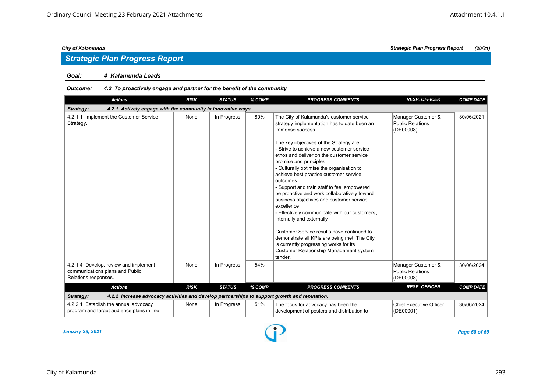#### *Goal: 4 Kalamunda Leads*

#### *Outcome: 4.2 To proactively engage and partner for the benefit of the community*

| <b>Actions</b>                                                                                             | <b>RISK</b> | <b>STATUS</b> | % COMP | <b>PROGRESS COMMENTS</b>                                                                                                                                                                                                                                                                                                                                                                                                                                                                                                                                                                                                                                                                                                                                                                                                    | <b>RESP. OFFICER</b>                                       | <b>COMP DATE</b> |
|------------------------------------------------------------------------------------------------------------|-------------|---------------|--------|-----------------------------------------------------------------------------------------------------------------------------------------------------------------------------------------------------------------------------------------------------------------------------------------------------------------------------------------------------------------------------------------------------------------------------------------------------------------------------------------------------------------------------------------------------------------------------------------------------------------------------------------------------------------------------------------------------------------------------------------------------------------------------------------------------------------------------|------------------------------------------------------------|------------------|
| 4.2.1 Actively engage with the community in innovative ways.<br>Strategy:                                  |             |               |        |                                                                                                                                                                                                                                                                                                                                                                                                                                                                                                                                                                                                                                                                                                                                                                                                                             |                                                            |                  |
| 4.2.1.1 Implement the Customer Service<br>Strategy.                                                        | None        | In Progress   | 80%    | The City of Kalamunda's customer service<br>strategy implementation has to date been an<br>immense success.<br>The key objectives of the Strategy are:<br>- Strive to achieve a new customer service<br>ethos and deliver on the customer service<br>promise and principles<br>- Culturally optimise the organisation to<br>achieve best practice customer service<br>outcomes<br>- Support and train staff to feel empowered,<br>be proactive and work collaboratively toward<br>business objectives and customer service<br>excellence<br>- Effectively communicate with our customers,<br>internally and externally<br>Customer Service results have continued to<br>demonstrate all KPIs are being met. The City<br>is currently progressing works for its<br><b>Customer Relationship Management system</b><br>tender. | Manager Customer &<br><b>Public Relations</b><br>(DE00008) | 30/06/2021       |
| 4.2.1.4 Develop, review and implement<br>communications plans and Public<br>Relations responses.           | None        | In Progress   | 54%    |                                                                                                                                                                                                                                                                                                                                                                                                                                                                                                                                                                                                                                                                                                                                                                                                                             | Manager Customer &<br><b>Public Relations</b><br>(DE00008) | 30/06/2024       |
| <b>Actions</b>                                                                                             | <b>RISK</b> | <b>STATUS</b> | % COMP | <b>PROGRESS COMMENTS</b>                                                                                                                                                                                                                                                                                                                                                                                                                                                                                                                                                                                                                                                                                                                                                                                                    | <b>RESP. OFFICER</b>                                       | <b>COMP DATE</b> |
| 4.2.2 Increase advocacy activities and develop partnerships to support growth and reputation.<br>Strategy: |             |               |        |                                                                                                                                                                                                                                                                                                                                                                                                                                                                                                                                                                                                                                                                                                                                                                                                                             |                                                            |                  |
| 4.2.2.1 Establish the annual advocacy<br>program and target audience plans in line                         | None        | In Progress   | 51%    | The focus for advocacy has been the<br>development of posters and distribution to                                                                                                                                                                                                                                                                                                                                                                                                                                                                                                                                                                                                                                                                                                                                           | <b>Chief Executive Officer</b><br>(DE00001)                | 30/06/2024       |